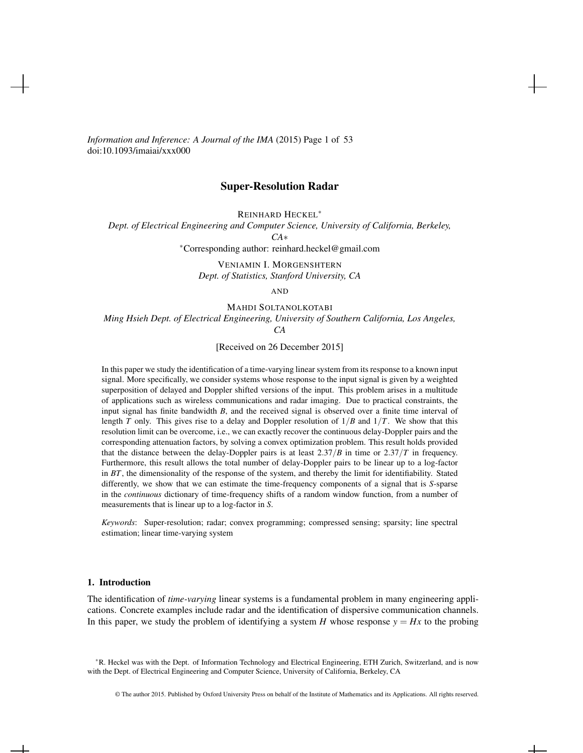*Information and Inference: A Journal of the IMA* (2015) Page 1 of 53 doi:10.1093/imaiai/xxx000

# Super-Resolution Radar

REINHARD HECKEL∗

*Dept. of Electrical Engineering and Computer Science, University of California, Berkeley,*

*CA*∗

∗Corresponding author: reinhard.heckel@gmail.com

VENIAMIN I. MORGENSHTERN *Dept. of Statistics, Stanford University, CA*

AND

MAHDI SOLTANOLKOTABI

*Ming Hsieh Dept. of Electrical Engineering, University of Southern California, Los Angeles,*

*CA*

[Received on 26 December 2015]

In this paper we study the identification of a time-varying linear system from its response to a known input signal. More specifically, we consider systems whose response to the input signal is given by a weighted superposition of delayed and Doppler shifted versions of the input. This problem arises in a multitude of applications such as wireless communications and radar imaging. Due to practical constraints, the input signal has finite bandwidth *B*, and the received signal is observed over a finite time interval of length *T* only. This gives rise to a delay and Doppler resolution of  $1/B$  and  $1/T$ . We show that this resolution limit can be overcome, i.e., we can exactly recover the continuous delay-Doppler pairs and the corresponding attenuation factors, by solving a convex optimization problem. This result holds provided that the distance between the delay-Doppler pairs is at least  $2.37/B$  in time or  $2.37/T$  in frequency. Furthermore, this result allows the total number of delay-Doppler pairs to be linear up to a log-factor in *BT*, the dimensionality of the response of the system, and thereby the limit for identifiability. Stated differently, we show that we can estimate the time-frequency components of a signal that is *S*-sparse in the *continuous* dictionary of time-frequency shifts of a random window function, from a number of measurements that is linear up to a log-factor in *S*.

*Keywords*: Super-resolution; radar; convex programming; compressed sensing; sparsity; line spectral estimation; linear time-varying system

# 1. Introduction

The identification of *time-varying* linear systems is a fundamental problem in many engineering applications. Concrete examples include radar and the identification of dispersive communication channels. In this paper, we study the problem of identifying a system *H* whose response  $y = Hx$  to the probing

∗R. Heckel was with the Dept. of Information Technology and Electrical Engineering, ETH Zurich, Switzerland, and is now with the Dept. of Electrical Engineering and Computer Science, University of California, Berkeley, CA

© The author 2015. Published by Oxford University Press on behalf of the Institute of Mathematics and its Applications. All rights reserved.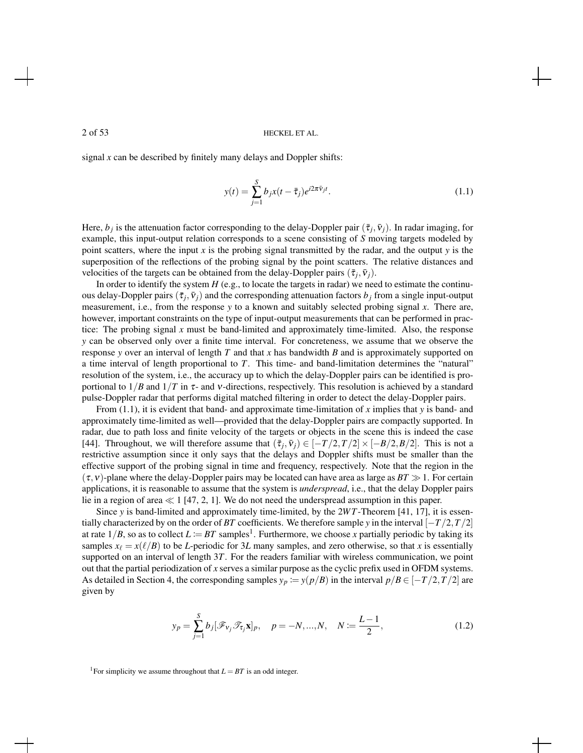signal *x* can be described by finitely many delays and Doppler shifts:

$$
y(t) = \sum_{j=1}^{S} b_j x(t - \bar{\tau}_j) e^{i2\pi \bar{v}_j t}.
$$
\n(1.1)

Here,  $b_j$  is the attenuation factor corresponding to the delay-Doppler pair  $(\bar{\tau}_j, \bar{v}_j)$ . In radar imaging, for example, this input-output relation corresponds to a scene consisting of *S* moving targets modeled by point scatters, where the input *x* is the probing signal transmitted by the radar, and the output *y* is the superposition of the reflections of the probing signal by the point scatters. The relative distances and velocities of the targets can be obtained from the delay-Doppler pairs  $(\bar{\tau}_j, \bar{v}_j)$ .

In order to identify the system  $H$  (e.g., to locate the targets in radar) we need to estimate the continuous delay-Doppler pairs  $(\bar{\tau}_j, \bar{v}_j)$  and the corresponding attenuation factors  $b_j$  from a single input-output measurement, i.e., from the response *y* to a known and suitably selected probing signal *x*. There are, however, important constraints on the type of input-output measurements that can be performed in practice: The probing signal *x* must be band-limited and approximately time-limited. Also, the response *y* can be observed only over a finite time interval. For concreteness, we assume that we observe the response *y* over an interval of length *T* and that *x* has bandwidth *B* and is approximately supported on a time interval of length proportional to *T*. This time- and band-limitation determines the "natural" resolution of the system, i.e., the accuracy up to which the delay-Doppler pairs can be identified is proportional to  $1/B$  and  $1/T$  in  $\tau$ - and v-directions, respectively. This resolution is achieved by a standard pulse-Doppler radar that performs digital matched filtering in order to detect the delay-Doppler pairs.

From (1.1), it is evident that band- and approximate time-limitation of *x* implies that *y* is band- and approximately time-limited as well—provided that the delay-Doppler pairs are compactly supported. In radar, due to path loss and finite velocity of the targets or objects in the scene this is indeed the case [44]. Throughout, we will therefore assume that  $(\bar{\tau}_j, \bar{v}_j) \in [-T/2, T/2] \times [-B/2, B/2]$ . This is not a restrictive assumption since it only says that the delays and Doppler shifts must be smaller than the effective support of the probing signal in time and frequency, respectively. Note that the region in the  $(\tau, v)$ -plane where the delay-Doppler pairs may be located can have area as large as *BT*  $\gg$  1. For certain applications, it is reasonable to assume that the system is *underspread*, i.e., that the delay Doppler pairs lie in a region of area  $\ll 1$  [47, 2, 1]. We do not need the underspread assumption in this paper.

Since *y* is band-limited and approximately time-limited, by the 2*W T*-Theorem [41, 17], it is essentially characterized by on the order of *BT* coefficients. We therefore sample *y* in the interval  $[-T/2, T/2]$ at rate  $1/B$ , so as to collect  $L := BT$  samples<sup>1</sup>. Furthermore, we choose *x* partially periodic by taking its samples  $x_\ell = x(\ell/B)$  to be *L*-periodic for 3*L* many samples, and zero otherwise, so that *x* is essentially supported on an interval of length 3*T*. For the readers familiar with wireless communication, we point out that the partial periodization of *x* serves a similar purpose as the cyclic prefix used in OFDM systems. As detailed in Section 4, the corresponding samples  $y_p := y(p/B)$  in the interval  $p/B \in [-T/2, T/2]$  are given by

$$
y_p = \sum_{j=1}^{S} b_j [\mathcal{F}_{v_j} \mathcal{F}_{\tau_j} \mathbf{x}]_p, \quad p = -N, ..., N, \quad N := \frac{L-1}{2}, \tag{1.2}
$$

<sup>1</sup>For simplicity we assume throughout that  $L = BT$  is an odd integer.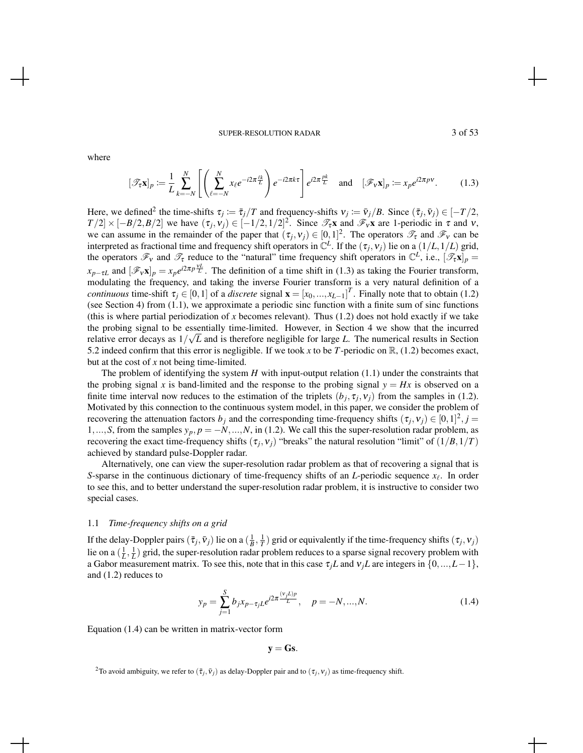SUPER-RESOLUTION RADAR 3 of 53

where

$$
[\mathcal{T}_{\tau}\mathbf{x}]_p := \frac{1}{L} \sum_{k=-N}^{N} \left[ \left( \sum_{\ell=-N}^{N} x_{\ell} e^{-i2\pi \frac{\ell k}{L}} \right) e^{-i2\pi k \tau} \right] e^{i2\pi \frac{pk}{L}} \quad \text{and} \quad [\mathcal{F}_{\nu}\mathbf{x}]_p := x_p e^{i2\pi p \nu}.
$$
 (1.3)

Here, we defined<sup>2</sup> the time-shifts  $\tau_j := \bar{\tau}_j/T$  and frequency-shifts  $v_j := \bar{v}_j/B$ . Since  $(\bar{\tau}_j, \bar{v}_j) \in [-T/2,$  $T/2 \times [-B/2, B/2]$  we have  $(\tau_j, \nu_j) \in [-1/2, 1/2]^2$ . Since  $\mathscr{T}_{\tau}$ **x** and  $\mathscr{F}_{\nu}$ **x** are 1-periodic in  $\tau$  and  $\nu$ , we can assume in the remainder of the paper that  $(\tau_j, v_j) \in [0, 1]^2$ . The operators  $\mathcal{T}_{\tau}$  and  $\mathcal{F}_{\nu}$  can be interpreted as fractional time and frequency shift operators in  $\mathbb{C}^L$ . If the  $(\tau_j, v_j)$  lie on a  $(1/L, 1/L)$  grid, the operators  $\mathscr{F}_v$  and  $\mathscr{T}_\tau$  reduce to the "natural" time frequency shift operators in  $\mathbb{C}^L$ , i.e.,  $[\mathscr{T}_{\tau} \mathbf{x}]_p =$  $x_{p-\tau L}$  and  $[\mathscr{F}_v \mathbf{x}]_p = x_p e^{i2\pi p \frac{vL}{L}}$ . The definition of a time shift in (1.3) as taking the Fourier transform, modulating the frequency, and taking the inverse Fourier transform is a very natural definition of a *continuous* time-shift  $\tau_j \in [0,1]$  of a *discrete* signal  $\mathbf{x} = [x_0, ..., x_{L-1}]^T$ . Finally note that to obtain (1.2) (see Section 4) from (1.1), we approximate a periodic sinc function with a finite sum of sinc functions (this is where partial periodization of *x* becomes relevant). Thus (1.2) does not hold exactly if we take the probing signal to be essentially time-limited. However, in Section 4 we show that the incurred relative error decays as  $1/\sqrt{L}$  and is therefore negligible for large *L*. The numerical results in Section 5.2 indeed confirm that this error is negligible. If we took x to be *T*-periodic on  $\mathbb{R}$ , (1.2) becomes exact, but at the cost of *x* not being time-limited.

The problem of identifying the system *H* with input-output relation (1.1) under the constraints that the probing signal x is band-limited and the response to the probing signal  $y = Hx$  is observed on a finite time interval now reduces to the estimation of the triplets  $(b_j, \tau_j, v_j)$  from the samples in (1.2). Motivated by this connection to the continuous system model, in this paper, we consider the problem of recovering the attenuation factors  $b_j$  and the corresponding time-frequency shifts  $(\tau_j, v_j) \in [0, 1]^2$ ,  $j =$ 1,...,*S*, from the samples  $y_p$ ,  $p = -N$ ,...,*N*, in (1.2). We call this the super-resolution radar problem, as recovering the exact time-frequency shifts  $(\tau_j, v_j)$  "breaks" the natural resolution "limit" of  $(1/B, 1/T)$ achieved by standard pulse-Doppler radar.

Alternatively, one can view the super-resolution radar problem as that of recovering a signal that is *S*-sparse in the continuous dictionary of time-frequency shifts of an *L*-periodic sequence  $x_\ell$ . In order to see this, and to better understand the super-resolution radar problem, it is instructive to consider two special cases.

# 1.1 *Time-frequency shifts on a grid*

If the delay-Doppler pairs  $(\bar{\tau}_j, \bar{v}_j)$  lie on a  $(\frac{1}{B}, \frac{1}{T})$  grid or equivalently if the time-frequency shifts  $(\tau_j, v_j)$ lie on a  $(\frac{1}{L}, \frac{1}{L})$  grid, the super-resolution radar problem reduces to a sparse signal recovery problem with a Gabor measurement matrix. To see this, note that in this case  $\tau_j L$  and  $v_j L$  are integers in  $\{0, ..., L-1\}$ , and (1.2) reduces to

$$
y_p = \sum_{j=1}^{S} b_j x_{p-\tau_j L} e^{i2\pi \frac{(v_j L)p}{L}}, \quad p = -N, ..., N.
$$
 (1.4)

Equation (1.4) can be written in matrix-vector form

$$
\mathbf{y} = \mathbf{G}\mathbf{s}.
$$

<sup>2</sup>To avoid ambiguity, we refer to  $(\bar{\tau}_j, \bar{v}_j)$  as delay-Doppler pair and to  $(\tau_j, v_j)$  as time-frequency shift.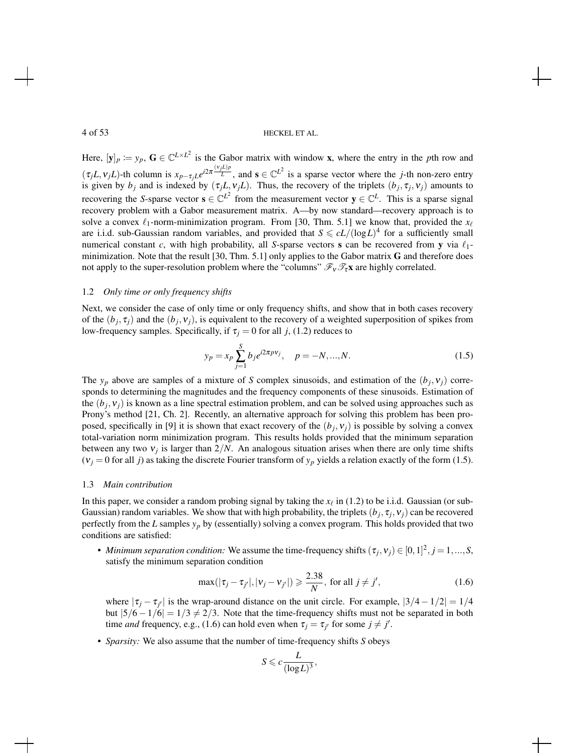Here,  $[\mathbf{y}]_p := y_p$ ,  $\mathbf{G} \in \mathbb{C}^{L \times L^2}$  is the Gabor matrix with window **x**, where the entry in the *p*th row and  $(\tau_j L, v_j L)$ -th column is  $x_{p-\tau_j L} e^{i2\pi \frac{(v_j L)p}{L}}$ , and  $\mathbf{s} \in \mathbb{C}^{L^2}$  is a sparse vector where the *j*-th non-zero entry is given by  $b_j$  and is indexed by  $(\tau_j L, v_j L)$ . Thus, the recovery of the triplets  $(b_j, \tau_j, v_j)$  amounts to recovering the *S*-sparse vector  $\mathbf{s} \in \mathbb{C}^{L^2}$  from the measurement vector  $\mathbf{y} \in \mathbb{C}^{L}$ . This is a sparse signal recovery problem with a Gabor measurement matrix. A—by now standard—recovery approach is to solve a convex  $\ell_1$ -norm-minimization program. From [30, Thm. 5.1] we know that, provided the  $x_\ell$ are i.i.d. sub-Gaussian random variables, and provided that  $S \leqslant cL/(\log L)^4$  for a sufficiently small numerical constant *c*, with high probability, all *S*-sparse vectors **s** can be recovered from **y** via  $\ell_1$ minimization. Note that the result [30, Thm. 5.1] only applies to the Gabor matrix G and therefore does not apply to the super-resolution problem where the "columns"  $\mathscr{F}_v \mathscr{T}_{\tau}$ **x** are highly correlated.

# 1.2 *Only time or only frequency shifts*

Next, we consider the case of only time or only frequency shifts, and show that in both cases recovery of the  $(b_j, \tau_j)$  and the  $(b_j, v_j)$ , is equivalent to the recovery of a weighted superposition of spikes from low-frequency samples. Specifically, if  $\tau_i = 0$  for all *j*, (1.2) reduces to

$$
y_p = x_p \sum_{j=1}^{S} b_j e^{i2\pi p v_j}, \quad p = -N, ..., N.
$$
 (1.5)

The  $y_p$  above are samples of a mixture of *S* complex sinusoids, and estimation of the  $(b_j, v_j)$  corresponds to determining the magnitudes and the frequency components of these sinusoids. Estimation of the  $(b_j, v_j)$  is known as a line spectral estimation problem, and can be solved using approaches such as Prony's method [21, Ch. 2]. Recently, an alternative approach for solving this problem has been proposed, specifically in [9] it is shown that exact recovery of the  $(b_j, v_j)$  is possible by solving a convex total-variation norm minimization program. This results holds provided that the minimum separation between any two  $v_j$  is larger than  $2/N$ . An analogous situation arises when there are only time shifts  $(v_j = 0$  for all *j*) as taking the discrete Fourier transform of  $y_p$  yields a relation exactly of the form (1.5).

# 1.3 *Main contribution*

In this paper, we consider a random probing signal by taking the  $x_\ell$  in (1.2) to be i.i.d. Gaussian (or sub-Gaussian) random variables. We show that with high probability, the triplets  $(b_j, \tau_j, v_j)$  can be recovered perfectly from the *L* samples *y<sup>p</sup>* by (essentially) solving a convex program. This holds provided that two conditions are satisfied:

• *Minimum separation condition:* We assume the time-frequency shifts  $(\tau_j, v_j) \in [0, 1]^2, j = 1, ..., S$ , satisfy the minimum separation condition

$$
\max(|\tau_j - \tau_{j'}|, |\nu_j - \nu_{j'}|) \geq \frac{2.38}{N}, \text{ for all } j \neq j', \tag{1.6}
$$

where  $|\tau_j - \tau_{j'}|$  is the wrap-around distance on the unit circle. For example,  $|3/4 - 1/2| = 1/4$ but  $|5/6 - 1/6| = 1/3 \neq 2/3$ . Note that the time-frequency shifts must not be separated in both time *and* frequency, e.g., (1.6) can hold even when  $\tau_j = \tau_{j'}$  for some  $j \neq j'$ .

• *Sparsity:* We also assume that the number of time-frequency shifts *S* obeys

$$
S \leqslant c \frac{L}{(\log L)^3},
$$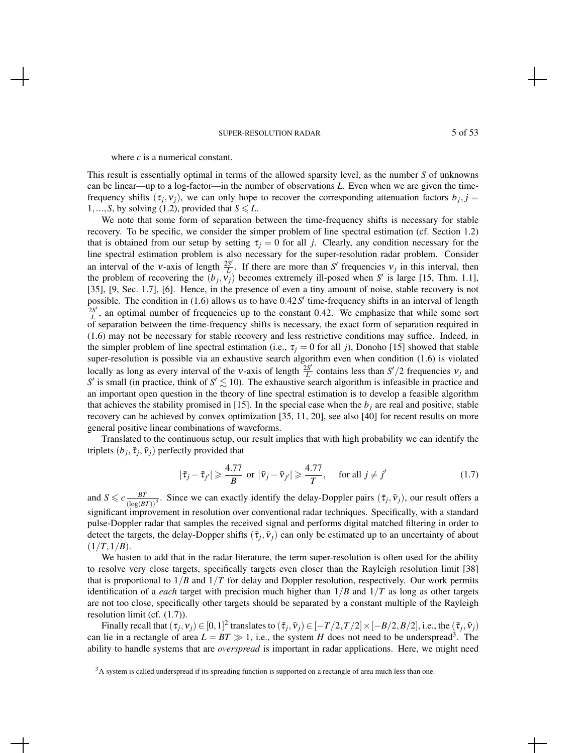### SUPER-RESOLUTION RADAR 5 of 53

where *c* is a numerical constant.

This result is essentially optimal in terms of the allowed sparsity level, as the number *S* of unknowns can be linear—up to a log-factor—in the number of observations *L*. Even when we are given the timefrequency shifts  $(\tau_j, v_j)$ , we can only hope to recover the corresponding attenuation factors  $b_j$ ,  $j =$ 1,...,*S*, by solving (1.2), provided that  $S \le L$ .

We note that some form of separation between the time-frequency shifts is necessary for stable recovery. To be specific, we consider the simper problem of line spectral estimation (cf. Section 1.2) that is obtained from our setup by setting  $\tau_i = 0$  for all *j*. Clearly, any condition necessary for the line spectral estimation problem is also necessary for the super-resolution radar problem. Consider an interval of the v-axis of length  $\frac{2S'}{L}$ . If there are more than *S'* frequencies  $v_j$  in this interval, then the problem of recovering the  $(b_j, v_j)$  becomes extremely ill-posed when *S'* is large [15, Thm. 1.1], [35], [9, Sec. 1.7], [6]. Hence, in the presence of even a tiny amount of noise, stable recovery is not possible. The condition in  $(1.6)$  allows us to have  $0.42S'$  time-frequency shifts in an interval of length  $\frac{2S'}{L}$ , an optimal number of frequencies up to the constant 0.42. We emphasize that while some sort of separation between the time-frequency shifts is necessary, the exact form of separation required in (1.6) may not be necessary for stable recovery and less restrictive conditions may suffice. Indeed, in the simpler problem of line spectral estimation (i.e.,  $\tau_i = 0$  for all *j*), Donoho [15] showed that stable super-resolution is possible via an exhaustive search algorithm even when condition (1.6) is violated locally as long as every interval of the *v*-axis of length  $\frac{2S'}{L}$  contains less than  $S'/2$  frequencies  $v_j$  and  $S'$  is small (in practice, think of  $S' \lesssim 10$ ). The exhaustive search algorithm is infeasible in practice and an important open question in the theory of line spectral estimation is to develop a feasible algorithm that achieves the stability promised in [15]. In the special case when the  $b_j$  are real and positive, stable recovery can be achieved by convex optimization [35, 11, 20], see also [40] for recent results on more general positive linear combinations of waveforms.

Translated to the continuous setup, our result implies that with high probability we can identify the triplets  $(b_j, \bar{\tau}_j, \bar{v}_j)$  perfectly provided that

$$
|\bar{\tau}_j - \bar{\tau}_{j'}| \geq \frac{4.77}{B} \text{ or } |\bar{v}_j - \bar{v}_{j'}| \geq \frac{4.77}{T}, \quad \text{ for all } j \neq j' \tag{1.7}
$$

and  $S \leq c \frac{BT}{(\log(BT))^3}$ . Since we can exactly identify the delay-Doppler pairs  $(\bar{\tau}_j, \bar{v}_j)$ , our result offers a significant improvement in resolution over conventional radar techniques. Specifically, with a standard pulse-Doppler radar that samples the received signal and performs digital matched filtering in order to detect the targets, the delay-Dopper shifts  $(\bar{\tau}_j, \bar{v}_j)$  can only be estimated up to an uncertainty of about  $(1/T,1/B).$ 

We hasten to add that in the radar literature, the term super-resolution is often used for the ability to resolve very close targets, specifically targets even closer than the Rayleigh resolution limit [38] that is proportional to  $1/B$  and  $1/T$  for delay and Doppler resolution, respectively. Our work permits identification of a *each* target with precision much higher than 1/*B* and 1/*T* as long as other targets are not too close, specifically other targets should be separated by a constant multiple of the Rayleigh resolution limit (cf. (1.7)).

Finally recall that  $(\tau_j, v_j) \in [0, 1]^2$  translates to  $(\bar{\tau}_j, \bar{v}_j) \in [-T/2, T/2] \times [-B/2, B/2]$ , i.e., the  $(\bar{\tau}_j, \bar{v}_j)$ can lie in a rectangle of area  $L = BT \gg 1$ , i.e., the system *H* does not need to be underspread<sup>3</sup>. The ability to handle systems that are *overspread* is important in radar applications. Here, we might need

<sup>&</sup>lt;sup>3</sup>A system is called underspread if its spreading function is supported on a rectangle of area much less than one.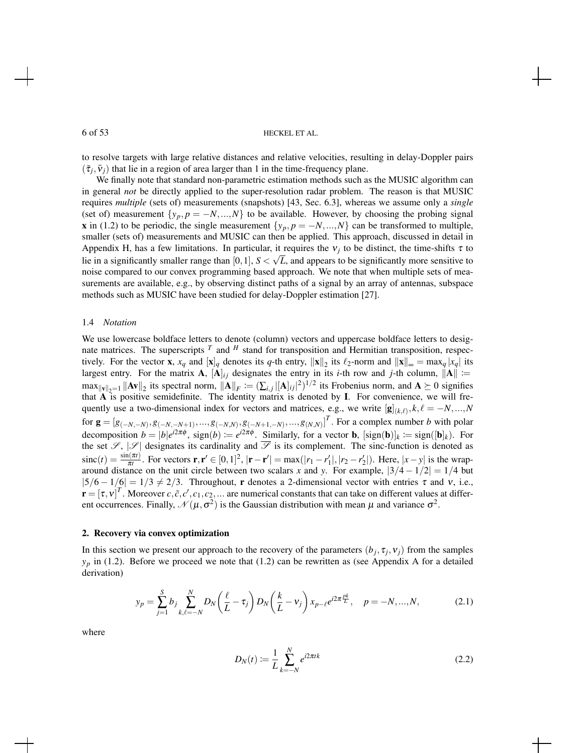to resolve targets with large relative distances and relative velocities, resulting in delay-Doppler pairs  $(\bar{\tau}_j, \bar{v}_j)$  that lie in a region of area larger than 1 in the time-frequency plane.

We finally note that standard non-parametric estimation methods such as the MUSIC algorithm can in general *not* be directly applied to the super-resolution radar problem. The reason is that MUSIC requires *multiple* (sets of) measurements (snapshots) [43, Sec. 6.3], whereas we assume only a *single* (set of) measurement  $\{y_p, p = -N, ..., N\}$  to be available. However, by choosing the probing signal **x** in (1.2) to be periodic, the single measurement  $\{y_p, p = -N, ..., N\}$  can be transformed to multiple, smaller (sets of) measurements and MUSIC can then be applied. This approach, discussed in detail in Appendix H, has a few limitations. In particular, it requires the  $v_j$  to be distinct, the time-shifts  $\tau$  to lie in a significantly smaller range than [0, 1],  $S < \sqrt{L}$ , and appears to be significantly more sensitive to noise compared to our convex programming based approach. We note that when multiple sets of measurements are available, e.g., by observing distinct paths of a signal by an array of antennas, subspace methods such as MUSIC have been studied for delay-Doppler estimation [27].

## 1.4 *Notation*

We use lowercase boldface letters to denote (column) vectors and uppercase boldface letters to designate matrices. The superscripts <sup>T</sup> and <sup>H</sup> stand for transposition and Hermitian transposition, respectively. For the vector **x**,  $x_q$  and  $[\mathbf{x}]_q$  denotes its *q*-th entry,  $||\mathbf{x}||_2$  its  $\ell_2$ -norm and  $||\mathbf{x}||_{\infty} = \max_q |x_q|$  its largest entry. For the matrix A,  $[\mathbf{A}]_{ij}$  designates the entry in its *i*-th row and *j*-th column,  $\|\mathbf{A}\| :=$  $\max_{\|\mathbf{v}\|_2=1} \|\mathbf{A}\mathbf{v}\|_2$  its spectral norm,  $\|\mathbf{A}\|_F := (\sum_{i,j} |[\mathbf{A}]_{ij}|^2)^{1/2}$  its Frobenius norm, and  $\mathbf{A} \succeq 0$  signifies that  $A$  is positive semidefinite. The identity matrix is denoted by  $I$ . For convenience, we will frequently use a two-dimensional index for vectors and matrices, e.g., we write  $[\mathbf{g}]_{(k,\ell)}, k, \ell = -N, ..., N$ for  $\mathbf{g} = [g_{(-N,-N)}, g_{(-N,-N+1)},..., g_{(-N,N)}, g_{(-N+1,-N)},..., g_{(N,N)}]^T$ . For a complex number b with polar decomposition  $b = |b|e^{i2\pi\phi}$ , sign(b) :=  $e^{i2\pi\phi}$ . Similarly, for a vector **b**,  $[\text{sign}(\mathbf{b})]_k := \text{sign}([\mathbf{b}]_k)$ . For the set  $\mathscr{S}, |\mathscr{S}|$  designates its cardinality and  $\overline{\mathscr{S}}$  is its complement. The sinc-function is denoted as  $\sin(c(t)) = \frac{\sin(\pi t)}{\pi t}$ . For vectors  $\mathbf{r}, \mathbf{r}' \in [0, 1]^2$ ,  $|\mathbf{r} - \mathbf{r}'| = \max(|r_1 - r'_1|, |r_2 - r'_2|)$ . Here,  $|x - y|$  is the wraparound distance on the unit circle between two scalars *x* and *y*. For example,  $|3/4 - 1/2| = 1/4$  but  $|5/6 - 1/6| = 1/3 \neq 2/3$ . Throughout, **r** denotes a 2-dimensional vector with entries  $\tau$  and  $v$ , i.e.,  $\mathbf{r} = [\tau, v]^T$ . Moreover  $c, \tilde{c}, c', c_1, c_2, ...$  are numerical constants that can take on different values at different occurrences. Finally,  $\mathcal{N}(\mu, \sigma^2)$  is the Gaussian distribution with mean  $\mu$  and variance  $\sigma^2$ .

# 2. Recovery via convex optimization

In this section we present our approach to the recovery of the parameters  $(b_j, \tau_j, v_j)$  from the samples  $y_p$  in (1.2). Before we proceed we note that (1.2) can be rewritten as (see Appendix A for a detailed derivation)

$$
y_p = \sum_{j=1}^{S} b_j \sum_{k,\ell=-N}^{N} D_N \left(\frac{\ell}{L} - \tau_j\right) D_N \left(\frac{k}{L} - \nu_j\right) x_{p-\ell} e^{i2\pi \frac{pk}{L}}, \quad p = -N, ..., N,
$$
 (2.1)

where

$$
D_N(t) := \frac{1}{L} \sum_{k=-N}^{N} e^{i2\pi tk}
$$
 (2.2)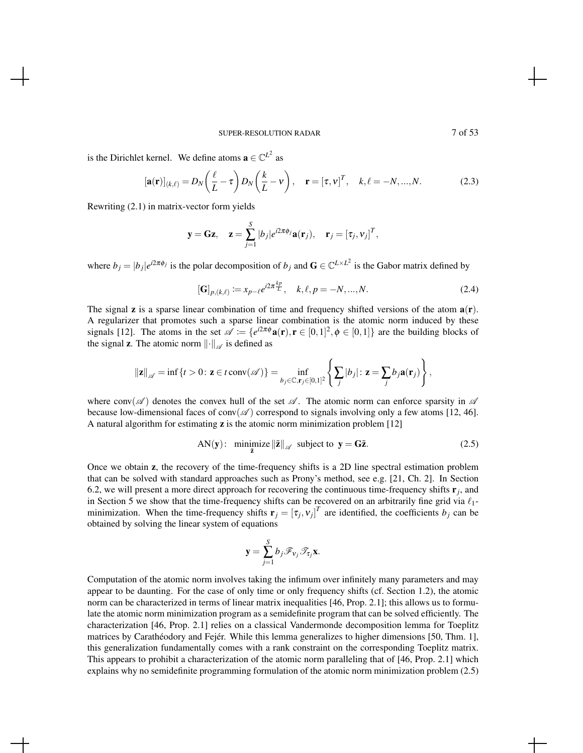## SUPER-RESOLUTION RADAR 7 of 53

is the Dirichlet kernel. We define atoms  $\mathbf{a} \in \mathbb{C}^{L^2}$  as

$$
[\mathbf{a}(\mathbf{r})]_{(k,\ell)} = D_N \left(\frac{\ell}{L} - \tau\right) D_N \left(\frac{k}{L} - \nu\right), \quad \mathbf{r} = [\tau, \nu]^T, \quad k, \ell = -N, ..., N. \tag{2.3}
$$

Rewriting (2.1) in matrix-vector form yields

$$
\mathbf{y} = \mathbf{Gz}, \quad \mathbf{z} = \sum_{j=1}^{S} |b_j| e^{i2\pi \phi_j} \mathbf{a}(\mathbf{r}_j), \quad \mathbf{r}_j = [\tau_j, v_j]^T,
$$

where  $b_j = |b_j|e^{i2\pi\phi_j}$  is the polar decomposition of  $b_j$  and  $G \in \mathbb{C}^{L \times L^2}$  is the Gabor matrix defined by

$$
[\mathbf{G}]_{p,(k,\ell)} := x_{p-\ell} e^{i2\pi \frac{k p}{L}}, \quad k,\ell,p = -N,...,N.
$$
 (2.4)

The signal z is a sparse linear combination of time and frequency shifted versions of the atom  $a(r)$ . A regularizer that promotes such a sparse linear combination is the atomic norm induced by these signals [12]. The atoms in the set  $\mathscr{A} := \{e^{i2\pi\phi} \mathbf{a}(\mathbf{r}), \mathbf{r} \in [0,1]^2, \phi \in [0,1]\}$  are the building blocks of the signal **z**. The atomic norm  $\left\| \cdot \right\|_{\mathcal{A}}$  is defined as

$$
\|\mathbf{z}\|_{\mathscr{A}} = \inf\left\{t > 0 \colon \mathbf{z} \in t\,\mathrm{conv}(\mathscr{A})\right\} = \inf_{b_j \in \mathbb{C}, \mathbf{r}_j \in [0,1]^2} \left\{ \sum_j |b_j| \colon \mathbf{z} = \sum_j b_j \mathbf{a}(\mathbf{r}_j) \right\},
$$

where conv( $\mathscr{A}$ ) denotes the convex hull of the set  $\mathscr{A}$ . The atomic norm can enforce sparsity in  $\mathscr{A}$ because low-dimensional faces of conv $(\mathscr{A})$  correspond to signals involving only a few atoms [12, 46]. A natural algorithm for estimating z is the atomic norm minimization problem [12]

$$
AN(y): \ \underset{\tilde{z}}{\text{minimize}} \|\tilde{z}\|_{\mathscr{A}} \ \text{subject to} \ \mathbf{y} = \mathbf{G}\tilde{z}.
$$
 (2.5)

Once we obtain z, the recovery of the time-frequency shifts is a 2D line spectral estimation problem that can be solved with standard approaches such as Prony's method, see e.g. [21, Ch. 2]. In Section 6.2, we will present a more direct approach for recovering the continuous time-frequency shifts  $\mathbf{r}_j$ , and in Section 5 we show that the time-frequency shifts can be recovered on an arbitrarily fine grid via  $\ell_1$ minimization. When the time-frequency shifts  $\mathbf{r}_j = [\tau_j, v_j]^T$  are identified, the coefficients  $b_j$  can be obtained by solving the linear system of equations

$$
\mathbf{y} = \sum_{j=1}^S b_j \mathscr{F}_{\mathbf{v}_j} \mathscr{T}_{\tau_j} \mathbf{x}.
$$

Computation of the atomic norm involves taking the infimum over infinitely many parameters and may appear to be daunting. For the case of only time or only frequency shifts (cf. Section 1.2), the atomic norm can be characterized in terms of linear matrix inequalities [46, Prop. 2.1]; this allows us to formulate the atomic norm minimization program as a semidefinite program that can be solved efficiently. The characterization [46, Prop. 2.1] relies on a classical Vandermonde decomposition lemma for Toeplitz matrices by Carathéodory and Fejér. While this lemma generalizes to higher dimensions [50, Thm. 1], this generalization fundamentally comes with a rank constraint on the corresponding Toeplitz matrix. This appears to prohibit a characterization of the atomic norm paralleling that of [46, Prop. 2.1] which explains why no semidefinite programming formulation of the atomic norm minimization problem (2.5)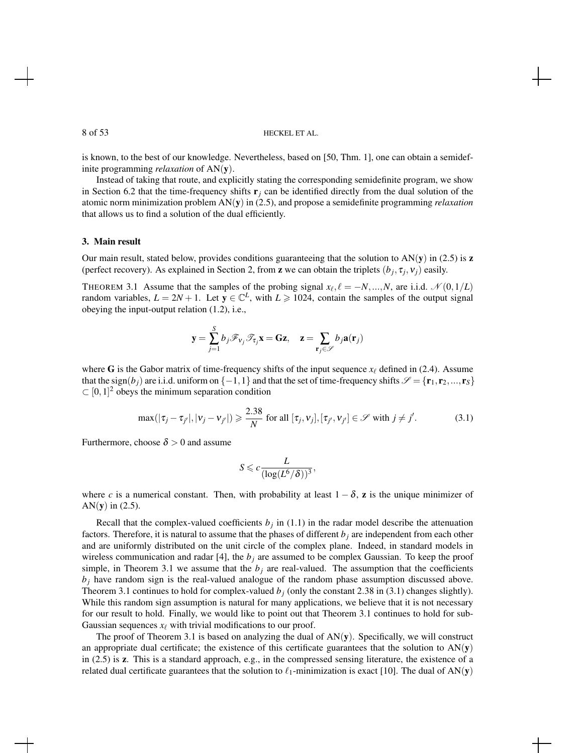is known, to the best of our knowledge. Nevertheless, based on [50, Thm. 1], one can obtain a semidefinite programming *relaxation* of AN(y).

Instead of taking that route, and explicitly stating the corresponding semidefinite program, we show in Section 6.2 that the time-frequency shifts  $\mathbf{r}_i$  can be identified directly from the dual solution of the atomic norm minimization problem AN(y) in (2.5), and propose a semidefinite programming *relaxation* that allows us to find a solution of the dual efficiently.

# 3. Main result

Our main result, stated below, provides conditions guaranteeing that the solution to  $AN(v)$  in (2.5) is z (perfect recovery). As explained in Section 2, from **z** we can obtain the triplets  $(b_j, \tau_j, v_j)$  easily.

THEOREM 3.1 Assume that the samples of the probing signal  $x_{\ell}, \ell = -N, ..., N$ , are i.i.d.  $\mathcal{N}(0,1/L)$ random variables,  $L = 2N + 1$ . Let  $y \in \mathbb{C}^L$ , with  $L \ge 1024$ , contain the samples of the output signal obeying the input-output relation (1.2), i.e.,

$$
\mathbf{y} = \sum_{j=1}^{S} b_j \mathscr{F}_{\mathbf{v}_j} \mathscr{T}_{\tau_j} \mathbf{x} = \mathbf{Gz}, \quad \mathbf{z} = \sum_{\mathbf{r}_j \in \mathscr{S}} b_j \mathbf{a}(\mathbf{r}_j)
$$

where G is the Gabor matrix of time-frequency shifts of the input sequence  $x_\ell$  defined in (2.4). Assume that the sign(*b<sub>i</sub>*) are i.i.d. uniform on  $\{-1,1\}$  and that the set of time-frequency shifts  $\mathscr{S} = {\bf r}_1, {\bf r}_2, ..., {\bf r}_s$  $\subset [0,1]^2$  obeys the minimum separation condition

$$
\max(|\tau_j - \tau_{j'}|, |\nu_j - \nu_{j'}|) \geq \frac{2.38}{N} \text{ for all } [\tau_j, \nu_j], [\tau_{j'}, \nu_{j'}] \in \mathscr{S} \text{ with } j \neq j'.
$$
 (3.1)

Furthermore, choose  $\delta > 0$  and assume

$$
S\leqslant c\frac{L}{(\log(L^6/\delta))^3},
$$

where *c* is a numerical constant. Then, with probability at least  $1 - \delta$ , **z** is the unique minimizer of  $AN(y)$  in (2.5).

Recall that the complex-valued coefficients  $b_j$  in (1.1) in the radar model describe the attenuation factors. Therefore, it is natural to assume that the phases of different *b<sup>j</sup>* are independent from each other and are uniformly distributed on the unit circle of the complex plane. Indeed, in standard models in wireless communication and radar [4], the  $b_j$  are assumed to be complex Gaussian. To keep the proof simple, in Theorem 3.1 we assume that the  $b_j$  are real-valued. The assumption that the coefficients  $b_j$  have random sign is the real-valued analogue of the random phase assumption discussed above. Theorem 3.1 continues to hold for complex-valued  $b_j$  (only the constant 2.38 in (3.1) changes slightly). While this random sign assumption is natural for many applications, we believe that it is not necessary for our result to hold. Finally, we would like to point out that Theorem 3.1 continues to hold for sub-Gaussian sequences  $x_\ell$  with trivial modifications to our proof.

The proof of Theorem 3.1 is based on analyzing the dual of  $AN(y)$ . Specifically, we will construct an appropriate dual certificate; the existence of this certificate guarantees that the solution to  $AN(y)$ in (2.5) is z. This is a standard approach, e.g., in the compressed sensing literature, the existence of a related dual certificate guarantees that the solution to  $\ell_1$ -minimization is exact [10]. The dual of AN(y)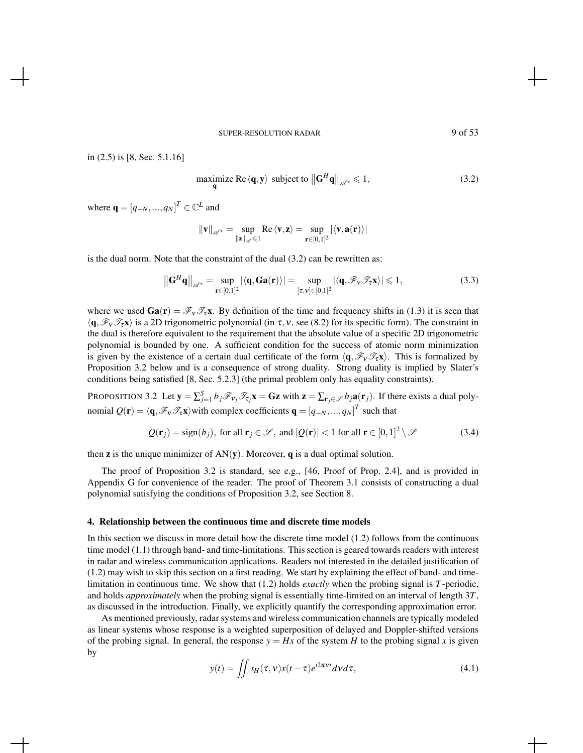in (2.5) is [8, Sec. 5.1.16]

maximize Re 
$$
\langle \mathbf{q}, \mathbf{y} \rangle
$$
 subject to  $\|\mathbf{G}^H \mathbf{q}\|_{\mathscr{A}^*} \leq 1$ , (3.2)

where  $\mathbf{q} = [q_{-N},...,q_N]^T \in \mathbb{C}^L$  and

$$
\|\mathbf{v}\|_{\mathscr{A}^*} = \sup_{\|\mathbf{z}\|_{\mathscr{A}} \leq 1} \text{Re}\,\langle \mathbf{v}, \mathbf{z} \rangle = \sup_{\mathbf{r} \in [0,1]^2} |\langle \mathbf{v}, \mathbf{a}(\mathbf{r}) \rangle|
$$

is the dual norm. Note that the constraint of the dual (3.2) can be rewritten as:

$$
\left\| \mathbf{G}^H \mathbf{q} \right\|_{\mathscr{A}^*} = \sup_{\mathbf{r} \in [0,1]^2} |\langle \mathbf{q}, \mathbf{G} \mathbf{a}(\mathbf{r}) \rangle| = \sup_{[\tau, v] \in [0,1]^2} |\langle \mathbf{q}, \mathscr{F}_v \mathscr{T}_{\tau} \mathbf{x} \rangle| \leq 1, \tag{3.3}
$$

where we used  $Ga(r) = \mathscr{F}_v \mathscr{T}_{\tau}$ x. By definition of the time and frequency shifts in (1.3) it is seen that  $\langle \mathbf{q}, \mathcal{F}_v \mathcal{F}_{\tau} \mathbf{x} \rangle$  is a 2D trigonometric polynomial (in  $\tau, v$ , see (8.2) for its specific form). The constraint in the dual is therefore equivalent to the requirement that the absolute value of a specific 2D trigonometric polynomial is bounded by one. A sufficient condition for the success of atomic norm minimization is given by the existence of a certain dual certificate of the form  $\langle \mathbf{q}, \mathcal{F}_v \mathcal{F}_{\tau} \mathbf{x} \rangle$ . This is formalized by Proposition 3.2 below and is a consequence of strong duality. Strong duality is implied by Slater's conditions being satisfied [8, Sec. 5.2.3] (the primal problem only has equality constraints).

PROPOSITION 3.2 Let  $\mathbf{y} = \sum_{j=1}^{S} b_j \mathscr{F}_{v_j} \mathscr{T}_{\tau_j} \mathbf{x} = \mathbf{Gz}$  with  $\mathbf{z} = \sum_{\mathbf{r}_j \in \mathscr{S}} b_j \mathbf{a}(\mathbf{r}_j)$ . If there exists a dual polynomial  $Q(\mathbf{r}) = \langle \mathbf{q}, \mathcal{F}_v \mathcal{F}_\tau \mathbf{x} \rangle$  with complex coefficients  $\mathbf{q} = [q_{-N},...,q_N]^T$  such that

$$
Q(\mathbf{r}_j) = \text{sign}(b_j), \text{ for all } \mathbf{r}_j \in \mathcal{S}, \text{ and } |Q(\mathbf{r})| < 1 \text{ for all } \mathbf{r} \in [0,1]^2 \setminus \mathcal{S} \tag{3.4}
$$

then **z** is the unique minimizer of  $AN(y)$ . Moreover, **q** is a dual optimal solution.

The proof of Proposition 3.2 is standard, see e.g., [46, Proof of Prop. 2.4], and is provided in Appendix G for convenience of the reader. The proof of Theorem 3.1 consists of constructing a dual polynomial satisfying the conditions of Proposition 3.2, see Section 8.

## 4. Relationship between the continuous time and discrete time models

In this section we discuss in more detail how the discrete time model  $(1.2)$  follows from the continuous time model (1.1) through band- and time-limitations. This section is geared towards readers with interest in radar and wireless communication applications. Readers not interested in the detailed justification of (1.2) may wish to skip this section on a first reading. We start by explaining the effect of band- and timelimitation in continuous time. We show that (1.2) holds *exactly* when the probing signal is *T*-periodic, and holds *approximately* when the probing signal is essentially time-limited on an interval of length 3*T*, as discussed in the introduction. Finally, we explicitly quantify the corresponding approximation error.

As mentioned previously, radar systems and wireless communication channels are typically modeled as linear systems whose response is a weighted superposition of delayed and Doppler-shifted versions of the probing signal. In general, the response  $y = Hx$  of the system *H* to the probing signal *x* is given by

$$
y(t) = \iint s_H(\tau, \mathbf{v}) x(t - \tau) e^{i2\pi vt} d\mathbf{v} d\tau,
$$
\n(4.1)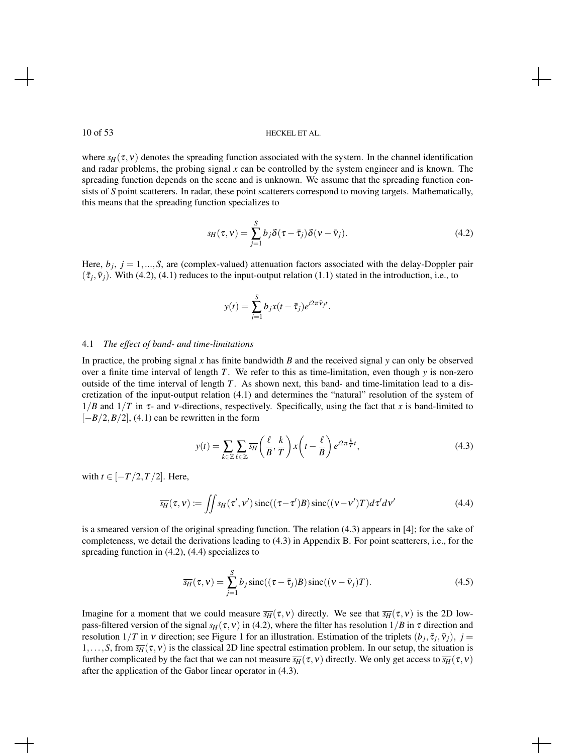where  $s_H(\tau, v)$  denotes the spreading function associated with the system. In the channel identification and radar problems, the probing signal *x* can be controlled by the system engineer and is known. The spreading function depends on the scene and is unknown. We assume that the spreading function consists of *S* point scatterers. In radar, these point scatterers correspond to moving targets. Mathematically, this means that the spreading function specializes to

$$
s_H(\tau, \mathbf{v}) = \sum_{j=1}^{S} b_j \delta(\tau - \bar{\tau}_j) \delta(\mathbf{v} - \bar{\mathbf{v}}_j).
$$
 (4.2)

Here,  $b_j$ ,  $j = 1,...,S$ , are (complex-valued) attenuation factors associated with the delay-Doppler pair  $(\bar{\tau}_j, \bar{v}_j)$ . With (4.2), (4.1) reduces to the input-output relation (1.1) stated in the introduction, i.e., to

$$
y(t) = \sum_{j=1}^{S} b_j x(t - \overline{\tau}_j) e^{i2\pi \overline{v}_j t}.
$$

# 4.1 *The effect of band- and time-limitations*

In practice, the probing signal *x* has finite bandwidth *B* and the received signal *y* can only be observed over a finite time interval of length *T*. We refer to this as time-limitation, even though *y* is non-zero outside of the time interval of length *T*. As shown next, this band- and time-limitation lead to a discretization of the input-output relation (4.1) and determines the "natural" resolution of the system of  $1/B$  and  $1/T$  in  $\tau$ - and  $\nu$ -directions, respectively. Specifically, using the fact that *x* is band-limited to  $[-B/2, B/2]$ , (4.1) can be rewritten in the form

$$
y(t) = \sum_{k \in \mathbb{Z}} \sum_{\ell \in \mathbb{Z}} \overline{s_H} \left( \frac{\ell}{B}, \frac{k}{T} \right) x \left( t - \frac{\ell}{B} \right) e^{i 2\pi \frac{k}{T} t},\tag{4.3}
$$

with  $t \in [-T/2, T/2]$ . Here,

$$
\overline{s_H}(\tau, v) := \iint s_H(\tau', v') \operatorname{sinc}((\tau - \tau')B) \operatorname{sinc}((v - v')T) d\tau' d\nu'
$$
\n(4.4)

is a smeared version of the original spreading function. The relation (4.3) appears in [4]; for the sake of completeness, we detail the derivations leading to (4.3) in Appendix B. For point scatterers, i.e., for the spreading function in (4.2), (4.4) specializes to

$$
\overline{s_H}(\tau, v) = \sum_{j=1}^{S} b_j \operatorname{sinc}((\tau - \overline{\tau}_j)B) \operatorname{sinc}((v - \overline{v}_j)T). \tag{4.5}
$$

Imagine for a moment that we could measure  $\overline{s_H}(\tau, v)$  directly. We see that  $\overline{s_H}(\tau, v)$  is the 2D lowpass-filtered version of the signal  $s_H(\tau, v)$  in (4.2), where the filter has resolution  $1/B$  in  $\tau$  direction and resolution  $1/T$  in v direction; see Figure 1 for an illustration. Estimation of the triplets  $(b_j, \bar{\tau}_j, \bar{v}_j)$ ,  $j =$ 1,...,*S*, from  $\overline{s_H}(\tau, v)$  is the classical 2D line spectral estimation problem. In our setup, the situation is further complicated by the fact that we can not measure  $\overline{s_H}(\tau, v)$  directly. We only get access to  $\overline{s_H}(\tau, v)$ after the application of the Gabor linear operator in (4.3).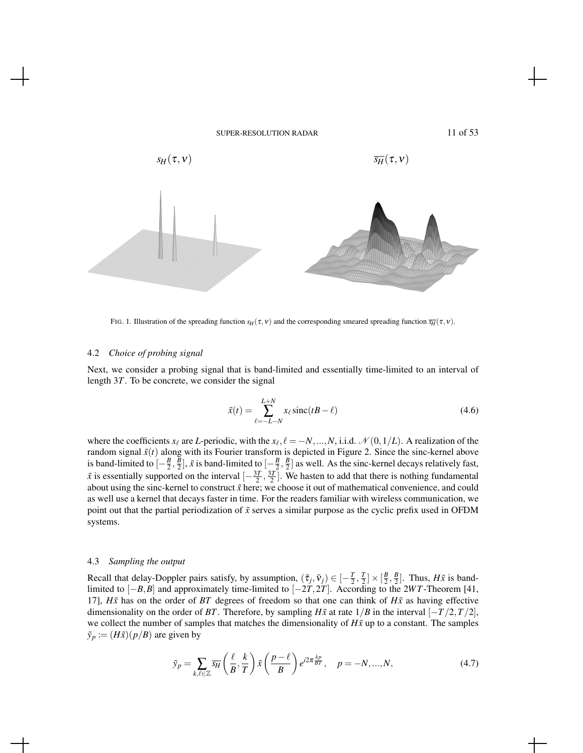

FIG. 1. Illustration of the spreading function  $s_H(\tau, v)$  and the corresponding smeared spreading function  $\overline{s_H}(\tau, v)$ .

## 4.2 *Choice of probing signal*

Next, we consider a probing signal that is band-limited and essentially time-limited to an interval of length 3*T*. To be concrete, we consider the signal

$$
\tilde{x}(t) = \sum_{\ell=-L-N}^{L+N} x_{\ell} \operatorname{sinc}(tB - \ell) \tag{4.6}
$$

where the coefficients  $x_\ell$  are *L*-periodic, with the  $x_\ell, \ell = -N, ..., N$ , i.i.d.  $\mathcal{N}(0,1/L)$ . A realization of the random signal  $\tilde{x}(t)$  along with its Fourier transform is depicted in Figure 2. Since the sinc-kernel above is band-limited to  $\left[-\frac{B}{2},\frac{\bar{B}}{2}\right]$ ,  $\tilde{x}$  is band-limited to  $\left[-\frac{B}{2},\frac{B}{2}\right]$  as well. As the sinc-kernel decays relatively fast,  $\tilde{x}$  is essentially supported on the interval  $[-\frac{3T}{2}, \frac{3T}{2}]$ . We hasten to add that there is nothing fundamental about using the sinc-kernel to construct  $\tilde{x}$  here; we choose it out of mathematical convenience, and could as well use a kernel that decays faster in time. For the readers familiar with wireless communication, we point out that the partial periodization of  $\tilde{x}$  serves a similar purpose as the cyclic prefix used in OFDM systems.

## 4.3 *Sampling the output*

Recall that delay-Doppler pairs satisfy, by assumption,  $(\bar{\tau}_j, \bar{v}_j) \in [-\frac{T}{2}, \frac{T}{2}] \times [\frac{B}{2}, \frac{B}{2}]$ . Thus,  $H\tilde{x}$  is bandlimited to [−*B*,*B*] and approximately time-limited to [−2*T*,2*T*]. According to the 2*W T*-Theorem [41, 17],  $H\tilde{x}$  has on the order of  $BT$  degrees of freedom so that one can think of  $H\tilde{x}$  as having effective dimensionality on the order of *BT*. Therefore, by sampling *H* $\tilde{x}$  at rate  $1/B$  in the interval  $[-T/2, T/2]$ , we collect the number of samples that matches the dimensionality of  $H\tilde{x}$  up to a constant. The samples  $\tilde{y}_p \coloneqq (H\tilde{x})(p/B)$  are given by

$$
\tilde{y}_p = \sum_{k,\ell \in \mathbb{Z}} \overline{s_H} \left( \frac{\ell}{B}, \frac{k}{T} \right) \tilde{x} \left( \frac{p - \ell}{B} \right) e^{i2\pi \frac{kp}{BT}}, \quad p = -N, ..., N,
$$
\n(4.7)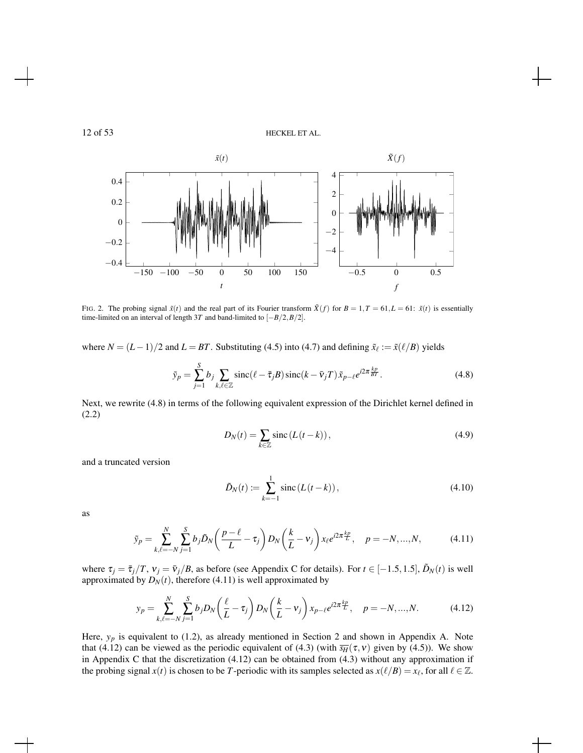

FIG. 2. The probing signal  $\tilde{x}(t)$  and the real part of its Fourier transform  $\tilde{X}(f)$  for  $B = 1, T = 61, L = 61$ :  $\tilde{x}(t)$  is essentially time-limited on an interval of length 3*T* and band-limited to  $[-B/2, B/2]$ .

where  $N = (L-1)/2$  and  $L = BT$ . Substituting (4.5) into (4.7) and defining  $\tilde{x}_{\ell} := \tilde{x}(\ell/B)$  yields

$$
\tilde{y}_p = \sum_{j=1}^{S} b_j \sum_{k,\ell \in \mathbb{Z}} \operatorname{sinc}(\ell - \bar{\tau}_j B) \operatorname{sinc}(k - \bar{v}_j T) \tilde{x}_{p-\ell} e^{i2\pi \frac{k_p}{BT}}.
$$
\n(4.8)

Next, we rewrite (4.8) in terms of the following equivalent expression of the Dirichlet kernel defined in (2.2)

$$
D_N(t) = \sum_{k \in \mathbb{Z}} \operatorname{sinc} \left( L(t - k) \right),\tag{4.9}
$$

and a truncated version

$$
\tilde{D}_N(t) := \sum_{k=-1}^{1} \text{sinc}\left(L(t-k)\right),\tag{4.10}
$$

as

$$
\tilde{y}_p = \sum_{k,\ell=-N}^{N} \sum_{j=1}^{S} b_j \tilde{D}_N \left( \frac{p-\ell}{L} - \tau_j \right) D_N \left( \frac{k}{L} - \nu_j \right) x_{\ell} e^{i2\pi \frac{kp}{L}}, \quad p = -N, ..., N,
$$
\n(4.11)

where  $\tau_j = \bar{\tau}_j / T$ ,  $v_j = \bar{v}_j / B$ , as before (see Appendix C for details). For  $t \in [-1.5, 1.5]$ ,  $\tilde{D}_N(t)$  is well approximated by  $D_N(t)$ , therefore (4.11) is well approximated by

$$
y_p = \sum_{k,\ell=-N}^{N} \sum_{j=1}^{S} b_j D_N \left(\frac{\ell}{L} - \tau_j\right) D_N \left(\frac{k}{L} - \nu_j\right) x_{p-\ell} e^{i2\pi \frac{k_p}{L}}, \quad p = -N, ..., N. \tag{4.12}
$$

Here,  $y_p$  is equivalent to (1.2), as already mentioned in Section 2 and shown in Appendix A. Note that (4.12) can be viewed as the periodic equivalent of (4.3) (with  $\overline{s}$  $\overline{H}(\tau, v)$  given by (4.5)). We show in Appendix C that the discretization (4.12) can be obtained from (4.3) without any approximation if the probing signal *x*(*t*) is chosen to be *T*-periodic with its samples selected as  $x(\ell/B) = x_{\ell}$ , for all  $\ell \in \mathbb{Z}$ .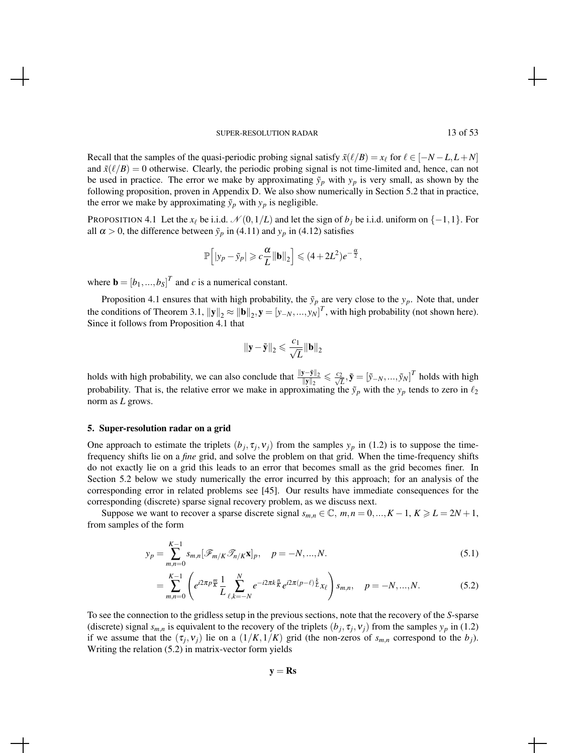#### SUPER-RESOLUTION RADAR 13 of 53

Recall that the samples of the quasi-periodic probing signal satisfy  $\tilde{x}(\ell/B) = x_{\ell}$  for  $\ell \in [-N-L, L+N]$ and  $\tilde{x}(\ell/B) = 0$  otherwise. Clearly, the periodic probing signal is not time-limited and, hence, can not be used in practice. The error we make by approximating  $\tilde{y}_p$  with  $y_p$  is very small, as shown by the following proposition, proven in Appendix D. We also show numerically in Section 5.2 that in practice, the error we make by approximating  $\tilde{y}_p$  with  $y_p$  is negligible.

PROPOSITION 4.1 Let the  $x_\ell$  be i.i.d.  $\mathcal{N}(0,1/L)$  and let the sign of *b<sub>i</sub>* be i.i.d. uniform on  $\{-1,1\}$ . For all  $\alpha > 0$ , the difference between  $\tilde{y}_p$  in (4.11) and  $y_p$  in (4.12) satisfies

$$
\mathbb{P}\Big[|y_p - \tilde{y}_p| \geqslant c \frac{\alpha}{L} ||\mathbf{b}||_2\Big] \leqslant (4 + 2L^2)e^{-\frac{\alpha}{2}},
$$

where  $\mathbf{b} = [b_1, ..., b_S]^T$  and *c* is a numerical constant.

Proposition 4.1 ensures that with high probability, the  $\tilde{y}_p$  are very close to the  $y_p$ . Note that, under the conditions of Theorem 3.1,  $\|\mathbf{y}\|_2 \approx \|\mathbf{b}\|_2$ ,  $\mathbf{y} = [y_{-N},..., y_N]^T$ , with high probability (not shown here). Since it follows from Proposition 4.1 that

$$
\left\|\mathbf{y}-\tilde{\mathbf{y}}\right\|_2\leqslant \frac{c_1}{\sqrt{L}}\|\mathbf{b}\|_2
$$

holds with high probability, we can also conclude that  $\frac{\|\mathbf{y}-\tilde{\mathbf{y}}\|_2}{\|\mathbf{y}\|_2} \leq \frac{c_2}{\sqrt{l}}$  $\frac{2}{L}$ ,  $\tilde{\mathbf{y}} = \begin{bmatrix} \tilde{y}_{-N}, ..., \tilde{y}_{N} \end{bmatrix}^T$  holds with high probability. That is, the relative error we make in approximating the  $\tilde{y}_p$  with the  $y_p$  tends to zero in  $\ell_2$ norm as *L* grows.

# 5. Super-resolution radar on a grid

One approach to estimate the triplets  $(b_j, \tau_j, v_j)$  from the samples  $y_p$  in (1.2) is to suppose the timefrequency shifts lie on a *fine* grid, and solve the problem on that grid. When the time-frequency shifts do not exactly lie on a grid this leads to an error that becomes small as the grid becomes finer. In Section 5.2 below we study numerically the error incurred by this approach; for an analysis of the corresponding error in related problems see [45]. Our results have immediate consequences for the corresponding (discrete) sparse signal recovery problem, as we discuss next.

Suppose we want to recover a sparse discrete signal  $s_{m,n} \in \mathbb{C}$ ,  $m,n = 0,...,K-1, K \ge L = 2N+1$ , from samples of the form

$$
y_p = \sum_{m,n=0}^{K-1} s_{m,n} [\mathcal{F}_{m/K} \mathcal{F}_{n/K} \mathbf{x}]_p, \quad p = -N, ..., N.
$$
 (5.1)

$$
= \sum_{m,n=0}^{K-1} \left( e^{i2\pi p \frac{m}{K}} \frac{1}{L} \sum_{\ell,k=-N}^{N} e^{-i2\pi k \frac{n}{K}} e^{i2\pi (p-\ell) \frac{k}{L}} x_{\ell} \right) s_{m,n}, \quad p = -N, ..., N. \tag{5.2}
$$

To see the connection to the gridless setup in the previous sections, note that the recovery of the *S*-sparse (discrete) signal  $s_{m,n}$  is equivalent to the recovery of the triplets  $(b_j, \tau_j, v_j)$  from the samples  $y_p$  in (1.2) if we assume that the  $(\tau_j, v_j)$  lie on a  $(1/K, 1/K)$  grid (the non-zeros of  $s_{m,n}$  correspond to the  $b_j$ ). Writing the relation (5.2) in matrix-vector form yields

 $y = Rs$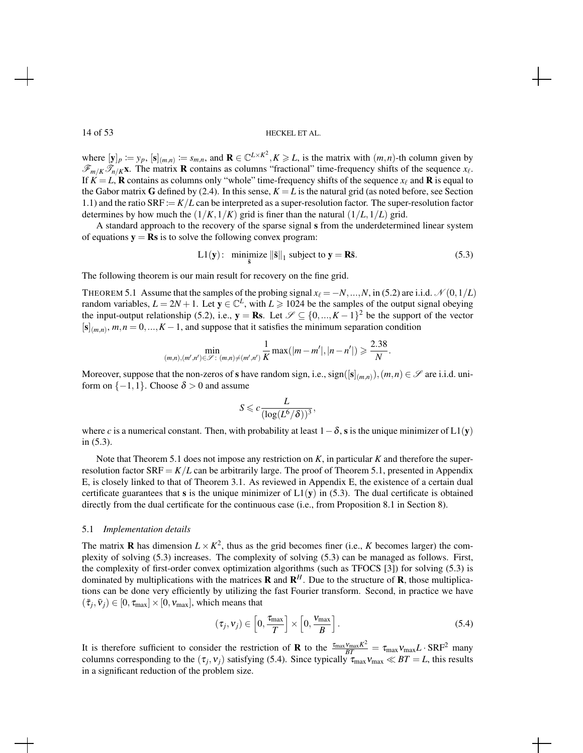where  $[\mathbf{y}]_p := y_p$ ,  $[\mathbf{s}]_{(m,n)} := s_{m,n}$ , and  $\mathbf{R} \in \mathbb{C}^{L \times K^2}, K \ge L$ , is the matrix with  $(m,n)$ -th column given by  $\mathscr{F}_{m/K}\mathscr{T}_{n/K}$ **x**. The matrix **R** contains as columns "fractional" time-frequency shifts of the sequence  $x_\ell$ . If  $K = L$ , **R** contains as columns only "whole" time-frequency shifts of the sequence  $x_\ell$  and **R** is equal to the Gabor matrix **G** defined by (2.4). In this sense,  $K = L$  is the natural grid (as noted before, see Section 1.1) and the ratio  $SRF = K/L$  can be interpreted as a super-resolution factor. The super-resolution factor determines by how much the  $(1/K,1/K)$  grid is finer than the natural  $(1/L,1/L)$  grid.

A standard approach to the recovery of the sparse signal s from the underdetermined linear system of equations  $y = Rs$  is to solve the following convex program:

$$
L1(y): \min_{\tilde{s}} \|\tilde{s}\|_1 \text{ subject to } y = \mathbf{R}\tilde{s}.
$$
 (5.3)

The following theorem is our main result for recovery on the fine grid.

THEOREM 5.1 Assume that the samples of the probing signal  $x_\ell = -N, ..., N$ , in (5.2) are i.i.d.  $\mathcal{N}(0,1/L)$ random variables,  $L = 2N + 1$ . Let  $y \in \mathbb{C}^L$ , with  $L \ge 1024$  be the samples of the output signal obeying the input-output relationship (5.2), i.e.,  $y = Rs$ . Let  $\mathcal{S} \subseteq \{0, ..., K-1\}^2$  be the support of the vector  $[\mathbf{s}]_{(m,n)}, m, n = 0, \ldots, K-1$ , and suppose that it satisfies the minimum separation condition

$$
\min_{(m,n),(m',n')\in\mathscr{S}:\ (m,n)\neq(m',n')}\frac{1}{K}\max(|m-m'|,|n-n'|)\geqslant\frac{2.38}{N}.
$$

Moreover, suppose that the non-zeros of **s** have random sign, i.e.,  $sign([s]_{(m,n)}), (m,n) \in \mathcal{S}$  are i.i.d. uniform on  $\{-1,1\}$ . Choose  $\delta > 0$  and assume

$$
S \leqslant c \frac{L}{(\log(L^6/\delta))^3},
$$

where *c* is a numerical constant. Then, with probability at least  $1-\delta$ , s is the unique minimizer of L1(y) in (5.3).

Note that Theorem 5.1 does not impose any restriction on *K*, in particular *K* and therefore the superresolution factor  $SRF = K/L$  can be arbitrarily large. The proof of Theorem 5.1, presented in Appendix E, is closely linked to that of Theorem 3.1. As reviewed in Appendix E, the existence of a certain dual certificate guarantees that s is the unique minimizer of  $L_1(y)$  in (5.3). The dual certificate is obtained directly from the dual certificate for the continuous case (i.e., from Proposition 8.1 in Section 8).

## 5.1 *Implementation details*

The matrix **R** has dimension  $L \times K^2$ , thus as the grid becomes finer (i.e., *K* becomes larger) the complexity of solving (5.3) increases. The complexity of solving (5.3) can be managed as follows. First, the complexity of first-order convex optimization algorithms (such as TFOCS [3]) for solving (5.3) is dominated by multiplications with the matrices **R** and  $\mathbf{R}^H$ . Due to the structure of **R**, those multiplications can be done very efficiently by utilizing the fast Fourier transform. Second, in practice we have  $(\bar{\tau}_j, \bar{v}_j) \in [0, \tau_{\text{max}}] \times [0, v_{\text{max}}]$ , which means that

$$
(\tau_j, v_j) \in \left[0, \frac{\tau_{\max}}{T}\right] \times \left[0, \frac{v_{\max}}{B}\right].
$$
 (5.4)

It is therefore sufficient to consider the restriction of **R** to the  $\frac{\tau_{\text{max}}v_{\text{max}}K^2}{BT} = \tau_{\text{max}}v_{\text{max}}L \cdot \text{SRF}^2$  many columns corresponding to the  $(\tau_j, v_j)$  satisfying (5.4). Since typically  $\tau_{\text{max}}v_{\text{max}} \ll BT = L$ , this results in a significant reduction of the problem size.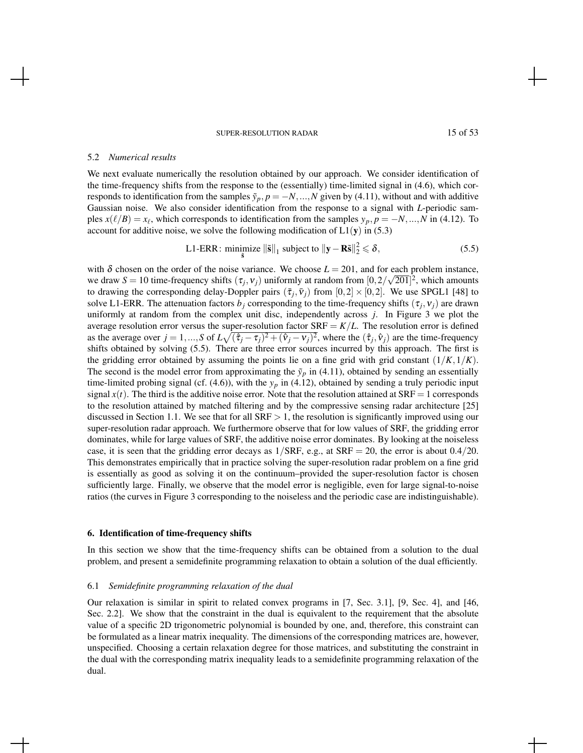## SUPER-RESOLUTION RADAR 15 of 53

## 5.2 *Numerical results*

We next evaluate numerically the resolution obtained by our approach. We consider identification of the time-frequency shifts from the response to the (essentially) time-limited signal in (4.6), which corresponds to identification from the samples  $\tilde{y}_p$ ,  $p = -N$ ,...,*N* given by (4.11), without and with additive Gaussian noise. We also consider identification from the response to a signal with *L*-periodic samples  $x(\ell/B) = x_{\ell}$ , which corresponds to identification from the samples  $y_p, p = -N, ..., N$  in (4.12). To account for additive noise, we solve the following modification of  $L1(y)$  in (5.3)

L1-ERR: minimize 
$$
\|\tilde{\mathbf{s}}\|_1
$$
 subject to  $\|\mathbf{y}-\mathbf{R}\tilde{\mathbf{s}}\|_2^2 \le \delta$ , (5.5)

with  $\delta$  chosen on the order of the noise variance. We choose  $L = 201$ , and for each problem instance, we draw  $S = 10$  time-frequency shifts  $(\tau_j, v_j)$  uniformly at random from  $[0, 2/\sqrt{201}]^2$ , which amounts to drawing the corresponding delay-Doppler pairs  $(\bar{\tau}_j, \bar{v}_j)$  from  $[0,2] \times [0,2]$ . We use SPGL1 [48] to solve L1-ERR. The attenuation factors  $b_j$  corresponding to the time-frequency shifts  $(\tau_j, v_j)$  are drawn uniformly at random from the complex unit disc, independently across *j*. In Figure 3 we plot the average resolution error versus the super-resolution factor  $SRF = K/L$ . The resolution error is defined as the average over  $j = 1, ..., S$  of  $L\sqrt{(\hat{\tau}_j - \tau_j)^2 + (\hat{v}_j - v_j)^2}$ , where the  $(\hat{\tau}_j, \hat{v}_j)$  are the time-frequency shifts obtained by solving (5.5). There are three error sources incurred by this approach. The first is the gridding error obtained by assuming the points lie on a fine grid with grid constant  $(1/K,1/K)$ . The second is the model error from approximating the  $\tilde{y}_p$  in (4.11), obtained by sending an essentially time-limited probing signal (cf.  $(4.6)$ ), with the  $y_p$  in  $(4.12)$ , obtained by sending a truly periodic input signal  $x(t)$ . The third is the additive noise error. Note that the resolution attained at SRF = 1 corresponds to the resolution attained by matched filtering and by the compressive sensing radar architecture [25] discussed in Section 1.1. We see that for all  $SRF > 1$ , the resolution is significantly improved using our super-resolution radar approach. We furthermore observe that for low values of SRF, the gridding error dominates, while for large values of SRF, the additive noise error dominates. By looking at the noiseless case, it is seen that the gridding error decays as  $1/\text{SRF}$ , e.g., at  $\text{SRF} = 20$ , the error is about 0.4/20. This demonstrates empirically that in practice solving the super-resolution radar problem on a fine grid is essentially as good as solving it on the continuum–provided the super-resolution factor is chosen sufficiently large. Finally, we observe that the model error is negligible, even for large signal-to-noise ratios (the curves in Figure 3 corresponding to the noiseless and the periodic case are indistinguishable).

# 6. Identification of time-frequency shifts

In this section we show that the time-frequency shifts can be obtained from a solution to the dual problem, and present a semidefinite programming relaxation to obtain a solution of the dual efficiently.

## 6.1 *Semidefinite programming relaxation of the dual*

Our relaxation is similar in spirit to related convex programs in [7, Sec. 3.1], [9, Sec. 4], and [46, Sec. 2.2]. We show that the constraint in the dual is equivalent to the requirement that the absolute value of a specific 2D trigonometric polynomial is bounded by one, and, therefore, this constraint can be formulated as a linear matrix inequality. The dimensions of the corresponding matrices are, however, unspecified. Choosing a certain relaxation degree for those matrices, and substituting the constraint in the dual with the corresponding matrix inequality leads to a semidefinite programming relaxation of the dual.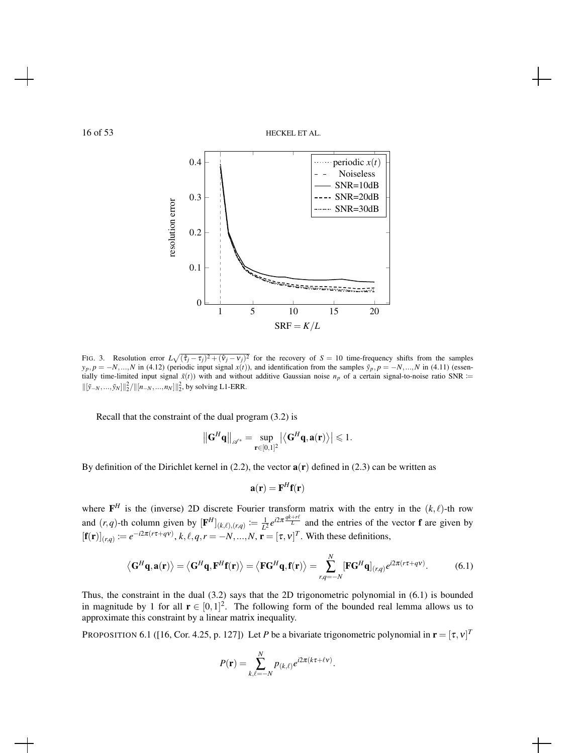

FIG. 3. Resolution error  $L\sqrt{(\hat{\tau}_j - \tau_j)^2 + (\hat{v}_j - v_j)^2}$  for the recovery of  $S = 10$  time-frequency shifts from the samples  $y_p, p = -N, ..., N$  in (4.12) (periodic input signal  $x(t)$ ), and identification from the samples  $\tilde{y}_p, p = -N, ..., N$  in (4.11) (essentially time-limited input signal  $\tilde{x}(t)$ ) with and without additive Gaussian noise  $n_p$  of a certain signal-to-noise ratio SNR := *|*| $[\tilde{y}_-N, ..., \tilde{y}_N]$ || $\frac{2}{2}$ /|| $[n_N, ..., n_N]$ || $\frac{2}{2}$ , by solving L1-ERR.

Recall that the constraint of the dual program (3.2) is

$$
\left\| \mathbf{G}^H \mathbf{q} \right\|_{\mathscr{A}^*} = \sup_{\mathbf{r} \in [0,1]^2} \left| \left\langle \mathbf{G}^H \mathbf{q}, \mathbf{a}(\mathbf{r}) \right\rangle \right| \leqslant 1.
$$

By definition of the Dirichlet kernel in (2.2), the vector  $\mathbf{a}(\mathbf{r})$  defined in (2.3) can be written as

$$
\mathbf{a}(\mathbf{r}) = \mathbf{F}^H \mathbf{f}(\mathbf{r})
$$

where  $\mathbf{F}^H$  is the (inverse) 2D discrete Fourier transform matrix with the entry in the  $(k, \ell)$ -th row and  $(r, q)$ -th column given by  $[\mathbf{F}^H]_{(k, \ell), (r,q)} \coloneqq \frac{1}{L^2}$  $\frac{1}{L^2}e^{i2\pi \frac{qk+r\ell}{L}}$  and the entries of the vector **f** are given by  $[\mathbf{f}(\mathbf{r})]_{(r,q)} := e^{-i2\pi(r\tau+q\nu)}, k, \ell, q, r = -N, ..., N$ ,  $\mathbf{r} = [\tau, v]^T$ . With these definitions,

$$
\langle \mathbf{G}^H \mathbf{q}, \mathbf{a}(\mathbf{r}) \rangle = \langle \mathbf{G}^H \mathbf{q}, \mathbf{F}^H \mathbf{f}(\mathbf{r}) \rangle = \langle \mathbf{F} \mathbf{G}^H \mathbf{q}, \mathbf{f}(\mathbf{r}) \rangle = \sum_{r,q=-N}^{N} [\mathbf{F} \mathbf{G}^H \mathbf{q}]_{(r,q)} e^{i2\pi(r\tau + q\mathbf{v})}.
$$
 (6.1)

Thus, the constraint in the dual (3.2) says that the 2D trigonometric polynomial in (6.1) is bounded in magnitude by 1 for all  $\mathbf{r} \in [0,1]^2$ . The following form of the bounded real lemma allows us to approximate this constraint by a linear matrix inequality.

PROPOSITION 6.1 ([16, Cor. 4.25, p. 127]) Let *P* be a bivariate trigonometric polynomial in  $\mathbf{r} = [\tau, v]^T$ 

$$
P(\mathbf{r}) = \sum_{k,\ell=-N}^{N} p_{(k,\ell)} e^{i2\pi(k\tau+\ell v)}.
$$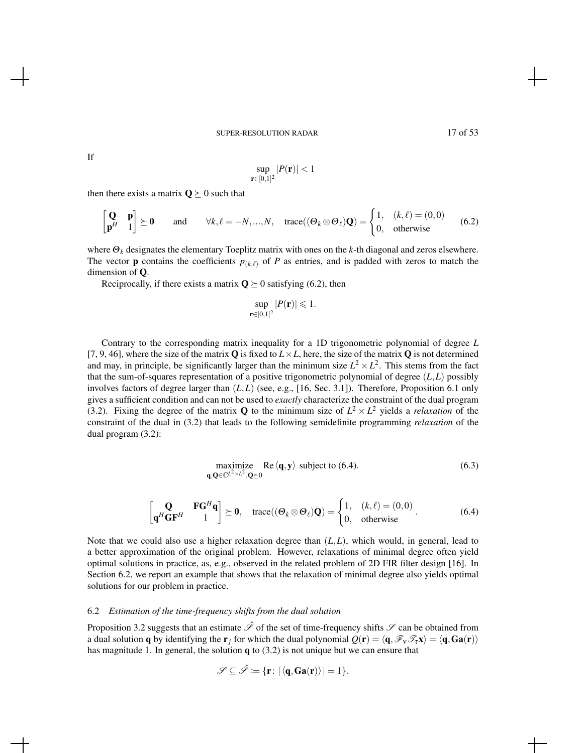## SUPER-RESOLUTION RADAR 17 of 53

$$
\sup_{\mathbf{r}\in[0,1]^2}|P(\mathbf{r})|<1
$$

then there exists a matrix  $\mathbf{Q} \succeq 0$  such that

$$
\begin{bmatrix} \mathbf{Q} & \mathbf{p} \\ \mathbf{p}^H & 1 \end{bmatrix} \succeq \mathbf{0} \quad \text{and} \quad \forall k, \ell = -N, ..., N, \quad \text{trace}((\mathbf{\Theta}_k \otimes \mathbf{\Theta}_\ell)\mathbf{Q}) = \begin{cases} 1, & (k, \ell) = (0, 0) \\ 0, & \text{otherwise} \end{cases} \tag{6.2}
$$

where Θ*<sup>k</sup>* designates the elementary Toeplitz matrix with ones on the *k*-th diagonal and zeros elsewhere. The vector **p** contains the coefficients  $p_{(k,\ell)}$  of *P* as entries, and is padded with zeros to match the dimension of Q.

Reciprocally, if there exists a matrix  $\mathbf{Q} \succeq 0$  satisfying (6.2), then

$$
\sup_{\mathbf{r}\in[0,1]^2}|P(\mathbf{r})|\leqslant 1.
$$

Contrary to the corresponding matrix inequality for a 1D trigonometric polynomial of degree *L* [7, 9, 46], where the size of the matrix  $\bf{Q}$  is fixed to  $L \times L$ , here, the size of the matrix  $\bf{Q}$  is not determined and may, in principle, be significantly larger than the minimum size  $L^2 \times L^2$ . This stems from the fact that the sum-of-squares representation of a positive trigonometric polynomial of degree (*L*,*L*) possibly involves factors of degree larger than (*L*,*L*) (see, e.g., [16, Sec. 3.1]). Therefore, Proposition 6.1 only gives a sufficient condition and can not be used to *exactly* characterize the constraint of the dual program (3.2). Fixing the degree of the matrix **Q** to the minimum size of  $L^2 \times L^2$  yields a *relaxation* of the constraint of the dual in (3.2) that leads to the following semidefinite programming *relaxation* of the dual program (3.2):

$$
\begin{array}{ll}\text{maximize} & \text{Re}\left\langle \mathbf{q}, \mathbf{y} \right\rangle \text{ subject to (6.4).}\\ \mathbf{q}, \mathbf{Q} \in \mathbb{C}^{L^2 \times L^2}, \mathbf{Q} \succeq 0 \end{array} \tag{6.3}
$$

$$
\begin{bmatrix} \mathbf{Q} & \mathbf{F}\mathbf{G}^H \mathbf{q} \\ \mathbf{q}^H \mathbf{G} \mathbf{F}^H & 1 \end{bmatrix} \succeq \mathbf{0}, \quad \text{trace}((\mathbf{\Theta}_k \otimes \mathbf{\Theta}_\ell)\mathbf{Q}) = \begin{cases} 1, & (k,\ell) = (0,0) \\ 0, & \text{otherwise} \end{cases}.
$$
 (6.4)

Note that we could also use a higher relaxation degree than (*L*,*L*), which would, in general, lead to a better approximation of the original problem. However, relaxations of minimal degree often yield optimal solutions in practice, as, e.g., observed in the related problem of 2D FIR filter design [16]. In Section 6.2, we report an example that shows that the relaxation of minimal degree also yields optimal solutions for our problem in practice.

# 6.2 *Estimation of the time-frequency shifts from the dual solution*

Proposition 3.2 suggests that an estimate  $\hat{\mathscr{S}}$  of the set of time-frequency shifts  $\hat{\mathscr{S}}$  can be obtained from a dual solution **q** by identifying the **r**<sub>*j*</sub> for which the dual polynomial  $Q(\mathbf{r}) = \langle \mathbf{q}, \mathcal{F}_v \mathcal{F}_\tau \mathbf{x} \rangle = \langle \mathbf{q}, \mathbf{Ga}(\mathbf{r}) \rangle$ has magnitude 1. In general, the solution  $q$  to (3.2) is not unique but we can ensure that

$$
\mathscr{S} \subseteq \hat{\mathscr{S}} \coloneqq \{ \mathbf{r} \colon |\left\langle \mathbf{q}, G\mathbf{a}(\mathbf{r}) \right\rangle|=1 \}.
$$

If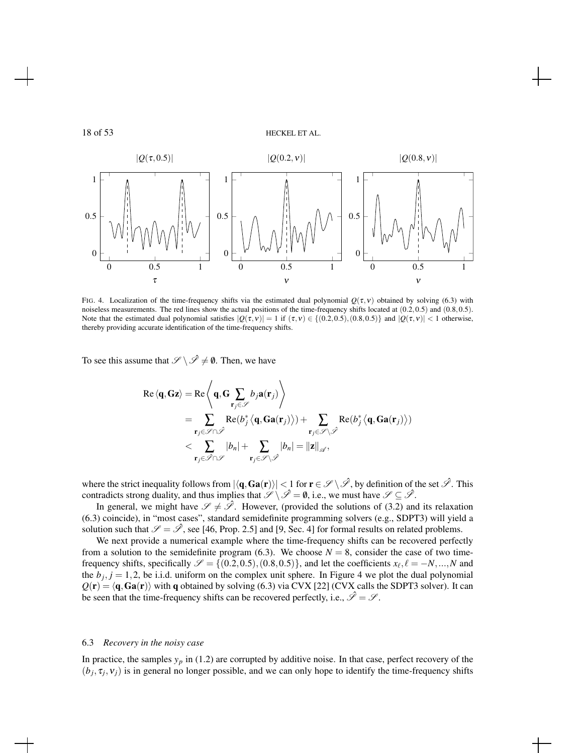

FIG. 4. Localization of the time-frequency shifts via the estimated dual polynomial  $Q(\tau, v)$  obtained by solving (6.3) with noiseless measurements. The red lines show the actual positions of the time-frequency shifts located at  $(0.2, 0.5)$  and  $(0.8, 0.5)$ . Note that the estimated dual polynomial satisfies  $|Q(\tau,v)| = 1$  if  $(\tau,v) \in \{(0.2,0.5), (0.8,0.5)\}$  and  $|Q(\tau,v)| < 1$  otherwise, thereby providing accurate identification of the time-frequency shifts.

To see this assume that  $\mathscr{S} \setminus \mathscr{S} \neq \emptyset$ . Then, we have

$$
\operatorname{Re}\langle\mathbf{q},\mathbf{Gz}\rangle = \operatorname{Re}\left\langle\mathbf{q},\mathbf{G}\sum_{\mathbf{r}_{j}\in\mathscr{S}}b_{j}\mathbf{a}(\mathbf{r}_{j})\right\rangle \n= \sum_{\mathbf{r}_{j}\in\mathscr{S}\cap\hat{\mathscr{S}}}\operatorname{Re}(b_{j}^{*}\langle\mathbf{q},\mathbf{Ga}(\mathbf{r}_{j})\rangle) + \sum_{\mathbf{r}_{j}\in\mathscr{S}\setminus\hat{\mathscr{S}}}\operatorname{Re}(b_{j}^{*}\langle\mathbf{q},\mathbf{Ga}(\mathbf{r}_{j})\rangle) \n< \sum_{\mathbf{r}_{j}\in\hat{\mathscr{S}}\cap\mathscr{S}}|b_{n}| + \sum_{\mathbf{r}_{j}\in\mathscr{S}\setminus\hat{\mathscr{S}}}|b_{n}| = ||\mathbf{z}||_{\mathscr{A}},
$$

where the strict inequality follows from  $|\langle \mathbf{q}, Ga(r)\rangle| < 1$  for  $\mathbf{r} \in \mathcal{S} \setminus \hat{\mathcal{S}}$ , by definition of the set  $\hat{\mathcal{S}}$ . This contradicts strong duality, and thus implies that  $\mathscr{S} \setminus \mathscr{\hat{S}} = \emptyset$ , i.e., we must have  $\mathscr{S} \subseteq \mathscr{\hat{S}}$ .

In general, we might have  $\mathscr{S} \neq \mathscr{\hat{S}}$ . However, (provided the solutions of (3.2) and its relaxation (6.3) coincide), in "most cases", standard semidefinite programming solvers (e.g., SDPT3) will yield a solution such that  $\mathcal{S} = \hat{\mathcal{S}}$ , see [46, Prop. 2.5] and [9, Sec. 4] for formal results on related problems.

We next provide a numerical example where the time-frequency shifts can be recovered perfectly from a solution to the semidefinite program (6.3). We choose  $N = 8$ , consider the case of two timefrequency shifts, specifically  $\mathscr{S} = \{(0.2, 0.5), (0.8, 0.5)\}\,$  and let the coefficients  $x_\ell, \ell = -N, ..., N$  and the  $b_j$ ,  $j = 1, 2$ , be i.i.d. uniform on the complex unit sphere. In Figure 4 we plot the dual polynomial  $Q(\mathbf{r}) = \langle \mathbf{q},\mathbf{Ga}(\mathbf{r})\rangle$  with q obtained by solving (6.3) via CVX [22] (CVX calls the SDPT3 solver). It can be seen that the time-frequency shifts can be recovered perfectly, i.e.,  $\hat{\mathscr{S}} = \mathscr{S}$ .

# 6.3 *Recovery in the noisy case*

In practice, the samples  $y_p$  in (1.2) are corrupted by additive noise. In that case, perfect recovery of the  $(b_j, \tau_j, v_j)$  is in general no longer possible, and we can only hope to identify the time-frequency shifts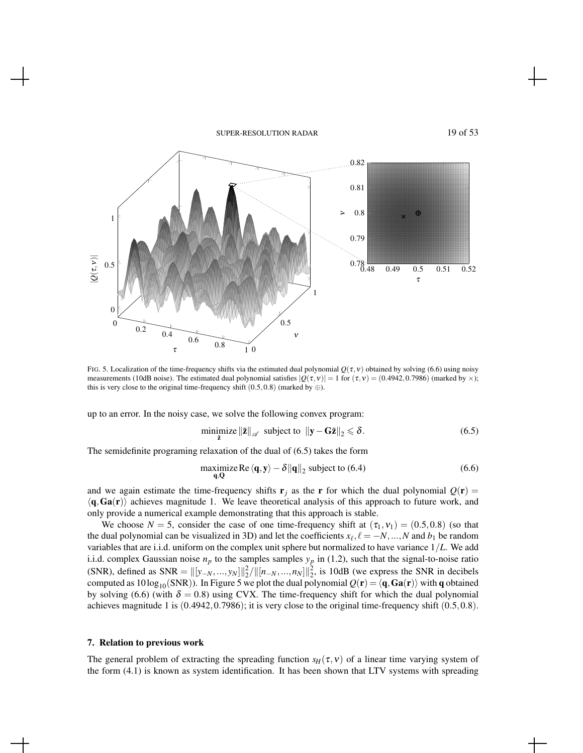## SUPER-RESOLUTION RADAR 19 of 53



FIG. 5. Localization of the time-frequency shifts via the estimated dual polynomial  $O(τ,ν)$  obtained by solving (6.6) using noisy measurements (10dB noise). The estimated dual polynomial satisfies  $|Q(\tau,v)| = 1$  for  $(\tau,v) = (0.4942,0.7986)$  (marked by  $\times$ ); this is very close to the original time-frequency shift  $(0.5,0.8)$  (marked by ⊕).

up to an error. In the noisy case, we solve the following convex program:

$$
\underset{\tilde{\mathbf{z}}}{\text{minimize}} \|\tilde{\mathbf{z}}\|_{\mathscr{A}} \text{ subject to } \|\mathbf{y} - \mathbf{G}\tilde{\mathbf{z}}\|_{2} \leq \delta. \tag{6.5}
$$

The semidefinite programing relaxation of the dual of (6.5) takes the form

$$
\begin{array}{c}\n\text{maximize Re } \langle \mathbf{q}, \mathbf{y} \rangle - \delta \|\mathbf{q}\|_2 \text{ subject to (6.4)}\\
q, Q\n\end{array} \tag{6.6}
$$

and we again estimate the time-frequency shifts  $\mathbf{r}_i$  as the r for which the dual polynomial  $Q(\mathbf{r}) =$  $\langle \mathbf{q},\mathbf{Ga}(\mathbf{r})\rangle$  achieves magnitude 1. We leave theoretical analysis of this approach to future work, and only provide a numerical example demonstrating that this approach is stable.

We choose  $N = 5$ , consider the case of one time-frequency shift at  $(\tau_1, \nu_1) = (0.5, 0.8)$  (so that the dual polynomial can be visualized in 3D) and let the coefficients  $x_\ell, \ell = -N, ..., N$  and  $b_1$  be random variables that are i.i.d. uniform on the complex unit sphere but normalized to have variance 1/*L*. We add i.i.d. complex Gaussian noise  $n_p$  to the samples samples  $y_p$  in (1.2), such that the signal-to-noise ratio (SNR), defined as  $SNR = ||[y_{-N},..., y_N]||_2^2 / ||[n_{-N},..., n_N]||_2^2$ , is 10dB (we express the SNR in decibels computed as  $10\log_{10}(SNR)$ ). In Figure 5 we plot the dual polynomial  $Q(r) = \langle q, Ga(r)\rangle$  with q obtained by solving (6.6) (with  $\delta = 0.8$ ) using CVX. The time-frequency shift for which the dual polynomial achieves magnitude 1 is  $(0.4942, 0.7986)$ ; it is very close to the original time-frequency shift  $(0.5, 0.8)$ .

# 7. Relation to previous work

The general problem of extracting the spreading function  $s_H(\tau, v)$  of a linear time varying system of the form (4.1) is known as system identification. It has been shown that LTV systems with spreading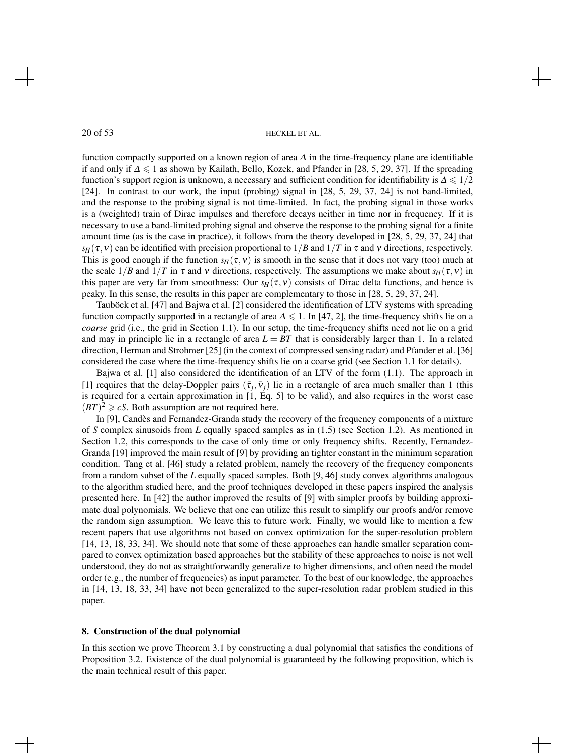function compactly supported on a known region of area  $\Delta$  in the time-frequency plane are identifiable if and only if  $\Delta \leq 1$  as shown by Kailath, Bello, Kozek, and Pfander in [28, 5, 29, 37]. If the spreading function's support region is unknown, a necessary and sufficient condition for identifiability is  $\Delta \leq 1/2$ [24]. In contrast to our work, the input (probing) signal in [28, 5, 29, 37, 24] is not band-limited, and the response to the probing signal is not time-limited. In fact, the probing signal in those works is a (weighted) train of Dirac impulses and therefore decays neither in time nor in frequency. If it is necessary to use a band-limited probing signal and observe the response to the probing signal for a finite amount time (as is the case in practice), it follows from the theory developed in [28, 5, 29, 37, 24] that  $s_H(\tau, v)$  can be identified with precision proportional to  $1/B$  and  $1/T$  in  $\tau$  and  $v$  directions, respectively. This is good enough if the function  $s_H(\tau, v)$  is smooth in the sense that it does not vary (too) much at the scale  $1/B$  and  $1/T$  in  $\tau$  and  $\nu$  directions, respectively. The assumptions we make about *s*<sub>H</sub>( $\tau$ ,  $\nu$ ) in this paper are very far from smoothness: Our  $s_H(\tau, v)$  consists of Dirac delta functions, and hence is peaky. In this sense, the results in this paper are complementary to those in [28, 5, 29, 37, 24].

Tauböck et al. [47] and Bajwa et al. [2] considered the identification of LTV systems with spreading function compactly supported in a rectangle of area  $\Delta \leq 1$ . In [47, 2], the time-frequency shifts lie on a *coarse* grid (i.e., the grid in Section 1.1). In our setup, the time-frequency shifts need not lie on a grid and may in principle lie in a rectangle of area  $L = BT$  that is considerably larger than 1. In a related direction, Herman and Strohmer [25] (in the context of compressed sensing radar) and Pfander et al. [36] considered the case where the time-frequency shifts lie on a coarse grid (see Section 1.1 for details).

Bajwa et al. [1] also considered the identification of an LTV of the form (1.1). The approach in [1] requires that the delay-Doppler pairs  $(\bar{\tau}_j, \bar{v}_j)$  lie in a rectangle of area much smaller than 1 (this is required for a certain approximation in [1, Eq. 5] to be valid), and also requires in the worst case  $(BT)^2 \ge cS$ . Both assumption are not required here.

In [9], Candès and Fernandez-Granda study the recovery of the frequency components of a mixture of *S* complex sinusoids from *L* equally spaced samples as in (1.5) (see Section 1.2). As mentioned in Section 1.2, this corresponds to the case of only time or only frequency shifts. Recently, Fernandez-Granda [19] improved the main result of [9] by providing an tighter constant in the minimum separation condition. Tang et al. [46] study a related problem, namely the recovery of the frequency components from a random subset of the *L* equally spaced samples. Both [9, 46] study convex algorithms analogous to the algorithm studied here, and the proof techniques developed in these papers inspired the analysis presented here. In [42] the author improved the results of [9] with simpler proofs by building approximate dual polynomials. We believe that one can utilize this result to simplify our proofs and/or remove the random sign assumption. We leave this to future work. Finally, we would like to mention a few recent papers that use algorithms not based on convex optimization for the super-resolution problem [14, 13, 18, 33, 34]. We should note that some of these approaches can handle smaller separation compared to convex optimization based approaches but the stability of these approaches to noise is not well understood, they do not as straightforwardly generalize to higher dimensions, and often need the model order (e.g., the number of frequencies) as input parameter. To the best of our knowledge, the approaches in [14, 13, 18, 33, 34] have not been generalized to the super-resolution radar problem studied in this paper.

# 8. Construction of the dual polynomial

In this section we prove Theorem 3.1 by constructing a dual polynomial that satisfies the conditions of Proposition 3.2. Existence of the dual polynomial is guaranteed by the following proposition, which is the main technical result of this paper.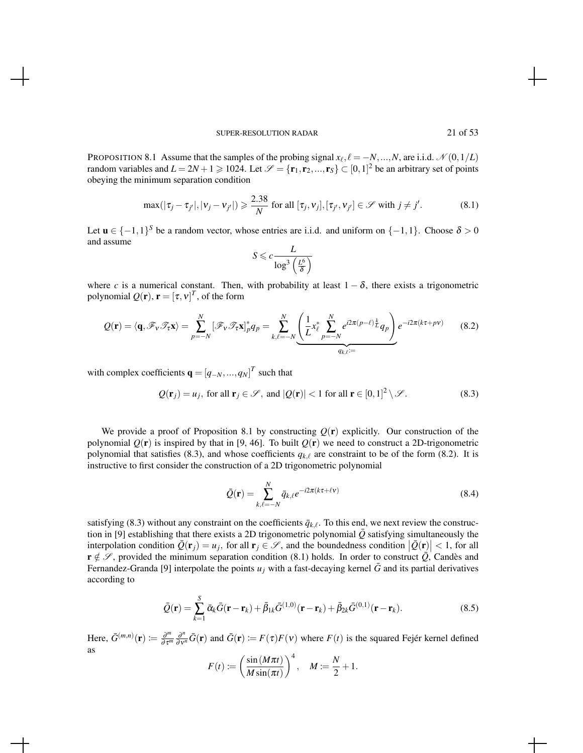#### SUPER-RESOLUTION RADAR 21 of 53

PROPOSITION 8.1 Assume that the samples of the probing signal  $x_\ell, \ell = -N, ..., N$ , are i.i.d.  $\mathcal{N}(0,1/L)$ random variables and  $L = 2N + 1 \ge 1024$ . Let  $\mathcal{S} = {\mathbf{r}_1, \mathbf{r}_2, ..., \mathbf{r}_S} \subset [0, 1]^2$  be an arbitrary set of points obeying the minimum separation condition

$$
\max(|\tau_j - \tau_{j'}|, |\nu_j - \nu_{j'}|) \geq \frac{2.38}{N} \text{ for all } [\tau_j, \nu_j], [\tau_{j'}, \nu_{j'}] \in \mathscr{S} \text{ with } j \neq j'.
$$
 (8.1)

Let  $\mathbf{u} \in \{-1,1\}^S$  be a random vector, whose entries are i.i.d. and uniform on  $\{-1,1\}$ . Choose  $\delta > 0$ and assume

$$
S \leqslant c \frac{L}{\log^3\left(\frac{L^6}{\delta}\right)}
$$

where *c* is a numerical constant. Then, with probability at least  $1 - \delta$ , there exists a trigonometric polynomial  $Q(\mathbf{r})$ ,  $\mathbf{r} = [\tau, v]^T$ , of the form

$$
Q(\mathbf{r}) = \langle \mathbf{q}, \mathscr{F}_{\mathbf{v}} \mathscr{T}_{\tau} \mathbf{x} \rangle = \sum_{p=-N}^{N} [\mathscr{F}_{\mathbf{v}} \mathscr{T}_{\tau} \mathbf{x}]_{p}^{*} q_{p} = \sum_{k,\ell=-N}^{N} \underbrace{\left(\frac{1}{L} x_{\ell}^{*} \sum_{p=-N}^{N} e^{i2\pi (p-\ell) \frac{k}{L}} q_{p}\right)}_{q_{k,\ell}:=} e^{-i2\pi (k\tau + p\mathbf{v})}
$$
(8.2)

with complex coefficients  $\mathbf{q} = [q_{-N},...,q_N]^T$  such that

$$
Q(\mathbf{r}_j) = u_j
$$
, for all  $\mathbf{r}_j \in \mathcal{S}$ , and  $|Q(\mathbf{r})| < 1$  for all  $\mathbf{r} \in [0,1]^2 \setminus \mathcal{S}$ . (8.3)

We provide a proof of Proposition 8.1 by constructing *Q*(r) explicitly. Our construction of the polynomial  $Q(\mathbf{r})$  is inspired by that in [9, 46]. To built  $Q(\mathbf{r})$  we need to construct a 2D-trigonometric polynomial that satisfies (8.3), and whose coefficients  $q_{k,\ell}$  are constraint to be of the form (8.2). It is instructive to first consider the construction of a 2D trigonometric polynomial

$$
\bar{Q}(\mathbf{r}) = \sum_{k,\ell=-N}^{N} \bar{q}_{k,\ell} e^{-i2\pi(k\tau+\ell v)}
$$
\n(8.4)

satisfying (8.3) without any constraint on the coefficients  $\bar{q}_{k,\ell}$ . To this end, we next review the construction in [9] establishing that there exists a 2D trigonometric polynomial  $\overline{Q}$  satisfying simultaneously the interpolation condition  $\overline{Q}(\mathbf{r}_j) = u_j$ , for all  $\mathbf{r}_j \in \mathcal{S}$ , and the boundedness condition  $|\overline{Q}(\mathbf{r}_j)| < 1$ , for all  $\mathbf{r} \notin \mathcal{S}$ , provided the minimum separation condition (8.1) holds. In order to construct  $\overline{Q}$ , Candès and Fernandez-Granda [9] interpolate the points  $u_j$  with a fast-decaying kernel  $\bar{G}$  and its partial derivatives according to

$$
\bar{Q}(\mathbf{r}) = \sum_{k=1}^{S} \bar{\alpha}_k \bar{G}(\mathbf{r} - \mathbf{r}_k) + \bar{\beta}_{1k} \bar{G}^{(1,0)}(\mathbf{r} - \mathbf{r}_k) + \bar{\beta}_{2k} \bar{G}^{(0,1)}(\mathbf{r} - \mathbf{r}_k).
$$
 (8.5)

Here,  $\bar{G}^{(m,n)}(\mathbf{r}) \coloneqq \frac{\partial^m}{\partial \tau^m}$  $\frac{\partial^m}{\partial \tau^m} \frac{\partial^n}{\partial v^n} \bar{G}(\mathbf{r})$  and  $\bar{G}(\mathbf{r}) := F(\tau)F(v)$  where  $F(t)$  is the squared Fejér kernel defined as

$$
F(t) := \left(\frac{\sin(M\pi t)}{M\sin(\pi t)}\right)^4, \quad M := \frac{N}{2} + 1.
$$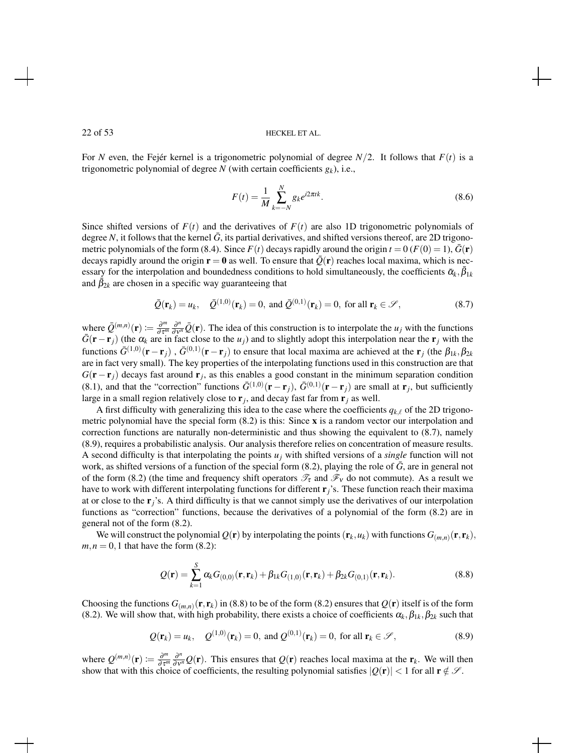For *N* even, the Fejér kernel is a trigonometric polynomial of degree  $N/2$ . It follows that  $F(t)$  is a trigonometric polynomial of degree  $N$  (with certain coefficients  $g_k$ ), i.e.,

$$
F(t) = \frac{1}{M} \sum_{k=-N}^{N} g_k e^{i2\pi t k}.
$$
\n(8.6)

Since shifted versions of  $F(t)$  and the derivatives of  $F(t)$  are also 1D trigonometric polynomials of degree N, it follows that the kernel  $G$ , its partial derivatives, and shifted versions thereof, are 2D trigonometric polynomials of the form (8.4). Since  $F(t)$  decays rapidly around the origin  $t = 0$  ( $F(0) = 1$ ),  $\bar{G}(\mathbf{r})$ decays rapidly around the origin  $\mathbf{r} = \mathbf{0}$  as well. To ensure that  $\bar{Q}(\mathbf{r})$  reaches local maxima, which is necessary for the interpolation and boundedness conditions to hold simultaneously, the coefficients  $\bar{\alpha}_k$ ,  $\bar{\beta}_{1k}$ and  $\beta_{2k}$  are chosen in a specific way guaranteeing that

$$
\overline{Q}(\mathbf{r}_k) = u_k, \quad \overline{Q}^{(1,0)}(\mathbf{r}_k) = 0, \text{ and } \overline{Q}^{(0,1)}(\mathbf{r}_k) = 0, \text{ for all } \mathbf{r}_k \in \mathcal{S},
$$
\n(8.7)

where  $\bar{Q}^{(m,n)}(\mathbf{r}) \coloneqq \frac{\partial^m}{\partial \tau^m}$  $\frac{\partial^m}{\partial \tau^m} \frac{\partial^n}{\partial y^n} \overline{Q}(\mathbf{r})$ . The idea of this construction is to interpolate the *u<sub>j</sub>* with the functions  $\bar{G}$ (**r**−**r***j*) (the  $\alpha_k$  are in fact close to the *u<sub>j</sub>*) and to slightly adopt this interpolation near the **r**<sub>*j*</sub> with the functions  $\bar{G}^{(1,0)}(\mathbf{r}-\mathbf{r}_j)$ ,  $\bar{G}^{(0,1)}(\mathbf{r}-\mathbf{r}_j)$  to ensure that local maxima are achieved at the  $\mathbf{r}_j$  (the  $\beta_{1k},\beta_{2k}$ are in fact very small). The key properties of the interpolating functions used in this construction are that  $G(\mathbf{r} - \mathbf{r}_j)$  decays fast around  $\mathbf{r}_j$ , as this enables a good constant in the minimum separation condition (8.1), and that the "correction" functions  $\bar{G}^{(1,0)}(\mathbf{r}-\mathbf{r}_j)$ ,  $\bar{G}^{(0,1)}(\mathbf{r}-\mathbf{r}_j)$  are small at  $\mathbf{r}_j$ , but sufficiently large in a small region relatively close to  $\mathbf{r}_j$ , and decay fast far from  $\mathbf{r}_j$  as well.

A first difficulty with generalizing this idea to the case where the coefficients  $q_{k,\ell}$  of the 2D trigonometric polynomial have the special form  $(8.2)$  is this: Since x is a random vector our interpolation and correction functions are naturally non-deterministic and thus showing the equivalent to (8.7), namely (8.9), requires a probabilistic analysis. Our analysis therefore relies on concentration of measure results. A second difficulty is that interpolating the points  $u_j$  with shifted versions of a *single* function will not work, as shifted versions of a function of the special form  $(8.2)$ , playing the role of  $\bar{G}$ , are in general not of the form (8.2) (the time and frequency shift operators  $\mathcal{T}_{\tau}$  and  $\mathcal{F}_{\nu}$  do not commute). As a result we have to work with different interpolating functions for different r*j*'s. These function reach their maxima at or close to the r*j*'s. A third difficulty is that we cannot simply use the derivatives of our interpolation functions as "correction" functions, because the derivatives of a polynomial of the form (8.2) are in general not of the form (8.2).

We will construct the polynomial  $Q(\mathbf{r})$  by interpolating the points  $(\mathbf{r}_k, u_k)$  with functions  $G_{(m,n)}(\mathbf{r}, \mathbf{r}_k)$ ,  $m, n = 0, 1$  that have the form (8.2):

$$
Q(\mathbf{r}) = \sum_{k=1}^{S} \alpha_k G_{(0,0)}(\mathbf{r}, \mathbf{r}_k) + \beta_{1k} G_{(1,0)}(\mathbf{r}, \mathbf{r}_k) + \beta_{2k} G_{(0,1)}(\mathbf{r}, \mathbf{r}_k).
$$
(8.8)

Choosing the functions  $G_{(m,n)}(\mathbf{r}, \mathbf{r}_k)$  in (8.8) to be of the form (8.2) ensures that  $Q(\mathbf{r})$  itself is of the form (8.2). We will show that, with high probability, there exists a choice of coefficients  $\alpha_k, \beta_{1k}, \beta_{2k}$  such that

$$
Q(\mathbf{r}_k) = u_k
$$
,  $Q^{(1,0)}(\mathbf{r}_k) = 0$ , and  $Q^{(0,1)}(\mathbf{r}_k) = 0$ , for all  $\mathbf{r}_k \in \mathcal{S}$ , (8.9)

where  $Q^{(m,n)}(\mathbf{r}) \coloneqq \frac{\partial^m}{\partial \tau^m}$  $\frac{\partial^m}{\partial \tau^m} \frac{\partial^n}{\partial v^n} Q(\mathbf{r})$ . This ensures that  $Q(\mathbf{r})$  reaches local maxima at the  $\mathbf{r}_k$ . We will then show that with this choice of coefficients, the resulting polynomial satisfies  $|Q(\mathbf{r})| < 1$  for all  $\mathbf{r} \notin \mathcal{S}$ .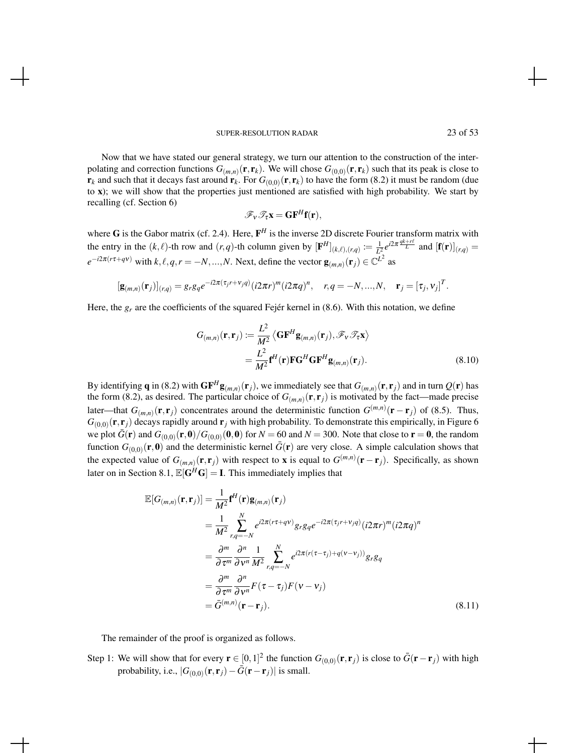#### SUPER-RESOLUTION RADAR 23 of 53

Now that we have stated our general strategy, we turn our attention to the construction of the interpolating and correction functions  $G_{(m,n)}(\mathbf{r}, \mathbf{r}_k)$ . We will chose  $G_{(0,0)}(\mathbf{r}, \mathbf{r}_k)$  such that its peak is close to  $r_k$  and such that it decays fast around  $r_k$ . For  $G_{(0,0)}(r,r_k)$  to have the form (8.2) it must be random (due to x); we will show that the properties just mentioned are satisfied with high probability. We start by recalling (cf. Section 6)

$$
\mathscr{F}_v \mathscr{T}_{\tau} \mathbf{x} = \mathbf{G} \mathbf{F}^H \mathbf{f}(\mathbf{r}),
$$

where G is the Gabor matrix (cf. 2.4). Here,  $F^H$  is the inverse 2D discrete Fourier transform matrix with the entry in the  $(k, \ell)$ -th row and  $(r, q)$ -th column given by  $[\mathbf{F}^H]_{(k, \ell), (r, q)} := \frac{1}{L^2}$  $\frac{1}{L^2}e^{i2\pi\frac{qk+r\ell}{L}}$  and  $[\mathbf{f}(\mathbf{r})]_{(r,q)} =$  $e^{-i2\pi(r\tau+q\nu)}$  with  $k, \ell, q, r = -N, ..., N$ . Next, define the vector  $\mathbf{g}_{(m,n)}(\mathbf{r}_j) \in \mathbb{C}^{L^2}$  as

$$
[\mathbf{g}_{(m,n)}(\mathbf{r}_j)]_{(r,q)} = g_r g_q e^{-i2\pi(\tau_j r + \mathbf{v}_j q)} (i2\pi r)^m (i2\pi q)^n, \quad r, q = -N, ..., N, \quad \mathbf{r}_j = [\tau_j, \mathbf{v}_j]^T.
$$

Here, the  $g_r$  are the coefficients of the squared Fejer kernel in (8.6). With this notation, we define

$$
G_{(m,n)}(\mathbf{r}, \mathbf{r}_j) := \frac{L^2}{M^2} \langle \mathbf{G} \mathbf{F}^H \mathbf{g}_{(m,n)}(\mathbf{r}_j), \mathscr{F}_v \mathscr{T}_{\tau} \mathbf{x} \rangle
$$
  
= 
$$
\frac{L^2}{M^2} \mathbf{f}^H(\mathbf{r}) \mathbf{F} \mathbf{G}^H \mathbf{G} \mathbf{F}^H \mathbf{g}_{(m,n)}(\mathbf{r}_j).
$$
 (8.10)

By identifying **q** in (8.2) with  $GF^H g_{(m,n)}(\mathbf{r}_j)$ , we immediately see that  $G_{(m,n)}(\mathbf{r},\mathbf{r}_j)$  and in turn  $Q(\mathbf{r})$  has the form (8.2), as desired. The particular choice of  $G_{(m,n)}(\mathbf{r}, \mathbf{r}_j)$  is motivated by the fact—made precise later—that  $G_{(m,n)}(\mathbf{r}, \mathbf{r}_j)$  concentrates around the deterministic function  $G^{(m,n)}(\mathbf{r}-\mathbf{r}_j)$  of (8.5). Thus,  $G_{(0,0)}(\mathbf{r},\mathbf{r}_j)$  decays rapidly around  $\mathbf{r}_j$  with high probability. To demonstrate this empirically, in Figure 6 we plot  $\bar{G}(\mathbf{r})$  and  $G_{(0,0)}(\mathbf{r},0)/G_{(0,0)}(0,0)$  for  $N = 60$  and  $N = 300$ . Note that close to  $\mathbf{r} = \mathbf{0}$ , the random function  $G_{(0,0)}(\mathbf{r},\mathbf{0})$  and the deterministic kernel  $\bar{G}(\mathbf{r})$  are very close. A simple calculation shows that the expected value of  $G_{(m,n)}(\mathbf{r}, \mathbf{r}_j)$  with respect to **x** is equal to  $G^{(m,n)}(\mathbf{r} - \mathbf{r}_j)$ . Specifically, as shown later on in Section 8.1,  $\mathbb{E}[G^H G] = I$ . This immediately implies that

$$
\mathbb{E}[G_{(m,n)}(\mathbf{r},\mathbf{r}_j)] = \frac{1}{M^2} \mathbf{f}^H(\mathbf{r}) \mathbf{g}_{(m,n)}(\mathbf{r}_j)
$$
\n
$$
= \frac{1}{M^2} \sum_{r,q=-N}^N e^{i2\pi(r\tau+qv)} g_r g_q e^{-i2\pi(\tau_j r+v_j q)} (i2\pi r)^m (i2\pi q)^n
$$
\n
$$
= \frac{\partial^m}{\partial \tau^m} \frac{\partial^n}{\partial v^n} \frac{1}{M^2} \sum_{r,q=-N}^N e^{i2\pi(r(\tau-\tau_j)+q(v-v_j))} g_r g_q
$$
\n
$$
= \frac{\partial^m}{\partial \tau^m} \frac{\partial^n}{\partial v^n} F(\tau-\tau_j) F(v-v_j)
$$
\n
$$
= \bar{G}^{(m,n)}(\mathbf{r}-\mathbf{r}_j).
$$
\n(8.11)

The remainder of the proof is organized as follows.

Step 1: We will show that for every  $\mathbf{r} \in [0,1]^2$  the function  $G_{(0,0)}(\mathbf{r}, \mathbf{r}_j)$  is close to  $\bar{G}(\mathbf{r} - \mathbf{r}_j)$  with high probability, i.e.,  $|G_{(0,0)}(\mathbf{r}, \mathbf{r}_j) - \bar{G}(\mathbf{r} - \mathbf{r}_j)|$  is small.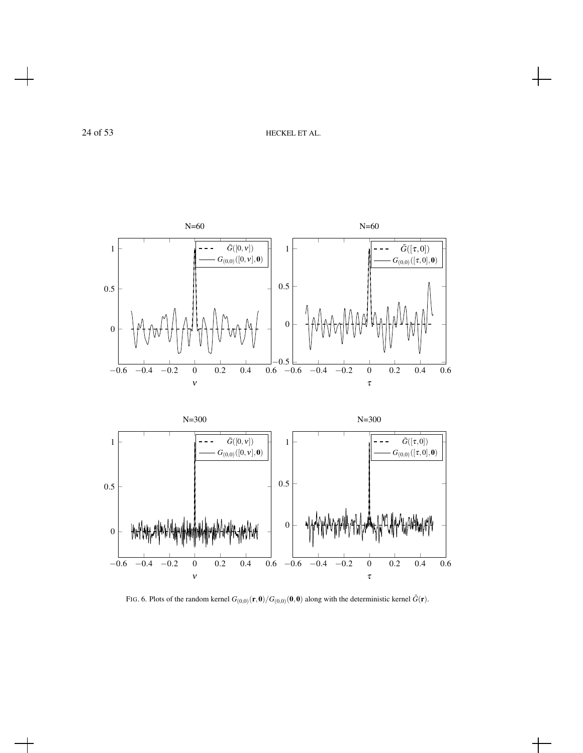



FIG. 6. Plots of the random kernel  $G_{(0,0)}(\mathbf{r}, \mathbf{0})/G_{(0,0)}(\mathbf{0}, \mathbf{0})$  along with the deterministic kernel  $\bar{G}(\mathbf{r})$ .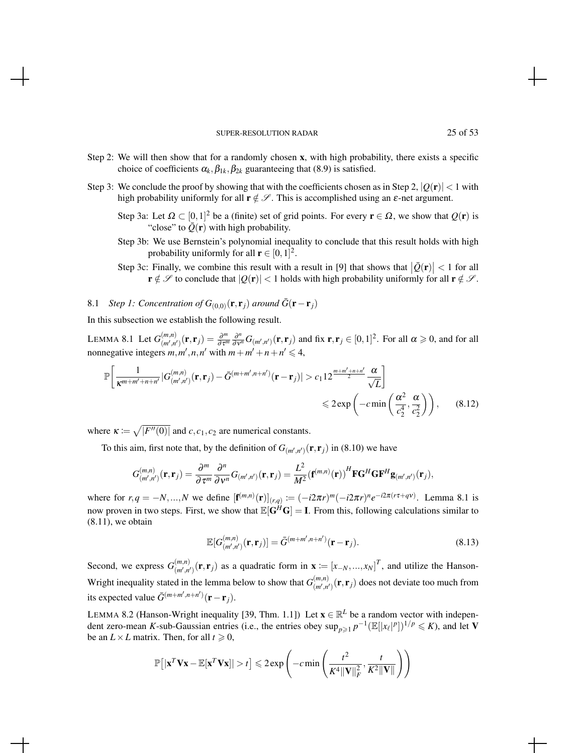#### SUPER-RESOLUTION RADAR 25 of 53

- Step 2: We will then show that for a randomly chosen x, with high probability, there exists a specific choice of coefficients  $\alpha_k, \beta_{1k}, \beta_{2k}$  guaranteeing that (8.9) is satisfied.
- Step 3: We conclude the proof by showing that with the coefficients chosen as in Step 2,  $|Q(\mathbf{r})| < 1$  with high probability uniformly for all  $\mathbf{r} \notin \mathcal{S}$ . This is accomplished using an  $\varepsilon$ -net argument.
	- Step 3a: Let  $\Omega \subset [0,1]^2$  be a (finite) set of grid points. For every  $\mathbf{r} \in \Omega$ , we show that  $Q(\mathbf{r})$  is "close" to  $\overline{O}(r)$  with high probability.
	- Step 3b: We use Bernstein's polynomial inequality to conclude that this result holds with high probability uniformly for all  $\mathbf{r} \in [0,1]^2$ .
	- Step 3c: Finally, we combine this result with a result in [9] that shows that  $|\bar{Q}(\mathbf{r})| < 1$  for all  $\mathbf{r} \notin \mathcal{S}$  to conclude that  $|Q(\mathbf{r})| < 1$  holds with high probability uniformly for all  $\mathbf{r} \notin \mathcal{S}$ .

8.1 *Step 1:* Concentration of  $G_{(0,0)}(\mathbf{r}, \mathbf{r}_j)$  around  $\bar{G}(\mathbf{r} - \mathbf{r}_j)$ 

In this subsection we establish the following result.

LEMMA 8.1 Let  $G_{(m',n)}^{(m,n)}$  $_{(m',n')}^{\left( m,n\right) }{\left( {\mathbf{r},\mathbf{r}_j}\right) }=\frac{\partial ^{m}}{\partial \tau ^{n}}$  $\frac{\partial^m}{\partial \tau^m} \frac{\partial^n}{\partial v^n} G_{(m',n')}(\mathbf{r}, \mathbf{r}_j)$  and fix  $\mathbf{r}, \mathbf{r}_j \in [0,1]^2$ . For all  $\alpha \geqslant 0$ , and for all nonnegative integers  $m, m', n, n'$  with  $m + m' + n + n' \leq 4$ ,

$$
\mathbb{P}\left[\frac{1}{\kappa^{m+m'+n+n'}}|G_{(m',n')}^{(m,n)}(\mathbf{r},\mathbf{r}_j)-\bar{G}^{(m+m',n+n')}(\mathbf{r}-\mathbf{r}_j)|>c_112^{\frac{m+m'+n+n'}{2}}\frac{\alpha}{\sqrt{L}}\right] \leqslant 2\exp\left(-c\min\left(\frac{\alpha^2}{c_2^4},\frac{\alpha}{c_2^2}\right)\right),\qquad(8.12)
$$

where  $\kappa \coloneqq \sqrt{|F''(0)|}$  and  $c, c_1, c_2$  are numerical constants.

To this aim, first note that, by the definition of  $G_{(m',n')}(\mathbf{r},\mathbf{r}_j)$  in (8.10) we have

$$
G_{(m',n')}^{(m,n)}(\mathbf{r},\mathbf{r}_j)=\frac{\partial^m}{\partial \tau^m}\frac{\partial^n}{\partial \mathbf{v}^n}G_{(m',n')}(\mathbf{r},\mathbf{r}_j)=\frac{L^2}{M^2}(\mathbf{f}^{(m,n)}(\mathbf{r}))^H\mathbf{F}\mathbf{G}^H\mathbf{G}\mathbf{F}^H\mathbf{g}_{(m',n')}(\mathbf{r}_j),
$$

where for  $r, q = -N, ..., N$  we define  $[f^{(m,n)}(\mathbf{r})]_{(r,q)} := (-i2\pi r)^m (-i2\pi r)^n e^{-i2\pi (r\tau + qv)}$ . Lemma 8.1 is now proven in two steps. First, we show that  $\mathbb{E}[G^H G] = I$ . From this, following calculations similar to  $(8.11)$ , we obtain

$$
\mathbb{E}[G_{(m',n')}^{(m,n)}(\mathbf{r},\mathbf{r}_j)] = \bar{G}^{(m+m',n+n')}(\mathbf{r}-\mathbf{r}_j).
$$
\n(8.13)

Second, we express  $G_{m',n}^{(m,n)}$  $(m,n)$ <sub> $(m',n')$ </sub> $(\mathbf{r}, \mathbf{r}_j)$  as a quadratic form in  $\mathbf{x} := [x_{-N},...,x_N]^T$ , and utilize the Hanson-Wright inequality stated in the lemma below to show that  $G_{(m',n)}^{(m,n)}$  $\binom{m,n}{(m',n')}(\mathbf{r},\mathbf{r}_j)$  does not deviate too much from its expected value  $\bar{G}^{(m+m',n+n')}(\mathbf{r}-\mathbf{r}_j)$ .

LEMMA 8.2 (Hanson-Wright inequality [39, Thm. 1.1]) Let  $\mathbf{x} \in \mathbb{R}^L$  be a random vector with independent zero-mean *K*-sub-Gaussian entries (i.e., the entries obey  $\sup_{p\geq 1} p^{-1}(\mathbb{E}[|x_{\ell}|^p])^{1/p} \leq K$ ), and let **V** be an  $L \times L$  matrix. Then, for all  $t \geq 0$ ,

$$
\mathbb{P}\!\left[|\mathbf{x}^T\mathbf{V}\mathbf{x}-\mathbb{E}[\mathbf{x}^T\mathbf{V}\mathbf{x}]|>t\right]\leqslant 2\exp\left(-c\min\left(\frac{t^2}{K^4\|\mathbf{V}\|_F^2},\frac{t}{K^2\|\mathbf{V}\|}\right)\right)
$$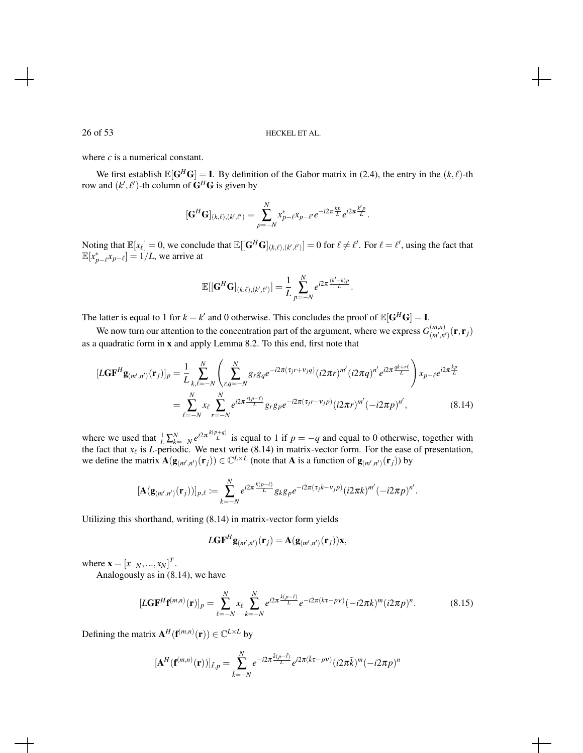where *c* is a numerical constant.

We first establish  $\mathbb{E}[G^H G] = I$ . By definition of the Gabor matrix in (2.4), the entry in the  $(k, \ell)$ -th row and  $(k', \ell')$ -th column of  $G^H G$  is given by

$$
[\mathbf{G}^H \mathbf{G}]_{(k,\ell),(k',\ell')} = \sum_{p=-N}^{N} x_{p-\ell}^* x_{p-\ell'} e^{-i2\pi \frac{k_p}{L}} e^{i2\pi \frac{k'p}{L}}.
$$

Noting that  $\mathbb{E}[x_{\ell}] = 0$ , we conclude that  $\mathbb{E}[(\mathbf{G}^H \mathbf{G}]_{(k,\ell), (k',\ell')}] = 0$  for  $\ell \neq \ell'$ . For  $\ell = \ell'$ , using the fact that  $\mathbb{E}[x_{p-\ell}^*x_{p-\ell}] = 1/L$ , we arrive at

$$
\mathbb{E}[[\mathbf{G}^H\mathbf{G}]_{(k,\ell),(k',\ell')}] = \frac{1}{L} \sum_{p=-N}^{N} e^{i2\pi \frac{(k'-k)p}{L}}.
$$

The latter is equal to 1 for  $k = k'$  and 0 otherwise. This concludes the proof of  $\mathbb{E}[\mathbf{G}^H\mathbf{G}] = \mathbf{I}$ .

We now turn our attention to the concentration part of the argument, where we express  $G_{m',n'}^{(m,n)}$  $\binom{(m,n)}{(m',n')}(\mathbf{r},\mathbf{r}_j)$ as a quadratic form in x and apply Lemma 8.2. To this end, first note that

$$
[\mathbf{LGF}^{H}\mathbf{g}_{(m',n')}(\mathbf{r}_{j})]_{p} = \frac{1}{L} \sum_{k,\ell=-N}^{N} \left( \sum_{r,q=-N}^{N} g_{r} g_{q} e^{-i2\pi(\tau_{j}r + \nu_{j}q)} (i2\pi r)^{m'} (i2\pi q)^{n'} e^{i2\pi \frac{qk+r\ell}{L}} \right) x_{p-\ell} e^{i2\pi \frac{kp}{L}}
$$

$$
= \sum_{\ell=-N}^{N} x_{\ell} \sum_{r=-N}^{N} e^{i2\pi \frac{r(p-\ell)}{L}} g_{r} g_{p} e^{-i2\pi (\tau_{j}r - \nu_{j}p)} (i2\pi r)^{m'} (-i2\pi p)^{n'}, \qquad (8.14)
$$

where we used that  $\frac{1}{L} \sum_{k=-N}^{N} e^{i2\pi} \frac{k(p+q)}{L}$  is equal to 1 if  $p = -q$  and equal to 0 otherwise, together with the fact that  $x_\ell$  is *L*-periodic. We next write (8.14) in matrix-vector form. For the ease of presentation, we define the matrix  $\mathbf{A}(\mathbf{g}_{(m',n')}(\mathbf{r}_j)) \in \mathbb{C}^{L \times L}$  (note that **A** is a function of  $\mathbf{g}_{(m',n')}(\mathbf{r}_j)$ ) by

$$
[\mathbf{A}(\mathbf{g}_{(m',n')}(\mathbf{r}_j))]_{p,\ell} := \sum_{k=-N}^N e^{i2\pi \frac{k(p-\ell)}{L}} g_k g_p e^{-i2\pi (\tau_j k - \nu_j p)} (i2\pi k)^{m'} (-i2\pi p)^{n'}.
$$

Utilizing this shorthand, writing (8.14) in matrix-vector form yields

$$
LGF^{H}g_{(m',n')}(r_j) = A(g_{(m',n')}(r_j))x,
$$

where  $\mathbf{x} = [x_{-N},...,x_{N}]^{T}$ .

Analogously as in (8.14), we have

$$
[\mathbf{LGF}^{H}\mathbf{f}^{(m,n)}(\mathbf{r})]_{p} = \sum_{\ell=-N}^{N} x_{\ell} \sum_{k=-N}^{N} e^{i2\pi \frac{k(p-\ell)}{L}} e^{-i2\pi (k\tau - p\nu)} (-i2\pi k)^{m} (i2\pi p)^{n}.
$$
 (8.15)

Defining the matrix  $\mathbf{A}^H(\mathbf{f}^{(m,n)}(\mathbf{r})) \in \mathbb{C}^{L \times L}$  by

$$
[\mathbf{A}^{H}(\mathbf{f}^{(m,n)}(\mathbf{r}))]_{\tilde{\ell},p} = \sum_{\tilde{k}=-N}^{N} e^{-i2\pi \frac{\tilde{k}(p-\tilde{\ell})}{L}} e^{i2\pi (\tilde{k}\tau - p\nu)} (i2\pi \tilde{k})^{m} (-i2\pi p)^{n}
$$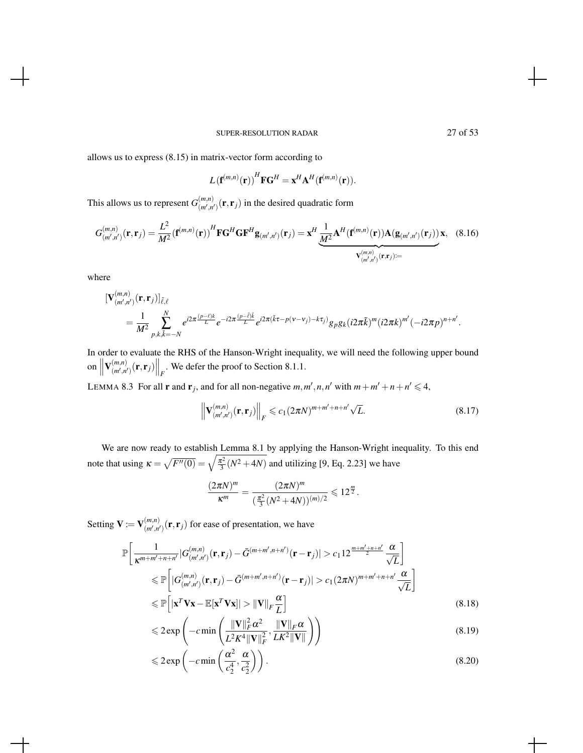## SUPER-RESOLUTION RADAR 27 of 53

allows us to express (8.15) in matrix-vector form according to

$$
L(\mathbf{f}^{(m,n)}(\mathbf{r}))^H \mathbf{F} \mathbf{G}^H = \mathbf{x}^H \mathbf{A}^H(\mathbf{f}^{(m,n)}(\mathbf{r})).
$$

This allows us to represent  $G_{m',n}^{(m,n)}$  $\binom{m,n}{(m',n')}(\mathbf{r},\mathbf{r}_j)$  in the desired quadratic form

$$
G_{(m',n')}^{(m,n)}(\mathbf{r},\mathbf{r}_j) = \frac{L^2}{M^2} (\mathbf{f}^{(m,n)}(\mathbf{r}))^H \mathbf{F} \mathbf{G}^H \mathbf{G} \mathbf{F}^H \mathbf{g}_{(m',n')}(\mathbf{r}_j) = \mathbf{x}^H \underbrace{\frac{1}{M^2} \mathbf{A}^H (\mathbf{f}^{(m,n)}(\mathbf{r})) \mathbf{A} (\mathbf{g}_{(m',n')}(\mathbf{r}_j))}_{\mathbf{V}_{(m',n')}^{(m,n)}(\mathbf{r},\mathbf{r}_j):=}
$$
(8.16)

where

$$
\begin{split} \left[\mathbf{V}_{(m',n')}^{(m,n)}(\mathbf{r},\mathbf{r}_j)\right]_{\tilde{\ell},\ell} \\ & = \frac{1}{M^2} \sum_{p,k,\tilde{k}=-N}^{N} e^{i2\pi \frac{(p-\ell)k}{L}} e^{-i2\pi \frac{(p-\tilde{\ell})\tilde{k}}{L}} e^{i2\pi (\tilde{k}\tau - p(\mathbf{v}-\mathbf{v}_j)-k\tau_j)} g_{p} g_{k}(i2\pi \tilde{k})^{m} (i2\pi k)^{m'} (-i2\pi p)^{n+n'} .\end{split}
$$

In order to evaluate the RHS of the Hanson-Wright inequality, we will need the following upper bound on  $\left\| \mathbf{V}_{(m^{\prime},n)}^{(m,n)} \right\|$  $\begin{aligned} \binom{(m,n)}{(m',n')}(\mathbf{r},\mathbf{r}_j) \bigg\|_F. \end{aligned}$  We defer the proof to Section 8.1.1.

LEMMA 8.3 For all **r** and **r**<sub>*j*</sub>, and for all non-negative  $m, m', n, n'$  with  $m + m' + n + n' \leq 4$ ,

$$
\left\| \mathbf{V}_{(m',n')}^{(m,n)}(\mathbf{r},\mathbf{r}_j) \right\|_F \leqslant c_1 (2\pi N)^{m+m'+n+n'} \sqrt{L}.
$$
\n(8.17)

We are now ready to establish Lemma 8.1 by applying the Hanson-Wright inequality. To this end note that using  $\kappa = \sqrt{F''(0)} = \sqrt{\frac{\pi^2}{3}}$  $\frac{\sigma^2}{3}(N^2+4N)$  and utilizing [9, Eq. 2.23] we have

$$
\frac{(2\pi N)^m}{\kappa^m} = \frac{(2\pi N)^m}{(\frac{\pi^2}{3}(N^2+4N))^{(m)/2}} \leq 12^{\frac{m}{2}}.
$$

Setting  $\mathbf{V} := \mathbf{V}_{(m',n)}^{(m,n)}$  $\binom{m,n}{(m',n')}(\mathbf{r},\mathbf{r}_j)$  for ease of presentation, we have

$$
\mathbb{P}\bigg[\frac{1}{\kappa^{m+m'+n+n'}}|G_{(m',n')}^{(m,n)}(\mathbf{r},\mathbf{r}_j)-\bar{G}^{(m+m',n+n')}(\mathbf{r}-\mathbf{r}_j)|>c_112^{\frac{m+m'+n+n'}{2}}\frac{\alpha}{\sqrt{L}}\bigg] \leq \mathbb{P}\bigg[|G_{(m',n')}^{(m,n)}(\mathbf{r},\mathbf{r}_j)-\bar{G}^{(m+m',n+n')}(\mathbf{r}-\mathbf{r}_j)|>c_1(2\pi N)^{m+m'+n+n'}\frac{\alpha}{\sqrt{L}}\bigg] \leq \mathbb{P}\bigg[|\mathbf{x}^T\mathbf{V}\mathbf{x}-\mathbb{E}[\mathbf{x}^T\mathbf{V}\mathbf{x}]|>||\mathbf{V}||_F\frac{\alpha}{L}\bigg]
$$
\n(8.18)

$$
\leqslant 2\exp\left(-c\min\left(\frac{\|\mathbf{V}\|_{F}^{2}\alpha^{2}}{L^{2}K^{4}\|\mathbf{V}\|_{F}^{2}},\frac{\|\mathbf{V}\|_{F}\alpha}{LK^{2}\|\mathbf{V}\|}\right)\right)
$$
(8.19)

$$
\leqslant 2\exp\left(-c\min\left(\frac{\alpha^2}{c_2^4},\frac{\alpha}{c_2^2}\right)\right). \tag{8.20}
$$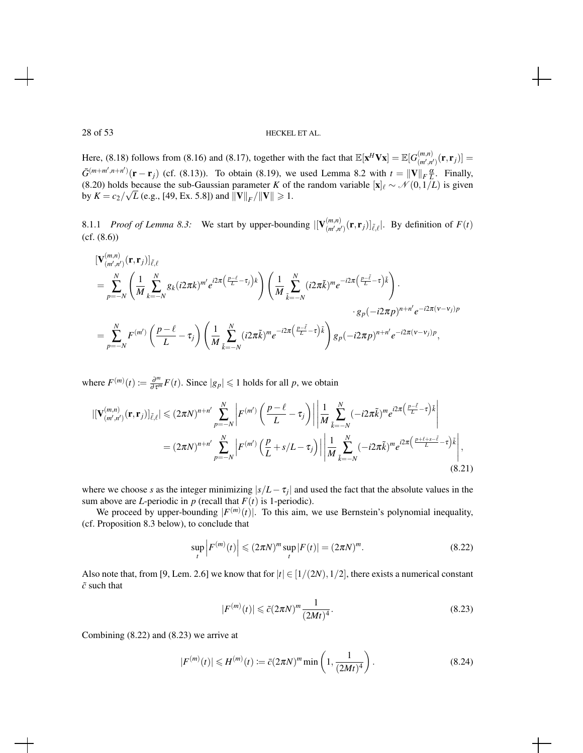Here, (8.18) follows from (8.16) and (8.17), together with the fact that  $\mathbb{E}[\mathbf{x}^H \mathbf{V} \mathbf{x}] = \mathbb{E}[G_{(m',n)}^{(m,n)}]$  $\binom{(m,n)}{(m',n')}(\mathbf{r},\mathbf{r}_j)]=$  $\bar{G}^{(m+m',n+n')}(\mathbf{r}-\mathbf{r}_j)$  (cf. (8.13)). To obtain (8.19), we used Lemma 8.2 with  $t = ||\mathbf{V}||_F\frac{\alpha}{L}$ . Finally, (8.20) holds because the sub-Gaussian parameter *K* of the random variable  $[\mathbf{x}]_\ell \sim \mathcal{N}(0,1/L)$  is given by  $K = c_2/\sqrt{L}$  (e.g., [49, Ex. 5.8]) and  $\|\mathbf{V}\|_F / \|\mathbf{V}\| \geq 1$ .

8.1.1 *Proof of Lemma 8.3:* We start by upper-bounding  $\left| \left[ V^{(m,n)}_{(m',n)} \right] \right|$  $\binom{(m,n)}{(m',n')}(\mathbf{r},\mathbf{r}_j)|_{\ell,\ell}$ . By definition of  $F(t)$ (cf. (8.6))

$$
\begin{split} &\left[\mathbf{V}_{(m',n')}^{(m,n)}(\mathbf{r},\mathbf{r}_j)\right]_{\tilde{\ell},\ell} \\ &=\sum_{p=-N}^N\left(\frac{1}{M}\sum_{k=-N}^N g_k(i2\pi k)^{m'}e^{i2\pi\left(\frac{p-\ell}{L}-\tau_j\right)k}\right)\left(\frac{1}{M}\sum_{\tilde{k}=-N}^N(i2\pi\tilde{k})^{m}e^{-i2\pi\left(\frac{p-\tilde{\ell}}{L}-\tau\right)\tilde{k}}\right)\\ &\qquad\cdot g_p(-i2\pi p)^{n+n'}e^{-i2\pi(v-v_j)p} \\ &=\sum_{p=-N}^N F^{(m')}\left(\frac{p-\ell}{L}-\tau_j\right)\left(\frac{1}{M}\sum_{\tilde{k}=-N}^N(i2\pi\tilde{k})^{m}e^{-i2\pi\left(\frac{p-\tilde{\ell}}{L}-\tau\right)\tilde{k}}\right)g_p(-i2\pi p)^{n+n'}e^{-i2\pi(v-v_j)p}, \end{split}
$$

where  $F^{(m)}(t) := \frac{\partial^m}{\partial \tau^m} F(t)$ . Since  $|g_p| \leq 1$  holds for all *p*, we obtain

$$
\left| \left[ \mathbf{V}^{(m,n)}_{(m',n')}(\mathbf{r},\mathbf{r}_j) \right]_{\tilde{\ell},\ell} \right| \leq (2\pi N)^{n+n'} \sum_{p=-N}^{N} \left| F^{(m')} \left( \frac{p-\ell}{L} - \tau_j \right) \right| \left| \frac{1}{M} \sum_{\tilde{k}=-N}^{N} (-i2\pi \tilde{k})^m e^{i2\pi \left( \frac{p-\ell}{L} - \tau \right) \tilde{k}} \right|
$$
  
=  $(2\pi N)^{n+n'} \sum_{p=-N}^{N} \left| F^{(m')} \left( \frac{p}{L} + s/L - \tau_j \right) \right| \left| \frac{1}{M} \sum_{\tilde{k}=-N}^{N} (-i2\pi \tilde{k})^m e^{i2\pi \left( \frac{p+\ell+s-\tilde{\ell}}{L} - \tau \right) \tilde{k}} \right|,$  (8.21)

where we choose *s* as the integer minimizing  $|s/L - \tau_j|$  and used the fact that the absolute values in the sum above are *L*-periodic in  $p$  (recall that  $F(t)$  is 1-periodic).

We proceed by upper-bounding  $|F^{(m)}(t)|$ . To this aim, we use Bernstein's polynomial inequality, (cf. Proposition 8.3 below), to conclude that

$$
\sup_{t} |F^{(m)}(t)| \le (2\pi N)^{m} \sup_{t} |F(t)| = (2\pi N)^{m}.
$$
 (8.22)

Also note that, from [9, Lem. 2.6] we know that for  $|t| \in [1/(2N),1/2]$ , there exists a numerical constant  $\tilde{c}$  such that

$$
|F^{(m)}(t)| \le \tilde{c}(2\pi N)^m \frac{1}{(2Mt)^4}.
$$
\n(8.23)

Combining (8.22) and (8.23) we arrive at

$$
|F^{(m)}(t)| \le H^{(m)}(t) := \bar{c}(2\pi N)^m \min\left(1, \frac{1}{(2Mt)^4}\right). \tag{8.24}
$$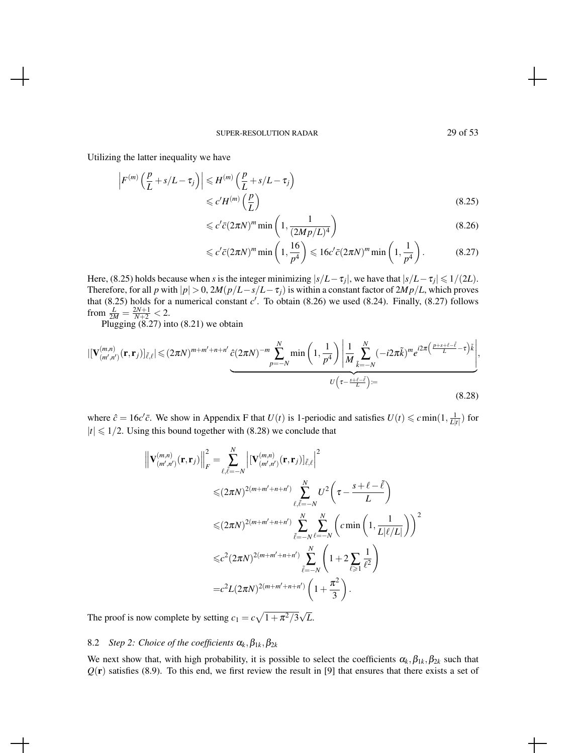## SUPER-RESOLUTION RADAR 29 of 53

Utilizing the latter inequality we have

$$
\left| F^{(m)}\left(\frac{p}{L} + s/L - \tau_j \right) \right| \leq H^{(m)}\left(\frac{p}{L} + s/L - \tau_j \right) \leq c'H^{(m)}\left(\frac{p}{L}\right) \tag{8.25}
$$

$$
\leqslant c' \bar{c} (2\pi N)^m \min\left(1, \frac{1}{(2Mp/L)^4}\right) \tag{8.26}
$$

$$
\leqslant c' \bar{c} (2\pi N)^m \min\left(1, \frac{16}{p^4}\right) \leqslant 16c' \bar{c} (2\pi N)^m \min\left(1, \frac{1}{p^4}\right). \tag{8.27}
$$

Here, (8.25) holds because when *s* is the integer minimizing  $|s/L - \tau_j|$ , we have that  $|s/L - \tau_j| \leq 1/(2L)$ . Therefore, for all *p* with  $|p| > 0$ ,  $2M(p/L - s/L - \tau_i)$  is within a constant factor of  $2Mp/L$ , which proves that  $(8.25)$  holds for a numerical constant  $c'$ . To obtain  $(8.26)$  we used  $(8.24)$ . Finally,  $(8.27)$  follows from  $\frac{L}{2M} = \frac{2N+1}{N+2} < 2$ .

Plugging (8.27) into (8.21) we obtain

$$
\left|\left[\mathbf{V}_{(m',n')}^{(m,n)}(\mathbf{r},\mathbf{r}_j)\right]_{\tilde{\ell},\ell}\right|\leqslant (2\pi N)^{m+m'+n+n'}\frac{\hat{c}(2\pi N)^{-m}\sum_{p=-N}^{N}\min\left(1,\frac{1}{p^4}\right)\left|\frac{1}{M}\sum_{\tilde{k}=-N}^{N}(-i2\pi\tilde{k})^{m}e^{i2\pi\left(\frac{p+s+\ell-\tilde{\ell}}{L}-\tau\right)\tilde{k}}\right|}{U\left(\tau-\frac{s+\ell-\tilde{\ell}}{L}\right):=}
$$
\n(8.28)

where  $\hat{c} = 16c'\bar{c}$ . We show in Appendix F that  $U(t)$  is 1-periodic and satisfies  $U(t) \leq c \min(1, \frac{1}{L|t|})$  for  $|t| \leq 1/2$ . Using this bound together with (8.28) we conclude that

$$
\left\| \mathbf{V}_{(m',n')}^{(m,n)}(\mathbf{r},\mathbf{r}_j) \right\|_F^2 = \sum_{\ell,\ell=-N}^N \left| [\mathbf{V}_{(m',n')}^{(m,n)}(\mathbf{r},\mathbf{r}_j)]_{\ell,\ell} \right|^2
$$
  
\n
$$
\leq (2\pi N)^{2(m+m'+n+n')} \sum_{\ell,\ell=-N}^N U^2 \left( \tau - \frac{s+\ell-\tilde{\ell}}{L} \right)
$$
  
\n
$$
\leq (2\pi N)^{2(m+m'+n+n')} \sum_{\tilde{\ell}=-N}^N \sum_{\ell=-N}^N \left( c \min\left(1, \frac{1}{L|\ell/L|} \right) \right)^2
$$
  
\n
$$
\leq c^2 (2\pi N)^{2(m+m'+n+n')} \sum_{\tilde{\ell}=-N}^N \left( 1 + 2 \sum_{\ell \geq 1} \frac{1}{\ell^2} \right)
$$
  
\n
$$
= c^2 L (2\pi N)^{2(m+m'+n+n')} \left( 1 + \frac{\pi^2}{3} \right).
$$

The proof is now complete by setting  $c_1 = c\sqrt{1+\pi^2/3}\sqrt{L}$ .

# 8.2 *Step 2: Choice of the coefficients*  $\alpha_k, \beta_{1k}, \beta_{2k}$

We next show that, with high probability, it is possible to select the coefficients  $\alpha_k, \beta_{1k}, \beta_{2k}$  such that  $Q(\mathbf{r})$  satisfies (8.9). To this end, we first review the result in [9] that ensures that there exists a set of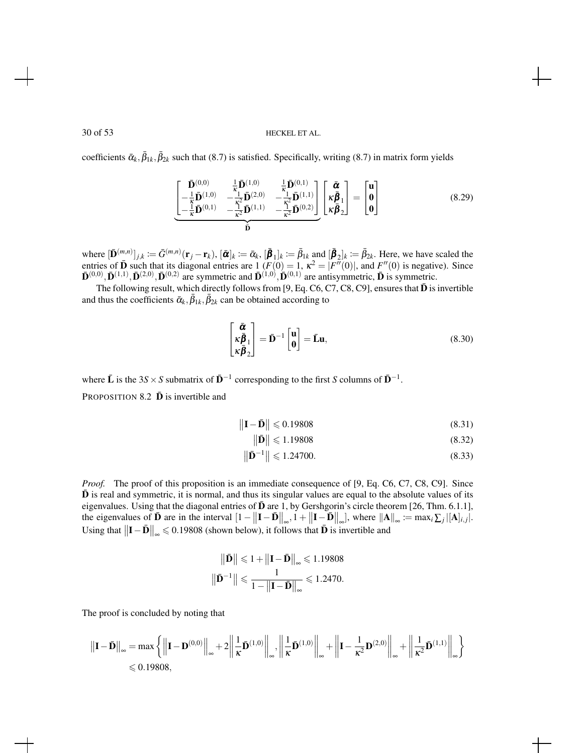coefficients  $\bar{\alpha}_k$ ,  $\bar{\beta}_{1k}$ ,  $\bar{\beta}_{2k}$  such that (8.7) is satisfied. Specifically, writing (8.7) in matrix form yields

$$
\underbrace{\begin{bmatrix} \bar{\mathbf{D}}^{(0,0)} & \frac{1}{\kappa} \bar{\mathbf{D}}^{(1,0)} & \frac{1}{\kappa} \bar{\mathbf{D}}^{(0,1)} \\ -\frac{1}{\kappa} \bar{\mathbf{D}}^{(1,0)} & -\frac{1}{\kappa^2} \bar{\mathbf{D}}^{(2,0)} & -\frac{1}{\kappa^2} \bar{\mathbf{D}}^{(1,1)} \end{bmatrix}}_{\bar{\mathbf{D}}} \begin{bmatrix} \bar{\alpha} \\ \kappa \bar{\beta} \\ \kappa \bar{\beta} \\ \kappa \bar{\beta} \end{bmatrix} = \begin{bmatrix} \mathbf{u} \\ \mathbf{0} \\ \mathbf{0} \end{bmatrix}
$$
(8.29)

where  $[\bar{\mathbf{D}}^{(m,n)}]_{j,k} := \bar{G}^{(m,n)}(\mathbf{r}_j - \mathbf{r}_k)$ ,  $[\bar{\boldsymbol{\alpha}}]_k := \bar{\alpha}_k$ ,  $[\bar{\boldsymbol{\beta}}_1]_k := \bar{\beta}_{1k}$  and  $[\bar{\boldsymbol{\beta}}_2]_k := \bar{\beta}_{2k}$ . Here, we have scaled the entries of  $\bar{\mathbf{D}}$  such that its diagonal entries are 1  $(F(0) = 1, \kappa^2 = |F''(0)|$ , and  $F''(0)$  is negative). Since  $\bar{\mathbf{D}}^{(0,0)}, \bar{\mathbf{D}}^{(1,1)}, \bar{\mathbf{D}}^{(2,0)}, \bar{\mathbf{D}}^{(0,2)}$  are symmetric and  $\bar{\mathbf{D}}^{(1,0)}, \bar{\mathbf{D}}^{(0,1)}$  are antisymmetric,  $\bar{\mathbf{D}}$  is symmetric.

The following result, which directly follows from [9, Eq. C6, C7, C8, C9], ensures that  $\bar{D}$  is invertible and thus the coefficients  $\bar{\alpha}_k$ ,  $\bar{\beta}_{1k}$ ,  $\bar{\beta}_{2k}$  can be obtained according to

$$
\begin{bmatrix} \bar{\boldsymbol{\alpha}} \\ \kappa \bar{\boldsymbol{\beta}}_1 \\ \kappa \bar{\boldsymbol{\beta}}_2 \end{bmatrix} = \bar{\mathbf{D}}^{-1} \begin{bmatrix} \mathbf{u} \\ \mathbf{0} \end{bmatrix} = \bar{\mathbf{L}} \mathbf{u},\tag{8.30}
$$

where  $\bar{\mathbf{L}}$  is the 3*S* × *S* submatrix of  $\bar{\mathbf{D}}^{-1}$  corresponding to the first *S* columns of  $\bar{\mathbf{D}}^{-1}$ .

PROPOSITION 8.2  $\bar{\mathbf{D}}$  is invertible and

$$
\left\| \mathbf{I} - \bar{\mathbf{D}} \right\| \leqslant 0.19808 \tag{8.31}
$$

$$
\left\|\bar{\mathbf{D}}\right\| \leqslant 1.19808\tag{8.32}
$$

$$
\|\bar{\mathbf{D}}^{-1}\| \leqslant 1.24700. \tag{8.33}
$$

*Proof.* The proof of this proposition is an immediate consequence of [9, Eq. C6, C7, C8, C9]. Since  $\bar{\mathbf{D}}$  is real and symmetric, it is normal, and thus its singular values are equal to the absolute values of its eigenvalues. Using that the diagonal entries of  $\bar{\mathbf{D}}$  are 1, by Gershgorin's circle theorem [26, Thm. 6.1.1], the eigenvalues of  $\overline{\mathbf{D}}$  are in the interval  $[1 - ||\mathbf{I} - \overline{\mathbf{D}}||_{\infty}, 1 + ||\mathbf{I} - \overline{\mathbf{D}}||_{\infty}]$ , where  $||\mathbf{A}||_{\infty} := \max_{i} \sum_{j} |[\mathbf{A}]_{i,j}|$ . Using that  $||\mathbf{I} - \bar{\mathbf{D}}||_{\infty} \leq 0.19808$  (shown below), it follows that  $\bar{\mathbf{D}}$  is invertible and

$$
\|\bar{\mathbf{D}}\| \leq 1 + \|\mathbf{I} - \bar{\mathbf{D}}\|_{\infty} \leq 1.19808
$$

$$
\|\bar{\mathbf{D}}^{-1}\| \leq \frac{1}{1 - \|\mathbf{I} - \bar{\mathbf{D}}\|_{\infty}} \leq 1.2470.
$$

The proof is concluded by noting that

$$
\|\mathbf{I} - \bar{\mathbf{D}}\|_{\infty} = \max \left\{ \left\|\mathbf{I} - \mathbf{D}^{(0,0)}\right\|_{\infty} + 2 \left\|\frac{1}{\kappa} \bar{\mathbf{D}}^{(1,0)}\right\|_{\infty}, \left\|\frac{1}{\kappa} \bar{\mathbf{D}}^{(1,0)}\right\|_{\infty} + \left\|\mathbf{I} - \frac{1}{\kappa^2} \mathbf{D}^{(2,0)}\right\|_{\infty} + \left\|\frac{1}{\kappa^2} \bar{\mathbf{D}}^{(1,1)}\right\|_{\infty} \right\}
$$
  
\$\leqslant 0.19808,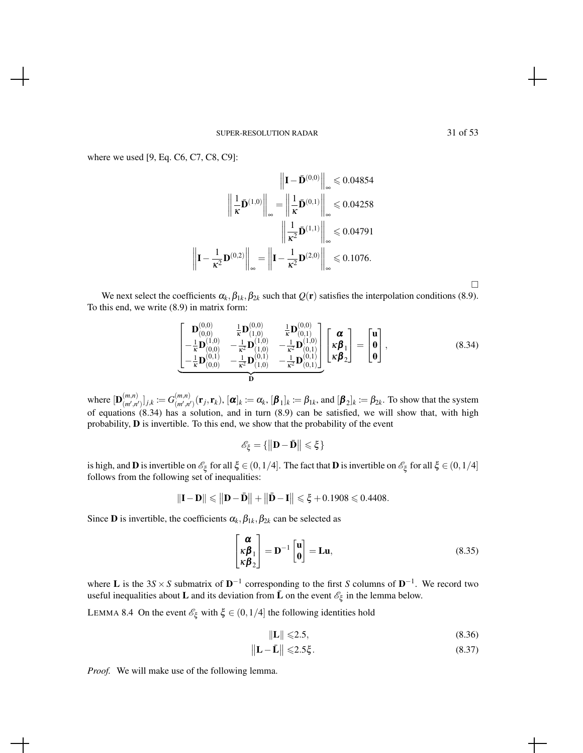## SUPER-RESOLUTION RADAR 31 of 53

where we used [9, Eq. C6, C7, C8, C9]:

$$
\left\| \mathbf{I} - \bar{\mathbf{D}}^{(0,0)} \right\|_{\infty} \le 0.04854
$$

$$
\left\| \frac{1}{\kappa} \bar{\mathbf{D}}^{(1,0)} \right\|_{\infty} = \left\| \frac{1}{\kappa} \bar{\mathbf{D}}^{(0,1)} \right\|_{\infty} \le 0.04258
$$

$$
\left\| \frac{1}{\kappa^2} \bar{\mathbf{D}}^{(1,1)} \right\|_{\infty} \le 0.04791
$$

$$
\left\| \mathbf{I} - \frac{1}{\kappa^2} \mathbf{D}^{(0,2)} \right\|_{\infty} = \left\| \mathbf{I} - \frac{1}{\kappa^2} \mathbf{D}^{(2,0)} \right\|_{\infty} \le 0.1076.
$$

We next select the coefficients  $\alpha_k, \beta_{1k}, \beta_{2k}$  such that  $Q(\mathbf{r})$  satisfies the interpolation conditions (8.9). To this end, we write (8.9) in matrix form:

$$
\begin{bmatrix}\n\mathbf{D}_{(0,0)}^{(0,0)} & \frac{1}{\kappa} \mathbf{D}_{(1,0)}^{(0,0)} & \frac{1}{\kappa} \mathbf{D}_{(0,1)}^{(0,0)} \\
-\frac{1}{\kappa} \mathbf{D}_{(0,0)}^{(1,0)} & -\frac{1}{\kappa^2} \mathbf{D}_{(1,0)}^{(1,0)} & -\frac{1}{\kappa^2} \mathbf{D}_{(0,1)}^{(1,0)} \\
-\frac{1}{\kappa} \mathbf{D}_{(0,0)}^{(0,1)} & -\frac{1}{\kappa^2} \mathbf{D}_{(1,0)}^{(0,1)} & -\frac{1}{\kappa^2} \mathbf{D}_{(0,1)}^{(0,1)}\n\end{bmatrix}\n\begin{bmatrix}\n\boldsymbol{\alpha} \\
\kappa \boldsymbol{\beta}_1 \\
\kappa \boldsymbol{\beta}_2\n\end{bmatrix} = \begin{bmatrix}\n\mathbf{u} \\
\mathbf{0} \\
\mathbf{0}\n\end{bmatrix},
$$
\n(8.34)

where  $\left[\mathbf{D}_{m',n}^{(m,n)}\right]$  $\left[\begin{smallmatrix} (m,n)\ (m',n')\ \end{smallmatrix} \right]_{j,k} \coloneqq G_{(m',n)}^{(m,n)}$  $\binom{(m,n)}{(m',n')}(\mathbf{r}_j,\mathbf{r}_k), [\alpha]_k := \alpha_k, [\beta_1]_k := \beta_{1k}$ , and  $[\beta_2]_k := \beta_{2k}$ . To show that the system of equations (8.34) has a solution, and in turn (8.9) can be satisfied, we will show that, with high probability, D is invertible. To this end, we show that the probability of the event

$$
\mathscr{E}_\xi = \{\big\|D-\bar{D}\big\|\leqslant \xi\}
$$

is high, and **D** is invertible on  $\mathscr{E}_{\xi}$  for all  $\xi \in (0,1/4]$ . The fact that **D** is invertible on  $\mathscr{E}_{\xi}$  for all  $\xi \in (0,1/4]$ follows from the following set of inequalities:

$$
\|\mathbf{I} - \mathbf{D}\| \leqslant \left\|\mathbf{D} - \mathbf{\bar{D}}\right\| + \left\|\mathbf{\bar{D}} - \mathbf{I}\right\| \leqslant \xi + 0.1908 \leqslant 0.4408.
$$

Since **D** is invertible, the coefficients  $\alpha_k$ ,  $\beta_{1k}$ ,  $\beta_{2k}$  can be selected as

$$
\begin{bmatrix} \boldsymbol{\alpha} \\ \kappa \boldsymbol{\beta}_1 \\ \kappa \boldsymbol{\beta}_2 \end{bmatrix} = \mathbf{D}^{-1} \begin{bmatrix} \mathbf{u} \\ \mathbf{0} \end{bmatrix} = \mathbf{L} \mathbf{u},\tag{8.35}
$$

where **L** is the 3*S* × *S* submatrix of  $D^{-1}$  corresponding to the first *S* columns of  $D^{-1}$ . We record two useful inequalities about **L** and its deviation from  $\vec{L}$  on the event  $\mathscr{E}_{\xi}$  in the lemma below.

LEMMA 8.4 On the event  $\mathcal{E}_{\xi}$  with  $\xi \in (0,1/4]$  the following identities hold

$$
\|\mathbf{L}\| \leqslant 2.5,\tag{8.36}
$$

$$
\|\mathbf{L} - \bar{\mathbf{L}}\| \leqslant 2.5\xi. \tag{8.37}
$$

*Proof.* We will make use of the following lemma.

 $\Box$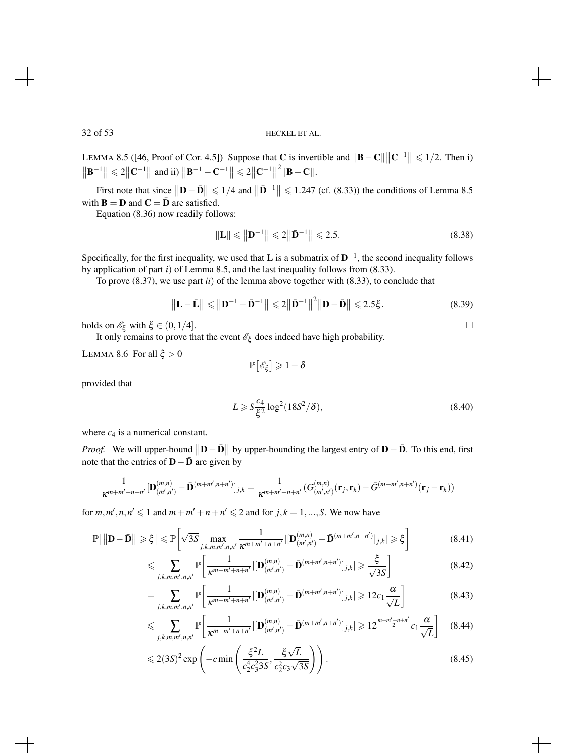LEMMA 8.5 ([46, Proof of Cor. 4.5]) Suppose that C is invertible and  $||\mathbf{B} - \mathbf{C}|| \cdot ||\mathbf{C}^{-1}|| \le 1/2$ . Then i)  $\|\mathbf{B}^{-1}\| \leq 2\|\mathbf{C}^{-1}\|$  and ii)  $\|\mathbf{B}^{-1} - \mathbf{C}^{-1}\| \leq 2\|\mathbf{C}^{-1}\|$  $2^2$ ||**B** – **C**||.

First note that since  $\|\mathbf{D} - \bar{\mathbf{D}}\| \leq 1/4$  and  $\|\bar{\mathbf{D}}^{-1}\| \leq 1.247$  (cf. (8.33)) the conditions of Lemma 8.5 with  $\mathbf{B} = \mathbf{D}$  and  $\mathbf{C} = \mathbf{\bar{D}}$  are satisfied.

Equation (8.36) now readily follows:

$$
\|\mathbf{L}\| \le \|\mathbf{D}^{-1}\| \le 2\|\bar{\mathbf{D}}^{-1}\| \le 2.5. \tag{8.38}
$$

Specifically, for the first inequality, we used that **L** is a submatrix of  $D^{-1}$ , the second inequality follows by application of part *i*) of Lemma 8.5, and the last inequality follows from (8.33).

To prove (8.37), we use part *ii*) of the lemma above together with (8.33), to conclude that

$$
\left\|\mathbf{L} - \bar{\mathbf{L}}\right\| \leq \left\|\mathbf{D}^{-1} - \bar{\mathbf{D}}^{-1}\right\| \leq 2\left\|\bar{\mathbf{D}}^{-1}\right\|^2 \left\|\mathbf{D} - \bar{\mathbf{D}}\right\| \leq 2.5\xi.
$$
 (8.39)

holds on  $\mathcal{E}_{\xi}$  with  $\xi \in (0, 1/4]$ .

It only remains to prove that the event  $\mathscr{E}_{\xi}$  does indeed have high probability.

LEMMA 8.6 For all  $\xi > 0$ 

$$
\mathbb{P}\big[\mathscr{E}_\xi\big]\geqslant 1-\delta
$$

provided that

$$
L \geqslant S\frac{c_4}{\xi^2}\log^2(18S^2/\delta),\tag{8.40}
$$

where  $c_4$  is a numerical constant.

*Proof.* We will upper-bound  $\|\mathbf{D} - \bar{\mathbf{D}}\|$  by upper-bounding the largest entry of  $\mathbf{D} - \bar{\mathbf{D}}$ . To this end, first note that the entries of  $\mathbf{D} - \bar{\mathbf{D}}$  are given by

$$
\frac{1}{\kappa^{m+m'+n+n'}}[{\bf{D}}^{(m,n)}_{(m',n')}-\bar{\bf{D}}^{(m+m',n+n')}]_{j,k}=\frac{1}{\kappa^{m+m'+n+n'}}(G^{(m,n)}_{(m',n')}({\bf{r}}_j,{\bf{r}}_k)-\bar{G}^{(m+m',n+n')}({\bf{r}}_j-{\bf{r}}_k))
$$

for  $m, m', n, n' \leq 1$  and  $m + m' + n + n' \leq 2$  and for  $j, k = 1, ..., S$ . We now have

$$
\mathbb{P}\big[\big|\big|\mathbf{D}-\bar{\mathbf{D}}\big|\big|\geqslant\xi\big]\leqslant\mathbb{P}\bigg[\sqrt{3S}\max_{j,k,m,m',n,n'}\frac{1}{\kappa^{m+m'+n+n'}}\big|\big[\mathbf{D}_{(m',n')}^{(m,n)}-\bar{\mathbf{D}}^{(m+m',n+n')}\big]_{j,k}\big|\geqslant\xi\bigg]\tag{8.41}
$$

$$
\leqslant \sum_{j,k,m,m',n,n'} \mathbb{P}\bigg[\frac{1}{\kappa^{m+m'+n+n'}}\big|\big[\mathbf{D}_{(m',n')}^{(m,n)} - \bar{\mathbf{D}}^{(m+m',n+n')}\big]_{j,k}\big|\geqslant \frac{\xi}{\sqrt{3S}}\bigg]
$$
(8.42)

$$
= \sum_{j,k,m,m',n,n'} \mathbb{P}\bigg[\frac{1}{\kappa^{m+m'+n+n'}} \big|\big[\mathbf{D}_{(m',n')}^{(m,n)} - \bar{\mathbf{D}}^{(m+m',n+n')} \big]_{j,k}\big| \geqslant 12c_1 \frac{\alpha}{\sqrt{L}}\bigg] \tag{8.43}
$$

$$
\leqslant \sum_{j,k,m,m',n,n'} \mathbb{P}\bigg[\frac{1}{\kappa^{m+m'+n+n'}}\big|\big[\mathbf{D}_{(m',n')}^{(m,n)} - \bar{\mathbf{D}}^{(m+m',n+n')}\big]_{j,k}\big|\geqslant 12^{\frac{m+m'+n+n'}{2}}c_1\frac{\alpha}{\sqrt{L}}\bigg] \tag{8.44}
$$

$$
\leqslant 2(3S)^2 \exp\left(-c \min\left(\frac{\xi^2 L}{c_2^4 c_3^2 3S}, \frac{\xi \sqrt{L}}{c_2^2 c_3 \sqrt{3S}}\right)\right). \tag{8.45}
$$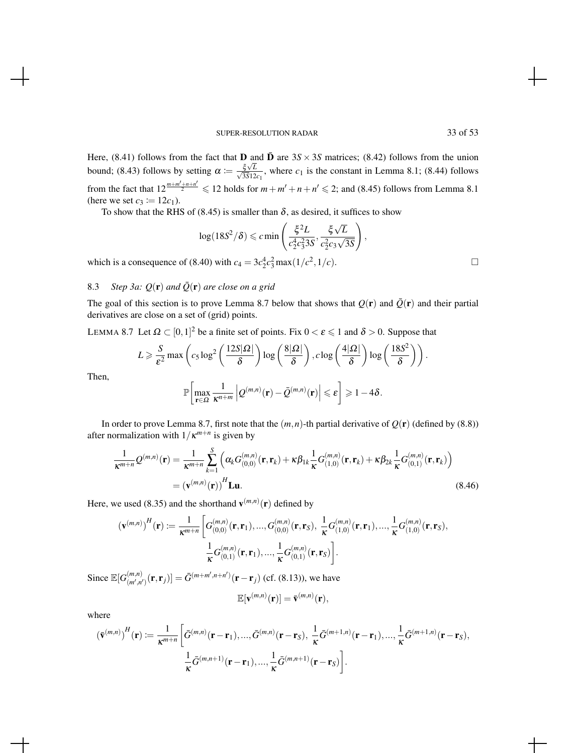# SUPER-RESOLUTION RADAR 33 of 53

Here, (8.41) follows from the fact that **D** and  $\overline{\mathbf{D}}$  are  $3S \times 3S$  matrices; (8.42) follows from the union bound; (8.43) follows by setting  $\alpha := \frac{\xi \sqrt{L}}{\sqrt{3312c_1}}$ , where  $c_1$  is the constant in Lemma 8.1; (8.44) follows from the fact that  $12^{\frac{m+m'+n+n'}{2}} \leq 12$  holds for  $m+m'+n+n' \leq 2$ ; and (8.45) follows from Lemma 8.1 (here we set  $c_3 := 12c_1$ ).

To show that the RHS of (8.45) is smaller than  $\delta$ , as desired, it suffices to show

$$
\log(18S^2/\delta) \leqslant c \min\left(\frac{\xi^2 L}{c_2^4 c_3^2 3S}, \frac{\xi \sqrt{L}}{c_2^2 c_3 \sqrt{3S}}\right),\,
$$

which is a consequence of (8.40) with  $c_4 = 3c_2^4 c_3^2 \max(1/c^2, 1/c)$ .

# 8.3 *Step 3a:*  $Q(\mathbf{r})$  *and*  $\overline{Q}(\mathbf{r})$  *are close on a grid*

The goal of this section is to prove Lemma 8.7 below that shows that  $Q(\mathbf{r})$  and  $\overline{Q}(\mathbf{r})$  and their partial derivatives are close on a set of (grid) points.

LEMMA 8.7 Let  $\Omega \subset [0,1]^2$  be a finite set of points. Fix  $0 < \varepsilon \le 1$  and  $\delta > 0$ . Suppose that

$$
L \geqslant \frac{S}{\varepsilon^2} \max \left( c_5 \log^2 \left( \frac{12S|\Omega|}{\delta} \right) \log \left( \frac{8|\Omega|}{\delta} \right), c \log \left( \frac{4|\Omega|}{\delta} \right) \log \left( \frac{18S^2}{\delta} \right) \right).
$$

$$
\mathbb{P}\left[ \max_{\mathbf{r} \in \Omega} \frac{1}{\kappa^{n+m}} \left| Q^{(m,n)}(\mathbf{r}) - \bar{Q}^{(m,n)}(\mathbf{r}) \right| \leqslant \varepsilon \right] \geqslant 1 - 4\delta.
$$

Then,

In order to prove Lemma 8.7, first note that the 
$$
(m, n)
$$
-th partial derivative of  $Q(\mathbf{r})$  (defined by (8.8)) after normalization with  $1/\kappa^{m+n}$  is given by

$$
\frac{1}{\kappa^{m+n}}Q^{(m,n)}(\mathbf{r}) = \frac{1}{\kappa^{m+n}}\sum_{k=1}^{S} \left( \alpha_k G^{(m,n)}_{(0,0)}(\mathbf{r}, \mathbf{r}_k) + \kappa \beta_{1k}\frac{1}{\kappa} G^{(m,n)}_{(1,0)}(\mathbf{r}, \mathbf{r}_k) + \kappa \beta_{2k}\frac{1}{\kappa} G^{(m,n)}_{(0,1)}(\mathbf{r}, \mathbf{r}_k) \right)
$$
\n
$$
= (\mathbf{v}^{(m,n)}(\mathbf{r}))^H \mathbf{L} \mathbf{u}.
$$
\n(8.46)

Here, we used (8.35) and the shorthand  $\mathbf{v}^{(m,n)}(\mathbf{r})$  defined by

$$
\left(\mathbf{v}^{(m,n)}\right)^H(\mathbf{r}) := \frac{1}{\kappa^{m+n}} \bigg[ G^{(m,n)}_{(0,0)}(\mathbf{r},\mathbf{r}_1),...,G^{(m,n)}_{(0,0)}(\mathbf{r},\mathbf{r}_S), \frac{1}{\kappa} G^{(m,n)}_{(1,0)}(\mathbf{r},\mathbf{r}_1),..., \frac{1}{\kappa} G^{(m,n)}_{(1,0)}(\mathbf{r},\mathbf{r}_S),
$$

$$
\frac{1}{\kappa} G^{(m,n)}_{(0,1)}(\mathbf{r},\mathbf{r}_1),...,\frac{1}{\kappa} G^{(m,n)}_{(0,1)}(\mathbf{r},\mathbf{r}_S) \bigg].
$$

Since  $\mathbb{E}[G_{(m',n)}^{(m,n)}]$  $\binom{(m,n)}{(m',n')}(\mathbf{r},\mathbf{r}_j)$  =  $\bar{G}^{(m+m',n+n')}(\mathbf{r}-\mathbf{r}_j)$  (cf. (8.13)), we have

$$
\mathbb{E}[\mathbf{v}^{(m,n)}(\mathbf{r})] = \bar{\mathbf{v}}^{(m,n)}(\mathbf{r}),
$$

where

$$
\left(\bar{\mathbf{v}}^{(m,n)}\right)^H(\mathbf{r}) := \frac{1}{\kappa^{m+n}} \bigg[ \bar{G}^{(m,n)}(\mathbf{r}-\mathbf{r}_1),...,\bar{G}^{(m,n)}(\mathbf{r}-\mathbf{r}_S), \frac{1}{\kappa} \bar{G}^{(m+1,n)}(\mathbf{r}-\mathbf{r}_1),...,\frac{1}{\kappa} \bar{G}^{(m+1,n)}(\mathbf{r}-\mathbf{r}_S),
$$
  

$$
\frac{1}{\kappa} \bar{G}^{(m,n+1)}(\mathbf{r}-\mathbf{r}_1),...,\frac{1}{\kappa} \bar{G}^{(m,n+1)}(\mathbf{r}-\mathbf{r}_S) \bigg].
$$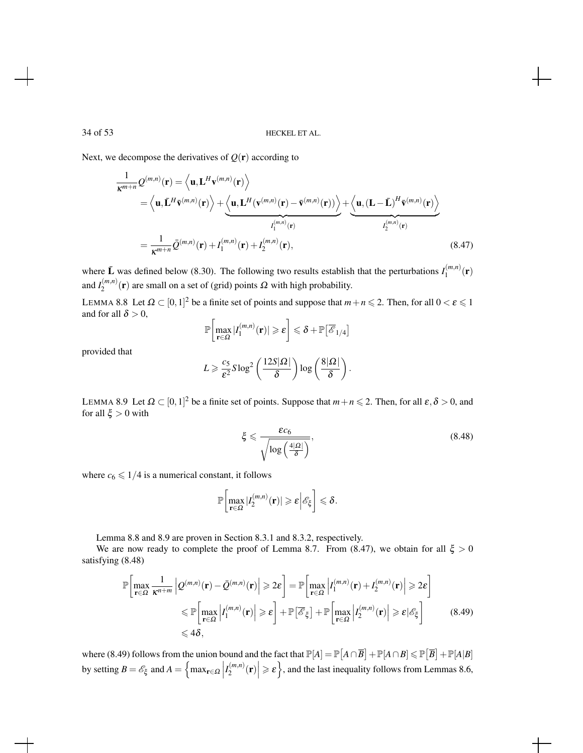Next, we decompose the derivatives of  $Q(\mathbf{r})$  according to

$$
\frac{1}{\kappa^{m+n}} Q^{(m,n)}(\mathbf{r}) = \left\langle \mathbf{u}, \mathbf{L}^H \mathbf{v}^{(m,n)}(\mathbf{r}) \right\rangle
$$
\n
$$
= \left\langle \mathbf{u}, \mathbf{L}^H \mathbf{\bar{v}}^{(m,n)}(\mathbf{r}) \right\rangle + \underbrace{\left\langle \mathbf{u}, \mathbf{L}^H (\mathbf{v}^{(m,n)}(\mathbf{r}) - \mathbf{\bar{v}}^{(m,n)}(\mathbf{r})) \right\rangle}_{I_1^{(m,n)}(\mathbf{r})} + \underbrace{\left\langle \mathbf{u}, (\mathbf{L} - \mathbf{\bar{L}})^H \mathbf{\bar{v}}^{(m,n)}(\mathbf{r}) \right\rangle}_{I_2^{(m,n)}(\mathbf{r})}
$$
\n
$$
= \frac{1}{\kappa^{m+n}} \bar{Q}^{(m,n)}(\mathbf{r}) + I_1^{(m,n)}(\mathbf{r}) + I_2^{(m,n)}(\mathbf{r}), \tag{8.47}
$$

where  $\bar{L}$  was defined below (8.30). The following two results establish that the perturbations  $I_1^{(m,n)}$  $\mathcal{L}_1^{(m,n)}(\mathbf{r})$ and  $I_2^{(m,n)}$  $\Omega_2^{(m,n)}(\mathbf{r})$  are small on a set of (grid) points  $\Omega$  with high probability.

LEMMA 8.8 Let  $\Omega \subset [0,1]^2$  be a finite set of points and suppose that  $m + n \le 2$ . Then, for all  $0 < \varepsilon \le 1$ and for all  $\delta > 0$ ,

$$
\mathbb{P}\bigg[\max_{\mathbf{r}\in\Omega}|I_1^{(m,n)}(\mathbf{r})|\geqslant \varepsilon\bigg]\leqslant \delta+\mathbb{P}\big[\overline{\mathscr{E}}_{1/4}\big]
$$

provided that

$$
L \geqslant \frac{c_5}{\varepsilon^2} S \log^2 \left( \frac{12S|\Omega|}{\delta} \right) \log \left( \frac{8|\Omega|}{\delta} \right).
$$

LEMMA 8.9 Let  $\Omega \subset [0,1]^2$  be a finite set of points. Suppose that  $m + n \le 2$ . Then, for all  $\varepsilon, \delta > 0$ , and for all  $\xi > 0$  with

$$
\xi \leqslant \frac{\varepsilon c_6}{\sqrt{\log\left(\frac{4|\Omega|}{\delta}\right)}},\tag{8.48}
$$

where  $c_6 \leq 1/4$  is a numerical constant, it follows

$$
\mathbb{P}\bigg[\max_{\mathbf{r}\in\Omega}|I_2^{(m,n)}(\mathbf{r})|\geqslant \varepsilon\bigg|\mathscr{E}_{\xi}\bigg]\leqslant \delta.
$$

Lemma 8.8 and 8.9 are proven in Section 8.3.1 and 8.3.2, respectively.

We are now ready to complete the proof of Lemma 8.7. From (8.47), we obtain for all  $\xi > 0$ satisfying (8.48)

$$
\mathbb{P}\left[\max_{\mathbf{r}\in\Omega}\frac{1}{\kappa^{n+m}}\left| \mathcal{Q}^{(m,n)}(\mathbf{r}) - \bar{\mathcal{Q}}^{(m,n)}(\mathbf{r}) \right| \geq 2\varepsilon \right] = \mathbb{P}\left[\max_{\mathbf{r}\in\Omega}\left| I_1^{(m,n)}(\mathbf{r}) + I_2^{(m,n)}(\mathbf{r}) \right| \geq 2\varepsilon \right]
$$
  
\$\leq \mathbb{P}\left[\max\_{\mathbf{r}\in\Omega}\left| I\_1^{(m,n)}(\mathbf{r}) \right| \geq \varepsilon \right] + \mathbb{P}\left[\overline{\mathcal{E}}\_{\xi}\right] + \mathbb{P}\left[\max\_{\mathbf{r}\in\Omega}\left| I\_2^{(m,n)}(\mathbf{r}) \right| \geq \varepsilon | \mathcal{E}\_{\xi}\right] \qquad (8.49)\$  
\$\leqslant 4\delta\$,

where (8.49) follows from the union bound and the fact that  $\mathbb{P}[A] = \mathbb{P}[A \cap \overline{B}] + \mathbb{P}[A \cap B] \le \mathbb{P}[\overline{B}] + \mathbb{P}[A|B]$ by setting  $B = \mathcal{E}_{\xi}$  and  $A = \left\{ \max_{\mathbf{r} \in \Omega} \left| I_2^{(m,n)} \right| \right\}$  $\mathbb{E}\left[\sum_{n=2}^{(m,n)}(\mathbf{r})\right] \geq \varepsilon$ , and the last inequality follows from Lemmas 8.6,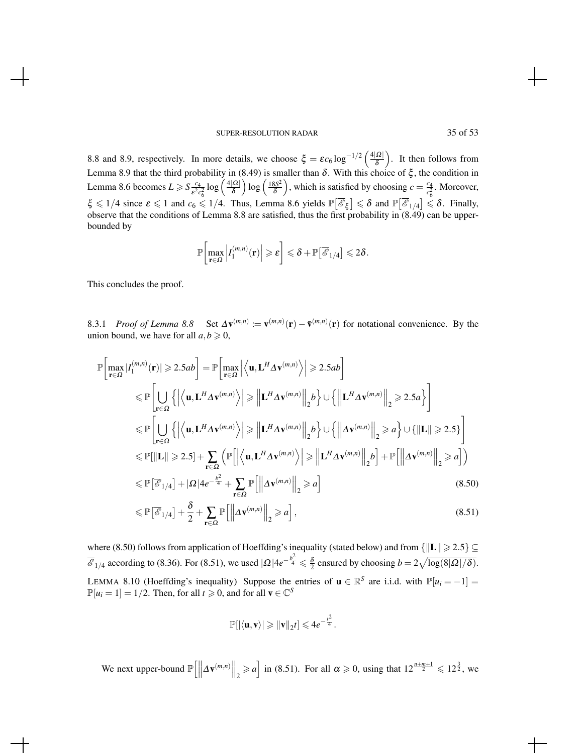## SUPER-RESOLUTION RADAR 35 of 53

8.8 and 8.9, respectively. In more details, we choose  $\xi = \varepsilon c_6 \log^{-1/2} \left( \frac{4|\Omega|}{\delta} \right)$ . It then follows from Lemma 8.9 that the third probability in (8.49) is smaller than  $\delta$ . With this choice of  $\xi$ , the condition in Lemma 8.6 becomes  $L \ge S \frac{c_4}{\varepsilon^2 c_6^2} \log \left( \frac{4|\Omega|}{\delta} \right) \log \left( \frac{18S^2}{\delta} \right)$  $\left(\frac{8S^2}{\delta}\right)$ , which is satisfied by choosing  $c = \frac{c_4}{c_2^2}$  $\frac{c_4}{c_6^2}$ . Moreover,  $\xi \leq 1/4$  since  $\varepsilon \leq 1$  and  $c_6 \leq 1/4$ . Thus, Lemma 8.6 yields  $\mathbb{P}[\overline{\mathscr{E}}_{\xi}] \leq \delta$  and  $\mathbb{P}[\overline{\mathscr{E}}_{1/4}] \leq \delta$ . Finally, observe that the conditions of Lemma 8.8 are satisfied, thus the first probability in (8.49) can be upperbounded by

$$
\mathbb{P}\bigg[\max_{\mathbf{r}\in\Omega}\Big|I_1^{(m,n)}(\mathbf{r})\Big|\geqslant \varepsilon\bigg]\leqslant \delta+\mathbb{P}\big[\overline{\mathscr{E}}_{1/4}\big]\leqslant 2\delta.
$$

This concludes the proof.

8.3.1 *Proof of Lemma 8.8* Set  $\Delta \mathbf{v}^{(m,n)} := \mathbf{v}^{(m,n)}(\mathbf{r}) - \bar{\mathbf{v}}^{(m,n)}(\mathbf{r})$  for notational convenience. By the union bound, we have for all  $a, b \ge 0$ ,

$$
\mathbb{P}\left[\max_{\mathbf{r}\in\Omega}|I_{1}^{(m,n)}(\mathbf{r})|\geqslant2.5ab\right]=\mathbb{P}\left[\max_{\mathbf{r}\in\Omega}\left|\left\langle\mathbf{u},\mathbf{L}^{H}\Delta\mathbf{v}^{(m,n)}\right\rangle\right|\geqslant2.5ab\right]
$$
\n
$$
\leqslant\mathbb{P}\left[\bigcup_{\mathbf{r}\in\Omega}\left\{\left|\left\langle\mathbf{u},\mathbf{L}^{H}\Delta\mathbf{v}^{(m,n)}\right\rangle\right|\geqslant\left\|\mathbf{L}^{H}\Delta\mathbf{v}^{(m,n)}\right\|_{2}b\right\}\cup\left\{\left\|\mathbf{L}^{H}\Delta\mathbf{v}^{(m,n)}\right\|_{2}\geqslant2.5a\right\}\right]
$$
\n
$$
\leqslant\mathbb{P}\left[\bigcup_{\mathbf{r}\in\Omega}\left\{\left|\left\langle\mathbf{u},\mathbf{L}^{H}\Delta\mathbf{v}^{(m,n)}\right\rangle\right|\geqslant\left\|\mathbf{L}^{H}\Delta\mathbf{v}^{(m,n)}\right\|_{2}b\right\}\cup\left\{\left\|\Delta\mathbf{v}^{(m,n)}\right\|_{2}\geqslant a\right\}\cup\left\{\left\|\mathbf{L}\right\|\geqslant2.5\right\}\right]
$$
\n
$$
\leqslant\mathbb{P}[\|\mathbf{L}\|\geqslant2.5]+\sum_{\mathbf{r}\in\Omega}\left(\mathbb{P}\left[\left|\left\langle\mathbf{u},\mathbf{L}^{H}\Delta\mathbf{v}^{(m,n)}\right\rangle\right|\geqslant\left\|\mathbf{L}^{H}\Delta\mathbf{v}^{(m,n)}\right\|_{2}b\right]+\mathbb{P}\left[\left\|\Delta\mathbf{v}^{(m,n)}\right\|_{2}\geqslant a\right]\right)
$$
\n
$$
\leqslant\mathbb{P}\left[\overline{\mathscr{E}}_{1/4}\right]+\left|\Omega\left|4e^{-\frac{b^{2}}{4}}+\sum_{\mathbf{r}\in\Omega}\mathbb{P}\left[\left\|\Delta\mathbf{v}^{(m,n)}\right\|_{2}\geqslant a\right]
$$
\n
$$
\delta
$$
\n(8.50

$$
\leqslant \mathbb{P}\big[\overline{\mathscr{E}}_{1/4}\big] + \frac{\delta}{2} + \sum_{\mathbf{r}\in\Omega} \mathbb{P}\big[\Big\|\Delta\mathbf{v}^{(m,n)}\Big\|_2 \geqslant a\big],\tag{8.51}
$$

where (8.50) follows from application of Hoeffding's inequality (stated below) and from  $\{\Vert \mathbf{L} \Vert \geq 2.5\}$  $\overline{\mathscr{E}}_{1/4}$  according to (8.36). For (8.51), we used  $|\Omega| 4e^{-\frac{b^2}{4}} \leq \frac{\delta}{2}$  ensured by choosing  $b = 2\sqrt{\log(8|\Omega|/\delta)}$ . LEMMA 8.10 (Hoeffding's inequality) Suppose the entries of  $\mathbf{u} \in \mathbb{R}^S$  are i.i.d. with  $\mathbb{P}[u_i = -1] =$  $\mathbb{P}[u_i = 1] = 1/2$ . Then, for all  $t \ge 0$ , and for all  $\mathbf{v} \in \mathbb{C}^S$ 

$$
\mathbb{P}[\left|\langle \mathbf{u}, \mathbf{v} \rangle\right| \geqslant \|\mathbf{v}\|_2 t] \leqslant 4e^{-\frac{t^2}{4}}.
$$

We next upper-bound  $\mathbb{P}\left[\left\|\Delta \mathbf{v}^{(m,n)}\right\|_2 \geq a\right]$  in (8.51). For all  $\alpha \geq 0$ , using that  $12^{\frac{n+m+1}{2}} \leq 12^{\frac{3}{2}}$ , we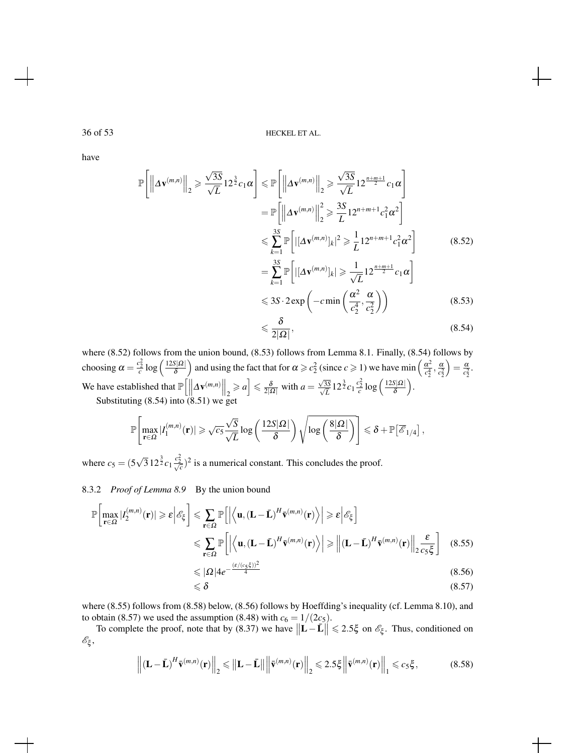have

$$
\mathbb{P}\left[\left\|\Delta\mathbf{v}^{(m,n)}\right\|_{2} \geq \frac{\sqrt{3S}}{\sqrt{L}} 12^{\frac{3}{2}}c_{1}\alpha\right] \leq \mathbb{P}\left[\left\|\Delta\mathbf{v}^{(m,n)}\right\|_{2} \geq \frac{\sqrt{3S}}{\sqrt{L}} 12^{\frac{n+m+1}{2}}c_{1}\alpha\right]
$$
\n
$$
= \mathbb{P}\left[\left\|\Delta\mathbf{v}^{(m,n)}\right\|_{2}^{2} \geq \frac{3S}{L} 12^{n+m+1}c_{1}^{2}\alpha^{2}\right]
$$
\n
$$
\leq \sum_{k=1}^{3S} \mathbb{P}\left[\left|\left[\Delta\mathbf{v}^{(m,n)}\right]_{k}\right|^{2} \geq \frac{1}{L} 12^{n+m+1}c_{1}^{2}\alpha^{2}\right]
$$
\n
$$
= \sum_{k=1}^{3S} \mathbb{P}\left[\left|\left[\Delta\mathbf{v}^{(m,n)}\right]_{k}\right| \geq \frac{1}{\sqrt{L}} 12^{\frac{n+m+1}{2}}c_{1}\alpha\right]
$$
\n
$$
\leq 3S \cdot 2 \exp\left(-c \min\left(\frac{\alpha^{2}}{c_{2}^{4}}, \frac{\alpha}{c_{2}^{2}}\right)\right)
$$
\n
$$
\leq \frac{\delta}{2|\Omega|}, \tag{8.54}
$$

where (8.52) follows from the union bound, (8.53) follows from Lemma 8.1. Finally, (8.54) follows by choosing  $\alpha = \frac{c_2^2}{c} \log \left( \frac{12S|\Omega|}{\delta} \right)$  and using the fact that for  $\alpha \geqslant c_2^2$  (since  $c \geqslant 1$ ) we have min  $\left( \frac{\alpha^2}{c_2^4} \right)$  $\frac{\alpha^2}{c_2^4}, \frac{\alpha}{c_2^2}$ *c* 2 2  $=\frac{\alpha}{a^2}$  $\frac{\alpha}{c_2^2}$ . We have established that  $\mathbb{P}\left[\left\|\Delta \mathbf{v}^{(m,n)}\right\|_2 \ge a\right] \le \frac{\delta}{2|\Omega|}$  with  $a = \frac{\sqrt{2}}{\sqrt{2}}$ √ 3*S*  $\frac{3\overline{S}}{\overline{L}} 12^{\frac{3}{2}} c_1 \frac{c_2^2}{c} \log \left( \frac{12S|\Omega|}{\delta} \right).$ Substituting (8.54) into (8.51) we get

$$
\mathbb{P}\!\left[\max_{\mathbf{r}\in\Omega}|I_1^{(m,n)}(\mathbf{r})|\geqslant\sqrt{c_5}\frac{\sqrt{S}}{\sqrt{L}}\log\left(\frac{12S|\Omega|}{\delta}\right)\sqrt{\log\left(\frac{8|\Omega|}{\delta}\right)}\right]\leqslant\delta+\mathbb{P}\!\left[\overline{\mathscr{E}}_{1/4}\right],
$$

where  $c_5 = (5\sqrt{3} 12^{\frac{3}{2}}c_1 \frac{c_2^2}{\sqrt{c}})^2$  is a numerical constant. This concludes the proof.

# 8.3.2 *Proof of Lemma 8.9* By the union bound

$$
\mathbb{P}\left[\max_{\mathbf{r}\in\Omega}|I_{2}^{(m,n)}(\mathbf{r})|\geq \varepsilon\left|\mathscr{E}_{\xi}\right|\right] \leq \sum_{\mathbf{r}\in\Omega}\mathbb{P}\left[\left|\left\langle\mathbf{u},(\mathbf{L}-\bar{\mathbf{L}})^{H}\bar{\mathbf{v}}^{(m,n)}(\mathbf{r})\right\rangle\right|\geq \varepsilon\left|\mathscr{E}_{\xi}\right]\right]
$$

$$
\leq \sum_{\mathbf{r}\in\Omega}\mathbb{P}\left[\left|\left\langle\mathbf{u},(\mathbf{L}-\bar{\mathbf{L}})^{H}\bar{\mathbf{v}}^{(m,n)}(\mathbf{r})\right\rangle\right|\geq \left\|\left(\mathbf{L}-\bar{\mathbf{L}})^{H}\bar{\mathbf{v}}^{(m,n)}(\mathbf{r})\right\|_{2}\frac{\varepsilon}{c_{5}\xi}\right]
$$
(8.55)
$$
\leq |\Omega|4e^{-\frac{(\varepsilon/(c_{5}\xi))^{2}}{4}}\tag{8.56}
$$

$$
\leqslant \delta \tag{8.57}
$$

where (8.55) follows from (8.58) below, (8.56) follows by Hoeffding's inequality (cf. Lemma 8.10), and to obtain (8.57) we used the assumption (8.48) with  $c_6 = 1/(2c_5)$ .

To complete the proof, note that by (8.37) we have  $||\mathbf{L} - \mathbf{L}|| \le 2.5\xi$  on  $\mathscr{E}_{\xi}$ . Thus, conditioned on  $\mathscr{E}_\xi,$ 

$$
\left\| \left( \mathbf{L} - \bar{\mathbf{L}} \right)^H \bar{\mathbf{v}}^{(m,n)}(\mathbf{r}) \right\|_2 \leq \left\| \mathbf{L} - \bar{\mathbf{L}} \right\| \left\| \bar{\mathbf{v}}^{(m,n)}(\mathbf{r}) \right\|_2 \leqslant 2.5 \xi \left\| \bar{\mathbf{v}}^{(m,n)}(\mathbf{r}) \right\|_1 \leqslant c_5 \xi,
$$
\n(8.58)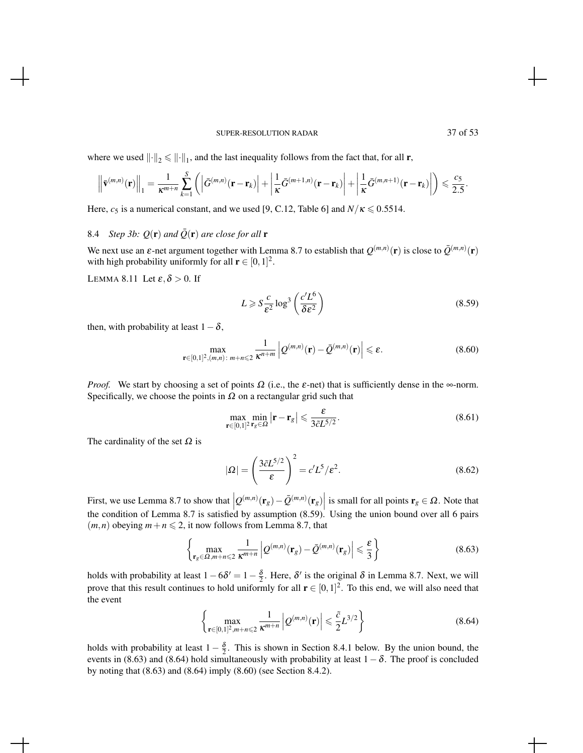## SUPER-RESOLUTION RADAR 37 of 53

where we used  $\|\cdot\|_2 \le \|\cdot\|_1$ , and the last inequality follows from the fact that, for all **r**,

$$
\left\|\bar{\mathbf{v}}^{(m,n)}(\mathbf{r})\right\|_1 = \frac{1}{\kappa^{m+n}}\sum_{k=1}^S\left(\left|\bar{G}^{(m,n)}(\mathbf{r}-\mathbf{r}_k)\right|+\left|\frac{1}{\kappa}\bar{G}^{(m+1,n)}(\mathbf{r}-\mathbf{r}_k)\right|+\left|\frac{1}{\kappa}\bar{G}^{(m,n+1)}(\mathbf{r}-\mathbf{r}_k)\right|\right) \leqslant \frac{c_5}{2.5}.
$$

Here,  $c_5$  is a numerical constant, and we used [9, C.12, Table 6] and  $N/\kappa \le 0.5514$ .

# 8.4 *Step 3b:*  $Q(\mathbf{r})$  *and*  $\overline{Q}(\mathbf{r})$  *are close for all* **r**

We next use an  $\varepsilon$ -net argument together with Lemma 8.7 to establish that  $Q^{(m,n)}(\mathbf{r})$  is close to  $\bar{Q}^{(m,n)}(\mathbf{r})$ with high probability uniformly for all  $\mathbf{r} \in [0,1]^2$ .

LEMMA 8.11 Let  $\varepsilon, \delta > 0$ . If

$$
L \geqslant S \frac{c}{\varepsilon^2} \log^3 \left( \frac{c'L^6}{\delta \varepsilon^2} \right) \tag{8.59}
$$

then, with probability at least  $1-\delta$ ,

$$
\max_{\mathbf{r}\in[0,1]^2,(m,n)\colon m+n\leqslant 2}\frac{1}{\kappa^{n+m}}\left| \mathcal{Q}^{(m,n)}(\mathbf{r}) - \bar{\mathcal{Q}}^{(m,n)}(\mathbf{r}) \right| \leqslant \varepsilon.
$$
\n(8.60)

*Proof.* We start by choosing a set of points  $\Omega$  (i.e., the  $\varepsilon$ -net) that is sufficiently dense in the  $\infty$ -norm. Specifically, we choose the points in  $\Omega$  on a rectangular grid such that

$$
\max_{\mathbf{r}\in[0,1]^2} \min_{\mathbf{r}_g\in\Omega} |\mathbf{r}-\mathbf{r}_g| \leqslant \frac{\varepsilon}{3\tilde{c}L^{5/2}}.
$$
\n(8.61)

The cardinality of the set  $\Omega$  is

$$
|\Omega| = \left(\frac{3\tilde{c}L^{5/2}}{\varepsilon}\right)^2 = c'L^5/\varepsilon^2.
$$
 (8.62)

First, we use Lemma 8.7 to show that  $|Q^{(m,n)}(\mathbf{r}_g) - \bar{Q}^{(m,n)}(\mathbf{r}_g)|$  is small for all points  $\mathbf{r}_g \in \Omega$ . Note that the condition of Lemma 8.7 is satisfied by assumption (8.59). Using the union bound over all 6 pairs  $(m, n)$  obeying  $m + n \leq 2$ , it now follows from Lemma 8.7, that

$$
\left\{\max_{\mathbf{r}_g \in \Omega, m+n \leqslant 2} \frac{1}{\kappa^{m+n}} \left| \mathcal{Q}^{(m,n)}(\mathbf{r}_g) - \bar{\mathcal{Q}}^{(m,n)}(\mathbf{r}_g) \right| \leqslant \frac{\varepsilon}{3} \right\}
$$
(8.63)

holds with probability at least  $1-6\delta' = 1-\frac{\delta}{2}$ . Here,  $\delta'$  is the original  $\delta$  in Lemma 8.7. Next, we will prove that this result continues to hold uniformly for all  $\mathbf{r} \in [0,1]^2$ . To this end, we will also need that the event

$$
\left\{\max_{\mathbf{r}\in[0,1]^2,m+n\leqslant2}\frac{1}{\kappa^{m+n}}\left| \mathcal{Q}^{(m,n)}(\mathbf{r}) \right| \leqslant \frac{\tilde{c}}{2}L^{3/2}\right\} \tag{8.64}
$$

holds with probability at least  $1 - \frac{\delta}{2}$ . This is shown in Section 8.4.1 below. By the union bound, the events in (8.63) and (8.64) hold simultaneously with probability at least  $1-\delta$ . The proof is concluded by noting that (8.63) and (8.64) imply (8.60) (see Section 8.4.2).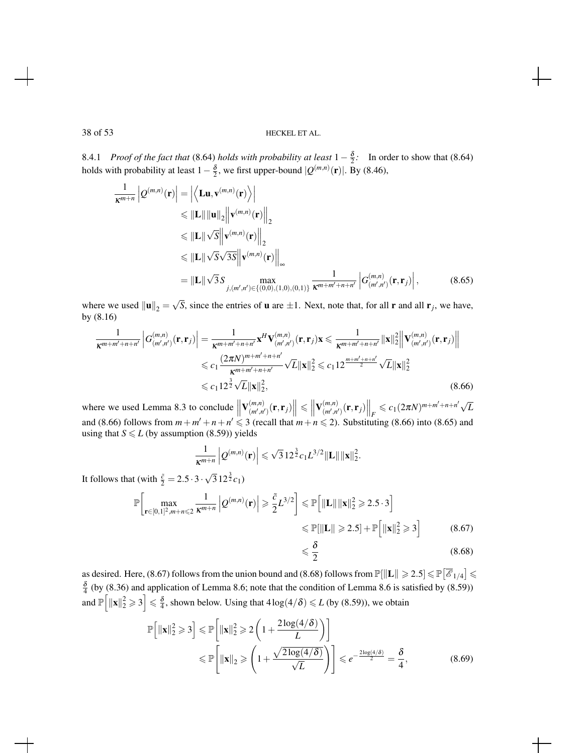8.4.1 *Proof of the fact that* (8.64) *holds with probability at least*  $1 - \frac{\delta}{2}$ : In order to show that (8.64) holds with probability at least  $1 - \frac{\delta}{2}$ , we first upper-bound  $|Q^{(m,n)}(\mathbf{r})|$ . By (8.46),

$$
\frac{1}{\kappa^{m+n}}\left| \mathcal{Q}^{(m,n)}(\mathbf{r}) \right| = \left| \left\langle \mathbf{L} \mathbf{u}, \mathbf{v}^{(m,n)}(\mathbf{r}) \right\rangle \right|
$$
\n
$$
\leq \|\mathbf{L}\| \|\mathbf{u}\|_{2} \left\| \mathbf{v}^{(m,n)}(\mathbf{r}) \right\|_{2}
$$
\n
$$
\leq \|\mathbf{L}\| \sqrt{S} \left\| \mathbf{v}^{(m,n)}(\mathbf{r}) \right\|_{2}
$$
\n
$$
\leq \|\mathbf{L}\| \sqrt{S} \sqrt{3S} \left\| \mathbf{v}^{(m,n)}(\mathbf{r}) \right\|_{\infty}
$$
\n
$$
= \|\mathbf{L}\| \sqrt{3} S \max_{j,(m',n') \in \{(0,0),(1,0),(0,1)\}} \frac{1}{\kappa^{m+m'+n+n'}} \left| G_{(m',n')}^{(m,n)}(\mathbf{r},\mathbf{r}_j) \right|, \tag{8.65}
$$

where we used  $\|\mathbf{u}\|_2 = \sqrt{S}$ , since the entries of **u** are  $\pm 1$ . Next, note that, for all **r** and all **r**<sub>*j*</sub>, we have, by (8.16)

$$
\frac{1}{\kappa^{m+m'+n+n'}} \left| G_{(m',n')}^{(m,n)}(\mathbf{r},\mathbf{r}_j) \right| = \frac{1}{\kappa^{m+m'+n+n'}} \mathbf{x}^H \mathbf{V}_{(m',n')}^{(m,n)}(\mathbf{r},\mathbf{r}_j) \mathbf{x} \le \frac{1}{\kappa^{m+m'+n+n'}} \|\mathbf{x}\|_2^2 \left\| \mathbf{V}_{(m',n')}^{(m,n)}(\mathbf{r},\mathbf{r}_j) \right\|
$$
  

$$
\le c_1 \frac{(2\pi N)^{m+m'+n+n'}}{\kappa^{m+m'+n+n'}} \sqrt{L} \|\mathbf{x}\|_2^2 \le c_1 12^{\frac{m+m'+n+n'}{2}} \sqrt{L} \|\mathbf{x}\|_2^2
$$
  

$$
\le c_1 12^{\frac{3}{2}} \sqrt{L} \|\mathbf{x}\|_2^2,
$$
 (8.66)

where we used Lemma 8.3 to conclude  $\left\| \mathbf{V}^{(m,n)}_{(m',n)} \right\|$  $\left\|\mathbf{v}_{(m',n')}^{(m,n)}(\mathbf{r},\mathbf{r}_j)\right\| \leqslant \left\|\mathbf{V}_{(m',n')}^{(m,n)}\right\|$  $\left\| \frac{(m,n)}{(m',n')}(\mathbf{r},\mathbf{r}_j) \right\|_F \leqslant c_1(2\pi N)^{m+m'+n+n'}\sqrt{L}$ and (8.66) follows from  $m + m' + n + n' \le 3$  (recall that  $m + n \le 2$ ). Substituting (8.66) into (8.65) and using that  $S \le L$  (by assumption (8.59)) yields

$$
\frac{1}{\kappa^{m+n}}\left| \mathcal{Q}^{(m,n)}(\mathbf{r}) \right| \leq \sqrt{3} \, 12^{\frac{3}{2}} c_1 L^{3/2} \|\mathbf{L}\| \|\mathbf{x}\|_2^2.
$$

It follows that (with  $\frac{\tilde{c}}{2} = 2.5 \cdot 3 \cdot \sqrt{3} 12^{\frac{3}{2}} c_1$ )

$$
\mathbb{P}\left[\max_{\mathbf{r}\in[0,1]^2,m+n\leqslant 2}\frac{1}{\kappa^{m+n}}\left| \mathcal{Q}^{(m,n)}(\mathbf{r})\right| \geqslant \frac{\tilde{c}}{2}L^{3/2}\right] \leqslant \mathbb{P}\left[\|\mathbf{L}\|\|\mathbf{x}\|_{2}^{2}\geqslant 2.5\cdot3\right]
$$

$$
\leqslant \mathbb{P}[\|\mathbf{L}\|\geqslant 2.5]+\mathbb{P}\left[\|\mathbf{x}\|_{2}^{2}\geqslant3\right]
$$
(8.67)
$$
\leqslant \frac{\delta}{2}
$$
(8.68)

as desired. Here, (8.67) follows from the union bound and (8.68) follows from  $\mathbb{P}[\Vert \mathbf{L} \Vert \geqslant 2.5] \leqslant \mathbb{P}[\overline{\mathscr{E}}_{1/4}] \leqslant$  $\frac{\delta}{4}$  (by (8.36) and application of Lemma 8.6; note that the condition of Lemma 8.6 is satisfied by (8.59)) and  $\mathbb{P}\left[\|\mathbf{x}\|_2^2 \geqslant 3\right] \leqslant \frac{\delta}{4}$ , shown below. Using that  $4\log(4/\delta) \leqslant L$  (by (8.59)), we obtain

$$
\mathbb{P}\left[\|\mathbf{x}\|_{2}^{2} \geqslant 3\right] \leqslant \mathbb{P}\left[\|\mathbf{x}\|_{2}^{2} \geqslant 2\left(1 + \frac{2\log(4/\delta)}{L}\right)\right]
$$
\n
$$
\leqslant \mathbb{P}\left[\|\mathbf{x}\|_{2} \geqslant \left(1 + \frac{\sqrt{2\log(4/\delta)}}{\sqrt{L}}\right)\right] \leqslant e^{-\frac{2\log(4/\delta)}{2}} = \frac{\delta}{4},\tag{8.69}
$$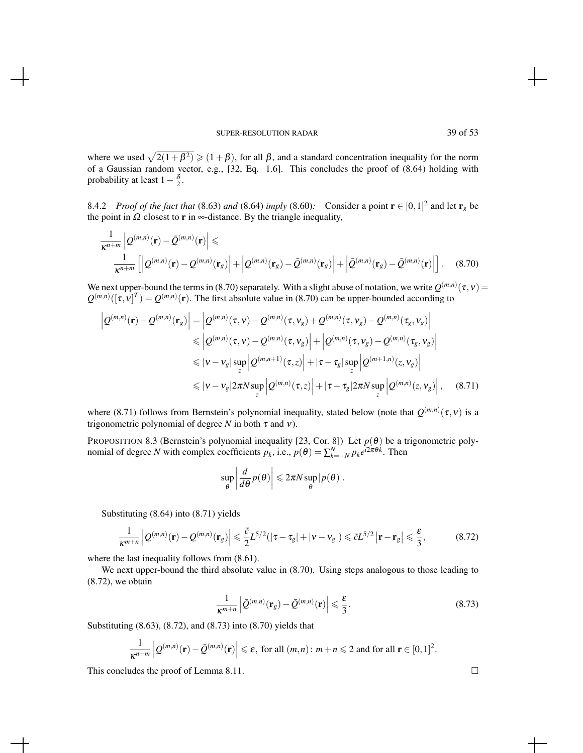## SUPER-RESOLUTION RADAR 39 of 53

where we used  $\sqrt{2(1+\beta^2)} \ge (1+\beta)$ , for all  $\beta$ , and a standard concentration inequality for the norm of a Gaussian random vector, e.g., [32, Eq. 1.6]. This concludes the proof of (8.64) holding with probability at least  $1 - \frac{\delta}{2}$ .

8.4.2 *Proof of the fact that* (8.63) *and* (8.64) *imply* (8.60): Consider a point  $\mathbf{r} \in [0,1]^2$  and let  $\mathbf{r}_g$  be the point in  $\Omega$  closest to **r** in  $\infty$ -distance. By the triangle inequality,

$$
\frac{1}{\kappa^{n+m}}\left|Q^{(m,n)}(\mathbf{r})-\bar{Q}^{(m,n)}(\mathbf{r})\right|\leq \frac{1}{\kappa^{n+m}}\left[\left|Q^{(m,n)}(\mathbf{r})-Q^{(m,n)}(\mathbf{r}_g)\right|+\left|Q^{(m,n)}(\mathbf{r}_g)-\bar{Q}^{(m,n)}(\mathbf{r}_g)\right|+\left|\bar{Q}^{(m,n)}(\mathbf{r}_g)-\bar{Q}^{(m,n)}(\mathbf{r})\right|\right].
$$
 (8.70)

We next upper-bound the terms in (8.70) separately. With a slight abuse of notation, we write  $Q^{(m,n)}(\tau,\nu)$  =  $Q^{(m,n)}([\tau,\nu]^T) = Q^{(m,n)}(\mathbf{r})$ . The first absolute value in (8.70) can be upper-bounded according to

$$
\left| \mathcal{Q}^{(m,n)}(\mathbf{r}) - \mathcal{Q}^{(m,n)}(\mathbf{r}_{g}) \right| = \left| \mathcal{Q}^{(m,n)}(\tau, \nu) - \mathcal{Q}^{(m,n)}(\tau, \nu_{g}) + \mathcal{Q}^{(m,n)}(\tau, \nu_{g}) - \mathcal{Q}^{(m,n)}(\tau_{g}, \nu_{g}) \right|
$$
  
\n
$$
\leq \left| \mathcal{Q}^{(m,n)}(\tau, \nu) - \mathcal{Q}^{(m,n)}(\tau, \nu_{g}) \right| + \left| \mathcal{Q}^{(m,n)}(\tau, \nu_{g}) - \mathcal{Q}^{(m,n)}(\tau_{g}, \nu_{g}) \right|
$$
  
\n
$$
\leq |\nu - \nu_{g}| \sup_{z} \left| \mathcal{Q}^{(m,n+1)}(\tau, z) \right| + |\tau - \tau_{g}| \sup_{z} \left| \mathcal{Q}^{(m+1,n)}(z, \nu_{g}) \right|
$$
  
\n
$$
\leq |\nu - \nu_{g}| 2\pi N \sup_{z} \left| \mathcal{Q}^{(m,n)}(\tau, z) \right| + |\tau - \tau_{g}| 2\pi N \sup_{z} \left| \mathcal{Q}^{(m,n)}(z, \nu_{g}) \right|, \quad (8.71)
$$

where (8.71) follows from Bernstein's polynomial inequality, stated below (note that  $Q^{(m,n)}(\tau, v)$  is a trigonometric polynomial of degree  $N$  in both  $\tau$  and  $\nu$ ).

PROPOSITION 8.3 (Bernstein's polynomial inequality [23, Cor. 8]) Let  $p(\theta)$  be a trigonometric polynomial of degree *N* with complex coefficients  $p_k$ , i.e.,  $p(\theta) = \sum_{k=-N}^{N} p_k e^{i2\pi \theta k}$ . Then

$$
\sup_{\theta} \left| \frac{d}{d\theta} p(\theta) \right| \leq 2\pi N \sup_{\theta} |p(\theta)|.
$$

Substituting (8.64) into (8.71) yields

$$
\frac{1}{\kappa^{m+n}}\left| \mathcal{Q}^{(m,n)}(\mathbf{r}) - \mathcal{Q}^{(m,n)}(\mathbf{r}_g) \right| \leq \frac{\tilde{c}}{2} L^{5/2}(|\tau - \tau_g| + |\mathbf{v} - \mathbf{v}_g|) \leq \tilde{c} L^{5/2} |\mathbf{r} - \mathbf{r}_g| \leq \frac{\varepsilon}{3},\tag{8.72}
$$

where the last inequality follows from  $(8.61)$ .

We next upper-bound the third absolute value in (8.70). Using steps analogous to those leading to (8.72), we obtain

$$
\frac{1}{\kappa^{m+n}} \left| \bar{Q}^{(m,n)}(\mathbf{r}_g) - \bar{Q}^{(m,n)}(\mathbf{r}) \right| \leq \frac{\varepsilon}{3}.
$$
\n(8.73)

Substituting (8.63), (8.72), and (8.73) into (8.70) yields that

$$
\frac{1}{\kappa^{n+m}}\left|Q^{(m,n)}(\mathbf{r})-\bar{Q}^{(m,n)}(\mathbf{r})\right|\leq \varepsilon, \text{ for all } (m,n): m+n\leq 2 \text{ and for all } \mathbf{r}\in[0,1]^2.
$$

This concludes the proof of Lemma 8.11.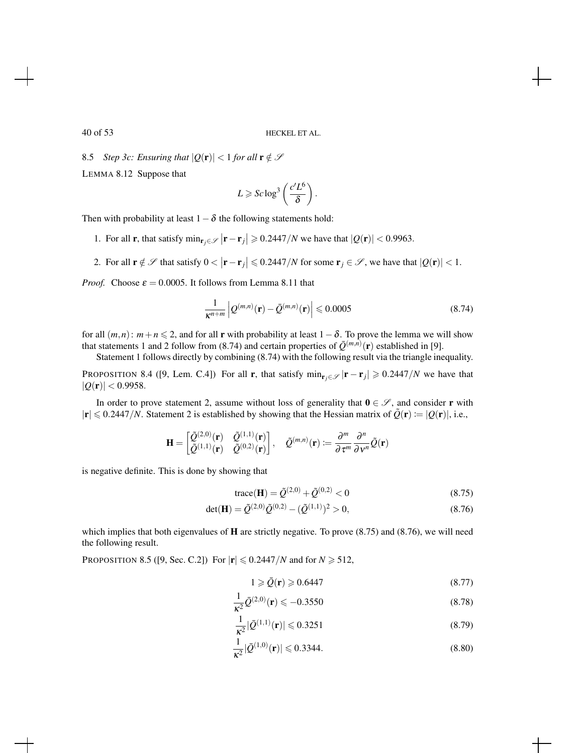8.5 *Step 3c: Ensuring that*  $|Q(\mathbf{r})| < 1$  *for all*  $\mathbf{r} \notin \mathcal{S}$ 

LEMMA 8.12 Suppose that

$$
L \geqslant Sc\log^3\left(\frac{c'L^6}{\delta}\right).
$$

Then with probability at least  $1-\delta$  the following statements hold:

- 1. For all **r**, that satisfy  $\min_{\mathbf{r}_j \in \mathcal{S}} |\mathbf{r} \mathbf{r}_j| \geq 0.2447/N$  we have that  $|Q(\mathbf{r})| < 0.9963$ .
- 2. For all  $\mathbf{r} \notin \mathscr{S}$  that satisfy  $0 < |\mathbf{r} \mathbf{r}_j| \leq 0.2447/N$  for some  $\mathbf{r}_j \in \mathscr{S}$ , we have that  $|Q(\mathbf{r})| < 1$ .

*Proof.* Choose  $\varepsilon = 0.0005$ . It follows from Lemma 8.11 that

$$
\frac{1}{\kappa^{n+m}}\left| \mathcal{Q}^{(m,n)}(\mathbf{r}) - \bar{\mathcal{Q}}^{(m,n)}(\mathbf{r}) \right| \leqslant 0.0005 \tag{8.74}
$$

for all  $(m,n): m+n \leq 2$ , and for all **r** with probability at least  $1-\delta$ . To prove the lemma we will show that statements 1 and 2 follow from (8.74) and certain properties of  $\bar{Q}^{(m,n)}(\mathbf{r})$  established in [9].

Statement 1 follows directly by combining (8.74) with the following result via the triangle inequality.

PROPOSITION 8.4 ([9, Lem. C.4]) For all **r**, that satisfy  $\min_{\mathbf{r}_j \in \mathcal{S}} |\mathbf{r} - \mathbf{r}_j| \geq 0.2447/N$  we have that  $|Q(r)| < 0.9958$ .

In order to prove statement 2, assume without loss of generality that  $0 \in \mathcal{S}$ , and consider r with  $|\mathbf{r}| \leqslant 0.2447/N$ . Statement 2 is established by showing that the Hessian matrix of  $\tilde{Q}(\mathbf{r}) = |Q(\mathbf{r})|$ , i.e.,

$$
\mathbf{H} = \begin{bmatrix} \tilde{Q}^{(2,0)}(\mathbf{r}) & \tilde{Q}^{(1,1)}(\mathbf{r}) \\ \tilde{Q}^{(1,1)}(\mathbf{r}) & \tilde{Q}^{(0,2)}(\mathbf{r}) \end{bmatrix}, \quad \tilde{Q}^{(m,n)}(\mathbf{r}) \coloneqq \frac{\partial^m}{\partial \tau^m} \frac{\partial^n}{\partial \nu^n} \tilde{Q}(\mathbf{r})
$$

is negative definite. This is done by showing that

trace(**H**) = 
$$
\tilde{Q}^{(2,0)} + \tilde{Q}^{(0,2)} < 0
$$
 (8.75)

$$
\det(\mathbf{H}) = \tilde{Q}^{(2,0)} \tilde{Q}^{(0,2)} - (\tilde{Q}^{(1,1)})^2 > 0,
$$
\n(8.76)

which implies that both eigenvalues of  $\bf{H}$  are strictly negative. To prove (8.75) and (8.76), we will need the following result.

PROPOSITION 8.5 ([9, Sec. C.2]) For  $|\mathbf{r}| \leq 0.2447/N$  and for  $N \geq 512$ ,

$$
1 \geqslant \bar{Q}(\mathbf{r}) \geqslant 0.6447\tag{8.77}
$$

$$
\frac{1}{\kappa^2} \bar{\mathcal{Q}}^{(2,0)}(\mathbf{r}) \leqslant -0.3550\tag{8.78}
$$

$$
\frac{1}{\kappa^2} |\bar{Q}^{(1,1)}(\mathbf{r})| \leqslant 0.3251\tag{8.79}
$$

$$
\frac{1}{\kappa^2} |\bar{Q}^{(1,0)}(\mathbf{r})| \leq 0.3344. \tag{8.80}
$$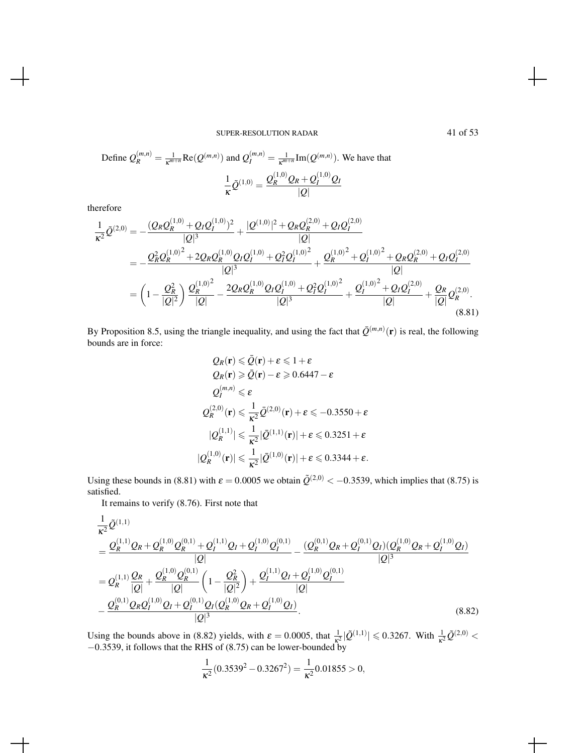SUPER-RESOLUTION RADAR 41 of 53

Define 
$$
Q_R^{(m,n)} = \frac{1}{\kappa^{m+n}} \text{Re}(Q^{(m,n)})
$$
 and  $Q_I^{(m,n)} = \frac{1}{\kappa^{m+n}} \text{Im}(Q^{(m,n)})$ . We have that  
\n
$$
\frac{1}{\kappa} \tilde{Q}^{(1,0)} = \frac{Q_R^{(1,0)} Q_R + Q_I^{(1,0)} Q_I}{|Q|}
$$

therefore

$$
\frac{1}{\kappa^2} \tilde{Q}^{(2,0)} = -\frac{(Q_R Q_R^{(1,0)} + Q_I Q_I^{(1,0)})^2}{|Q|^3} + \frac{|Q^{(1,0)}|^2 + Q_R Q_R^{(2,0)} + Q_I Q_I^{(2,0)}}{|Q|}
$$
\n
$$
= -\frac{Q_R^2 Q_R^{(1,0)^2} + 2Q_R Q_R^{(1,0)} Q_I Q_I^{(1,0)} + Q_I^2 Q_I^{(1,0)^2}}{|Q|^3} + \frac{Q_R^{(1,0)^2} + Q_I^{(1,0)^2} + Q_R Q_R^{(2,0)} + Q_I Q_I^{(2,0)}}{|Q|}
$$
\n
$$
= \left(1 - \frac{Q_R^2}{|Q|^2}\right) \frac{Q_R^{(1,0)^2}}{|Q|} - \frac{2Q_R Q_R^{(1,0)} Q_I Q_I^{(1,0)} + Q_I^2 Q_I^{(1,0)^2}}{|Q|^3} + \frac{Q_I^{(1,0)^2} + Q_I Q_I^{(2,0)}}{|Q|} + \frac{Q_R}{|Q|} Q_R^{(2,0)}.
$$
\n(8.81)

By Proposition 8.5, using the triangle inequality, and using the fact that  $\bar{Q}^{(m,n)}(\mathbf{r})$  is real, the following bounds are in force:

$$
Q_R(\mathbf{r}) \leq \bar{Q}(\mathbf{r}) + \varepsilon \leq 1 + \varepsilon
$$
  
\n
$$
Q_R(\mathbf{r}) \geq \bar{Q}(\mathbf{r}) - \varepsilon \geq 0.6447 - \varepsilon
$$
  
\n
$$
Q_I^{(m,n)} \leq \varepsilon
$$
  
\n
$$
Q_R^{(2,0)}(\mathbf{r}) \leq \frac{1}{\kappa^2} \bar{Q}^{(2,0)}(\mathbf{r}) + \varepsilon \leq -0.3550 + \varepsilon
$$
  
\n
$$
|Q_R^{(1,1)}| \leq \frac{1}{\kappa^2} |\bar{Q}^{(1,1)}(\mathbf{r})| + \varepsilon \leq 0.3251 + \varepsilon
$$
  
\n
$$
|Q_R^{(1,0)}(\mathbf{r})| \leq \frac{1}{\kappa^2} |\bar{Q}^{(1,0)}(\mathbf{r})| + \varepsilon \leq 0.3344 + \varepsilon.
$$

Using these bounds in (8.81) with  $\varepsilon = 0.0005$  we obtain  $\tilde{Q}^{(2,0)} < -0.3539$ , which implies that (8.75) is satisfied.

It remains to verify (8.76). First note that

$$
\frac{\frac{1}{\kappa^2} \tilde{Q}^{(1,1)}}{=} \frac{Q_R^{(1,1)} Q_R + Q_R^{(1,0)} Q_R^{(0,1)} + Q_I^{(1,1)} Q_I + Q_I^{(1,0)} Q_I^{(0,1)}}|Q| - \frac{(Q_R^{(0,1)} Q_R + Q_I^{(0,1)} Q_I)(Q_R^{(1,0)} Q_R + Q_I^{(1,0)} Q_I)}|Q|^3
$$
\n
$$
= Q_R^{(1,1)} \frac{Q_R}{|Q|} + \frac{Q_R^{(1,0)} Q_R^{(0,1)}}|Q| - \frac{Q_R^2}{|Q|^2} + \frac{Q_I^{(1,1)} Q_I + Q_I^{(1,0)} Q_I^{(0,1)}}|Q| - \frac{Q_R^{(0,1)} Q_R Q_I^{(1,0)} Q_I + Q_I^{(0,1)} Q_I (Q_R^{(1,0)} Q_R + Q_I^{(1,0)} Q_I)}|Q|^3
$$
\n
$$
= \frac{Q_R^{(0,1)} Q_R Q_I^{(1,0)} Q_I + Q_I^{(0,1)} Q_I (Q_R^{(1,0)} Q_R + Q_I^{(1,0)} Q_I)}|Q|^3.
$$
\n(8.82)

Using the bounds above in (8.82) yields, with  $\varepsilon = 0.0005$ , that  $\frac{1}{\kappa^2}|\tilde{Q}^{(1,1)}| \le 0.3267$ . With  $\frac{1}{\kappa^2}\tilde{Q}^{(2,0)} <$ −0.3539, it follows that the RHS of (8.75) can be lower-bounded by

$$
\frac{1}{\kappa^2}(0.3539^2-0.3267^2)=\frac{1}{\kappa^2}0.01855>0,
$$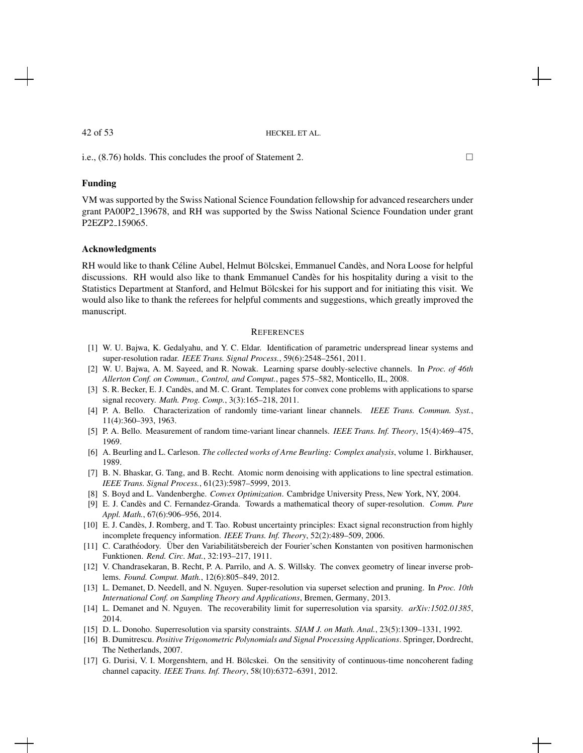i.e., (8.76) holds. This concludes the proof of Statement 2.

# Funding

VM was supported by the Swiss National Science Foundation fellowship for advanced researchers under grant PA00P2 139678, and RH was supported by the Swiss National Science Foundation under grant P2EZP2<sub>-159065</sub>.

# Acknowledgments

RH would like to thank Céline Aubel, Helmut Bölcskei, Emmanuel Candès, and Nora Loose for helpful discussions. RH would also like to thank Emmanuel Candes for his hospitality during a visit to the ` Statistics Department at Stanford, and Helmut Bölcskei for his support and for initiating this visit. We would also like to thank the referees for helpful comments and suggestions, which greatly improved the manuscript.

## **REFERENCES**

- [1] W. U. Bajwa, K. Gedalyahu, and Y. C. Eldar. Identification of parametric underspread linear systems and super-resolution radar. *IEEE Trans. Signal Process.*, 59(6):2548–2561, 2011.
- [2] W. U. Bajwa, A. M. Sayeed, and R. Nowak. Learning sparse doubly-selective channels. In *Proc. of 46th Allerton Conf. on Commun., Control, and Comput.*, pages 575–582, Monticello, IL, 2008.
- [3] S. R. Becker, E. J. Candès, and M. C. Grant. Templates for convex cone problems with applications to sparse signal recovery. *Math. Prog. Comp.*, 3(3):165–218, 2011.
- [4] P. A. Bello. Characterization of randomly time-variant linear channels. *IEEE Trans. Commun. Syst.*, 11(4):360–393, 1963.
- [5] P. A. Bello. Measurement of random time-variant linear channels. *IEEE Trans. Inf. Theory*, 15(4):469–475, 1969.
- [6] A. Beurling and L. Carleson. *The collected works of Arne Beurling: Complex analysis*, volume 1. Birkhauser, 1989.
- [7] B. N. Bhaskar, G. Tang, and B. Recht. Atomic norm denoising with applications to line spectral estimation. *IEEE Trans. Signal Process.*, 61(23):5987–5999, 2013.
- [8] S. Boyd and L. Vandenberghe. *Convex Optimization*. Cambridge University Press, New York, NY, 2004.
- [9] E. J. Candes and C. Fernandez-Granda. Towards a mathematical theory of super-resolution. ` *Comm. Pure Appl. Math.*, 67(6):906–956, 2014.
- [10] E. J. Candes, J. Romberg, and T. Tao. Robust uncertainty principles: Exact signal reconstruction from highly ` incomplete frequency information. *IEEE Trans. Inf. Theory*, 52(2):489–509, 2006.
- [11] C. Carathéodory. Über den Variabilitätsbereich der Fourier'schen Konstanten von positiven harmonischen Funktionen. *Rend. Circ. Mat.*, 32:193–217, 1911.
- [12] V. Chandrasekaran, B. Recht, P. A. Parrilo, and A. S. Willsky. The convex geometry of linear inverse problems. *Found. Comput. Math.*, 12(6):805–849, 2012.
- [13] L. Demanet, D. Needell, and N. Nguyen. Super-resolution via superset selection and pruning. In *Proc. 10th International Conf. on Sampling Theory and Applications*, Bremen, Germany, 2013.
- [14] L. Demanet and N. Nguyen. The recoverability limit for superresolution via sparsity. *arXiv:1502.01385*, 2014.
- [15] D. L. Donoho. Superresolution via sparsity constraints. *SIAM J. on Math. Anal.*, 23(5):1309–1331, 1992.
- [16] B. Dumitrescu. *Positive Trigonometric Polynomials and Signal Processing Applications*. Springer, Dordrecht, The Netherlands, 2007.
- [17] G. Durisi, V. I. Morgenshtern, and H. Bölcskei. On the sensitivity of continuous-time noncoherent fading channel capacity. *IEEE Trans. Inf. Theory*, 58(10):6372–6391, 2012.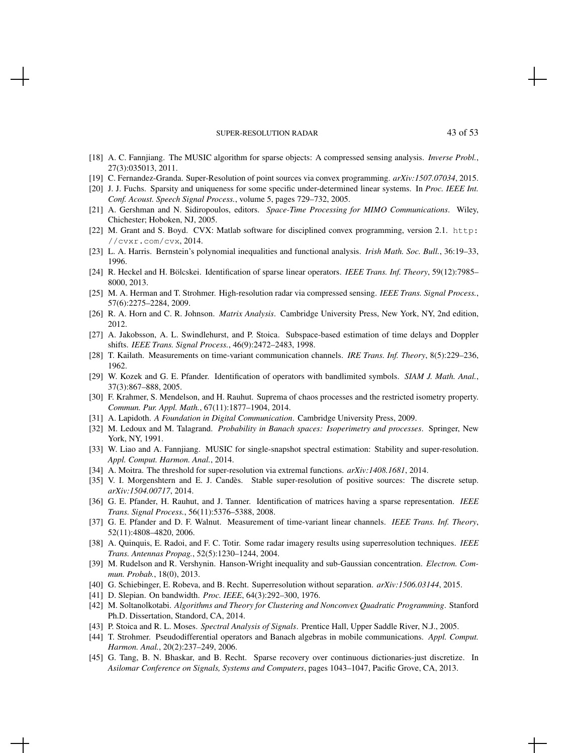### SUPER-RESOLUTION RADAR 43 of 53

- [18] A. C. Fannjiang. The MUSIC algorithm for sparse objects: A compressed sensing analysis. *Inverse Probl.*, 27(3):035013, 2011.
- [19] C. Fernandez-Granda. Super-Resolution of point sources via convex programming. *arXiv:1507.07034*, 2015.
- [20] J. J. Fuchs. Sparsity and uniqueness for some specific under-determined linear systems. In *Proc. IEEE Int. Conf. Acoust. Speech Signal Process.*, volume 5, pages 729–732, 2005.
- [21] A. Gershman and N. Sidiropoulos, editors. *Space-Time Processing for MIMO Communications*. Wiley, Chichester; Hoboken, NJ, 2005.
- [22] M. Grant and S. Boyd. CVX: Matlab software for disciplined convex programming, version 2.1. http: //cvxr.com/cvx, 2014.
- [23] L. A. Harris. Bernstein's polynomial inequalities and functional analysis. *Irish Math. Soc. Bull.*, 36:19–33, 1996.
- [24] R. Heckel and H. Bölcskei. Identification of sparse linear operators. *IEEE Trans. Inf. Theory*, 59(12):7985– 8000, 2013.
- [25] M. A. Herman and T. Strohmer. High-resolution radar via compressed sensing. *IEEE Trans. Signal Process.*, 57(6):2275–2284, 2009.
- [26] R. A. Horn and C. R. Johnson. *Matrix Analysis*. Cambridge University Press, New York, NY, 2nd edition, 2012.
- [27] A. Jakobsson, A. L. Swindlehurst, and P. Stoica. Subspace-based estimation of time delays and Doppler shifts. *IEEE Trans. Signal Process.*, 46(9):2472–2483, 1998.
- [28] T. Kailath. Measurements on time-variant communication channels. *IRE Trans. Inf. Theory*, 8(5):229–236, 1962.
- [29] W. Kozek and G. E. Pfander. Identification of operators with bandlimited symbols. *SIAM J. Math. Anal.*, 37(3):867–888, 2005.
- [30] F. Krahmer, S. Mendelson, and H. Rauhut. Suprema of chaos processes and the restricted isometry property. *Commun. Pur. Appl. Math.*, 67(11):1877–1904, 2014.
- [31] A. Lapidoth. *A Foundation in Digital Communication*. Cambridge University Press, 2009.
- [32] M. Ledoux and M. Talagrand. *Probability in Banach spaces: Isoperimetry and processes*. Springer, New York, NY, 1991.
- [33] W. Liao and A. Fannjiang. MUSIC for single-snapshot spectral estimation: Stability and super-resolution. *Appl. Comput. Harmon. Anal.*, 2014.
- [34] A. Moitra. The threshold for super-resolution via extremal functions. *arXiv:1408.1681*, 2014.
- [35] V. I. Morgenshtern and E. J. Candès. Stable super-resolution of positive sources: The discrete setup. *arXiv:1504.00717*, 2014.
- [36] G. E. Pfander, H. Rauhut, and J. Tanner. Identification of matrices having a sparse representation. *IEEE Trans. Signal Process.*, 56(11):5376–5388, 2008.
- [37] G. E. Pfander and D. F. Walnut. Measurement of time-variant linear channels. *IEEE Trans. Inf. Theory*, 52(11):4808–4820, 2006.
- [38] A. Quinquis, E. Radoi, and F. C. Totir. Some radar imagery results using superresolution techniques. *IEEE Trans. Antennas Propag.*, 52(5):1230–1244, 2004.
- [39] M. Rudelson and R. Vershynin. Hanson-Wright inequality and sub-Gaussian concentration. *Electron. Commun. Probab.*, 18(0), 2013.
- [40] G. Schiebinger, E. Robeva, and B. Recht. Superresolution without separation. *arXiv:1506.03144*, 2015.
- [41] D. Slepian. On bandwidth. *Proc. IEEE*, 64(3):292–300, 1976.
- [42] M. Soltanolkotabi. *Algorithms and Theory for Clustering and Nonconvex Quadratic Programming*. Stanford Ph.D. Dissertation, Standord, CA, 2014.
- [43] P. Stoica and R. L. Moses. *Spectral Analysis of Signals*. Prentice Hall, Upper Saddle River, N.J., 2005.
- [44] T. Strohmer. Pseudodifferential operators and Banach algebras in mobile communications. *Appl. Comput. Harmon. Anal.*, 20(2):237–249, 2006.
- [45] G. Tang, B. N. Bhaskar, and B. Recht. Sparse recovery over continuous dictionaries-just discretize. In *Asilomar Conference on Signals, Systems and Computers*, pages 1043–1047, Pacific Grove, CA, 2013.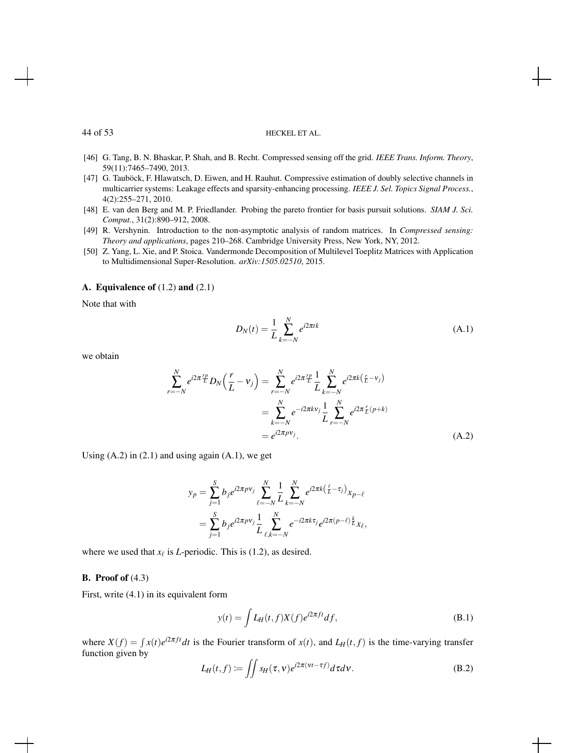- [46] G. Tang, B. N. Bhaskar, P. Shah, and B. Recht. Compressed sensing off the grid. *IEEE Trans. Inform. Theory*, 59(11):7465–7490, 2013.
- [47] G. Tauböck, F. Hlawatsch, D. Eiwen, and H. Rauhut. Compressive estimation of doubly selective channels in multicarrier systems: Leakage effects and sparsity-enhancing processing. *IEEE J. Sel. Topics Signal Process.*, 4(2):255–271, 2010.
- [48] E. van den Berg and M. P. Friedlander. Probing the pareto frontier for basis pursuit solutions. *SIAM J. Sci. Comput.*, 31(2):890–912, 2008.
- [49] R. Vershynin. Introduction to the non-asymptotic analysis of random matrices. In *Compressed sensing: Theory and applications*, pages 210–268. Cambridge University Press, New York, NY, 2012.
- [50] Z. Yang, L. Xie, and P. Stoica. Vandermonde Decomposition of Multilevel Toeplitz Matrices with Application to Multidimensional Super-Resolution. *arXiv:1505.02510*, 2015.

# A. Equivalence of  $(1.2)$  and  $(2.1)$

Note that with

$$
D_N(t) = \frac{1}{L} \sum_{k=-N}^{N} e^{i2\pi tk}
$$
 (A.1)

we obtain

$$
\sum_{r=-N}^{N} e^{i2\pi \frac{r}{L}} D_N \left( \frac{r}{L} - v_j \right) = \sum_{r=-N}^{N} e^{i2\pi \frac{r}{L}} \frac{1}{L} \sum_{k=-N}^{N} e^{i2\pi k \left( \frac{r}{L} - v_j \right)}
$$
  
= 
$$
\sum_{k=-N}^{N} e^{-i2\pi k v_j} \frac{1}{L} \sum_{r=-N}^{N} e^{i2\pi \frac{r}{L} (p+k)}
$$
  
= 
$$
e^{i2\pi p v_j}.
$$
 (A.2)

Using  $(A.2)$  in  $(2.1)$  and using again  $(A.1)$ , we get

$$
y_p = \sum_{j=1}^{S} b_j e^{i2\pi p v_j} \sum_{\ell=-N}^{N} \frac{1}{L} \sum_{k=-N}^{N} e^{i2\pi k \left(\frac{\ell}{L} - \tau_j\right)} x_{p-\ell}
$$
  
= 
$$
\sum_{j=1}^{S} b_j e^{i2\pi p v_j} \frac{1}{L} \sum_{\ell,k=-N}^{N} e^{-i2\pi k \tau_j} e^{i2\pi (p-\ell) \frac{k}{L}} x_{\ell},
$$

where we used that  $x_\ell$  is *L*-periodic. This is (1.2), as desired.

# **B.** Proof of  $(4.3)$

First, write (4.1) in its equivalent form

$$
y(t) = \int L_H(t, f) X(f) e^{i2\pi ft} df,
$$
\n(B.1)

where  $X(f) = \int x(t)e^{i2\pi ft}dt$  is the Fourier transform of  $x(t)$ , and  $L_H(t, f)$  is the time-varying transfer function given by

$$
L_H(t,f) := \iint s_H(\tau, v) e^{i2\pi(vt - \tau f)} d\tau dv.
$$
 (B.2)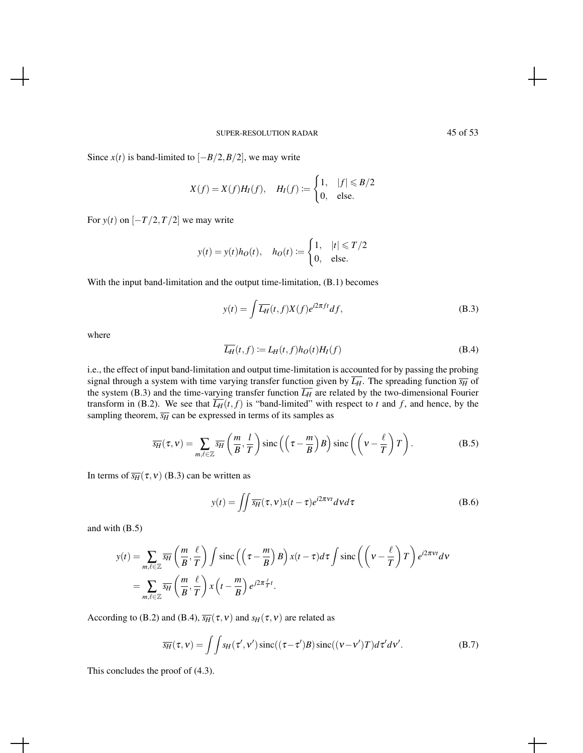## SUPER-RESOLUTION RADAR 45 of 53

Since  $x(t)$  is band-limited to  $[-B/2, B/2]$ , we may write

$$
X(f) = X(f)H_I(f), \quad H_I(f) := \begin{cases} 1, & |f| \le B/2 \\ 0, & \text{else.} \end{cases}
$$

For  $y(t)$  on  $[-T/2, T/2]$  we may write

$$
y(t) = y(t)h_O(t), \quad h_O(t) := \begin{cases} 1, & |t| \le T/2 \\ 0, & \text{else.} \end{cases}
$$

With the input band-limitation and the output time-limitation, (B.1) becomes

$$
y(t) = \int \overline{L_H}(t, f) X(f) e^{i2\pi ft} df,
$$
\n(B.3)

where

$$
\overline{L_H}(t,f) := L_H(t,f)h_O(t)H_I(f)
$$
\n(B.4)

i.e., the effect of input band-limitation and output time-limitation is accounted for by passing the probing signal through a system with time varying transfer function given by  $\overline{L_H}$ . The spreading function  $\overline{s_H}$  of the system (B.3) and the time-varying transfer function  $\overline{L_H}$  are related by the two-dimensional Fourier transform in (B.2). We see that  $\overline{L_H}(t, f)$  is "band-limited" with respect to *t* and *f*, and hence, by the sampling theorem,  $\overline{s}$ *H* can be expressed in terms of its samples as

$$
\overline{s_H}(\tau,\nu) = \sum_{m,\ell \in \mathbb{Z}} \overline{s_H} \left( \frac{m}{B}, \frac{l}{T} \right) \operatorname{sinc} \left( \left( \tau - \frac{m}{B} \right) B \right) \operatorname{sinc} \left( \left( \nu - \frac{\ell}{T} \right) T \right). \tag{B.5}
$$

In terms of  $\overline{s_H}(\tau, v)$  (B.3) can be written as

$$
y(t) = \iint \overline{s_H}(\tau, v) x(t - \tau) e^{i2\pi vt} dv d\tau
$$
 (B.6)

and with (B.5)

$$
y(t) = \sum_{m,\ell \in \mathbb{Z}} \overline{s_H} \left( \frac{m}{B}, \frac{\ell}{T} \right) \int \operatorname{sinc} \left( \left( \tau - \frac{m}{B} \right) B \right) x(t - \tau) d\tau \int \operatorname{sinc} \left( \left( v - \frac{\ell}{T} \right) T \right) e^{i2\pi vt} dv
$$
  
= 
$$
\sum_{m,\ell \in \mathbb{Z}} \overline{s_H} \left( \frac{m}{B}, \frac{\ell}{T} \right) x \left( t - \frac{m}{B} \right) e^{i2\pi \frac{\ell}{T}t}.
$$

According to (B.2) and (B.4),  $\overline{s_H}(\tau, v)$  and  $s_H(\tau, v)$  are related as

$$
\overline{s_H}(\tau, v) = \int \int s_H(\tau', v') \operatorname{sinc}((\tau - \tau')B) \operatorname{sinc}((v - v')T) d\tau' d\nu'.
$$
 (B.7)

This concludes the proof of (4.3).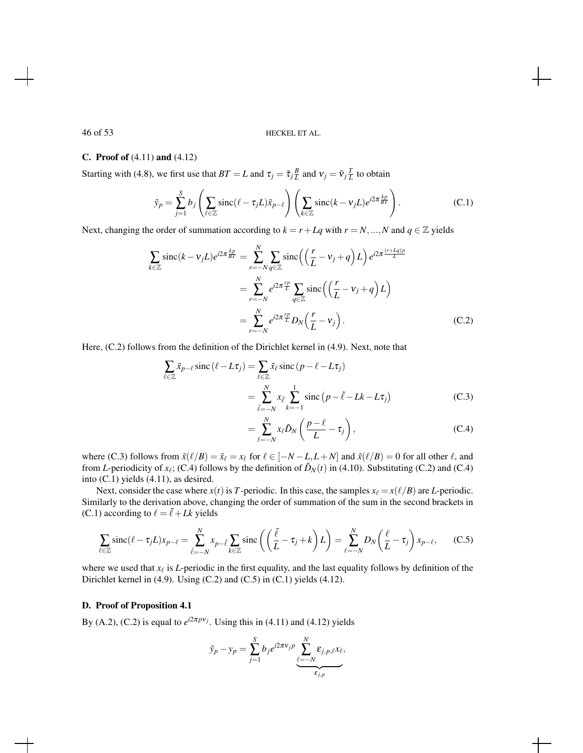# C. Proof of (4.11) and (4.12)

Starting with (4.8), we first use that  $BT = L$  and  $\tau_j = \bar{\tau}_j \frac{B}{L}$  and  $v_j = \bar{v}_j \frac{T}{L}$  to obtain

$$
\tilde{y}_p = \sum_{j=1}^S b_j \left( \sum_{\ell \in \mathbb{Z}} \text{sinc}(\ell - \tau_j L) \tilde{x}_{p-\ell} \right) \left( \sum_{k \in \mathbb{Z}} \text{sinc}(k - \nu_j L) e^{i2\pi \frac{k_p}{BT}} \right).
$$
 (C.1)

Next, changing the order of summation according to  $k = r + Lq$  with  $r = N, ..., N$  and  $q \in \mathbb{Z}$  yields

$$
\sum_{k \in \mathbb{Z}} \operatorname{sinc}(k - v_j L) e^{i2\pi \frac{kp}{BT}} = \sum_{r = -N}^{N} \sum_{q \in \mathbb{Z}} \operatorname{sinc}\left(\left(\frac{r}{L} - v_j + q\right) L\right) e^{i2\pi \frac{(r + Lq)p}{L}}
$$
\n
$$
= \sum_{r = -N}^{N} e^{i2\pi \frac{rp}{L}} \sum_{q \in \mathbb{Z}} \operatorname{sinc}\left(\left(\frac{r}{L} - v_j + q\right) L\right)
$$
\n
$$
= \sum_{r = -N}^{N} e^{i2\pi \frac{rp}{L}} D_N\left(\frac{r}{L} - v_j\right). \tag{C.2}
$$

Here, (C.2) follows from the definition of the Dirichlet kernel in (4.9). Next, note that

$$
\sum_{\ell \in \mathbb{Z}} \tilde{x}_{p-\ell} \operatorname{sinc} (\ell - L\tau_j) = \sum_{\ell \in \mathbb{Z}} \tilde{x}_{\ell} \operatorname{sinc} (p - \ell - L\tau_j)
$$
\n
$$
= \sum_{\tilde{\ell} = -N}^{N} x_{\tilde{\ell}} \sum_{k=-1}^{1} \operatorname{sinc} (p - \tilde{\ell} - Lk - L\tau_j)
$$
\n(C.3)

$$
=\sum_{\ell=-N}^{N}x_{\ell}\tilde{D}_{N}\left(\frac{p-\ell}{L}-\tau_{j}\right),\tag{C.4}
$$

where (C.3) follows from  $\tilde{x}(\ell/B) = \tilde{x}_{\ell} = x_{\ell}$  for  $\ell \in [-N-L,L+N]$  and  $\tilde{x}(\ell/B) = 0$  for all other  $\ell$ , and from *L*-periodicity of  $x_\ell$ ; (C.4) follows by the definition of  $\tilde{D}_N(t)$  in (4.10). Substituting (C.2) and (C.4) into (C.1) yields (4.11), as desired.

Next, consider the case where  $x(t)$  is *T*-periodic. In this case, the samples  $x_\ell = x(\ell/B)$  are *L*-periodic. Similarly to the derivation above, changing the order of summation of the sum in the second brackets in (C.1) according to  $\ell = \tilde{\ell} + Lk$  yields

$$
\sum_{\ell \in \mathbb{Z}} \text{sinc}(\ell - \tau_j L) x_{p-\ell} = \sum_{\ell = -N}^{N} x_{p-\ell} \sum_{k \in \mathbb{Z}} \text{sinc}\left(\left(\frac{\tilde{\ell}}{L} - \tau_j + k\right) L\right) = \sum_{\ell = -N}^{N} D_N \left(\frac{\ell}{L} - \tau_j\right) x_{p-\ell},\tag{C.5}
$$

where we used that  $x_\ell$  is *L*-periodic in the first equality, and the last equality follows by definition of the Dirichlet kernel in (4.9). Using (C.2) and (C.5) in (C.1) yields (4.12).

# D. Proof of Proposition 4.1

By (A.2), (C.2) is equal to  $e^{i2\pi p v_j}$ . Using this in (4.11) and (4.12) yields

$$
\tilde{y}_p - y_p = \sum_{j=1}^S b_j e^{i2\pi v_j p} \underbrace{\sum_{\ell=-N}^N \varepsilon_{j,p,\ell} x_\ell}_{\varepsilon_{j,p}},
$$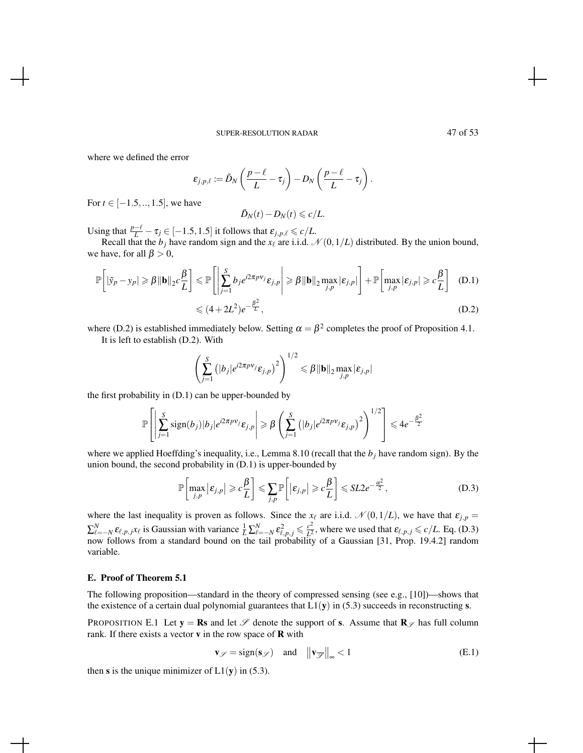#### SUPER-RESOLUTION RADAR 47 of 53

where we defined the error

$$
\varepsilon_{j,p,\ell} := \tilde{D}_N \left( \frac{p-\ell}{L} - \tau_j \right) - D_N \left( \frac{p-\ell}{L} - \tau_j \right).
$$

For *t* ∈ [−1.5,..,1.5], we have

$$
\tilde{D}_N(t)-D_N(t)\leqslant c/L.
$$

Using that  $\frac{p-\ell}{L} - \tau_j \in [-1.5, 1.5]$  it follows that  $\varepsilon_{j, p, \ell} \leq c/L$ .

Recall that the  $b_j$  have random sign and the  $x_\ell$  are i.i.d.  $\mathcal{N}(0,1/L)$  distributed. By the union bound, we have, for all  $\beta > 0$ ,

$$
\mathbb{P}\left[|\tilde{y}_p - y_p| \ge \beta \|\mathbf{b}\|_2 c \frac{\beta}{L}\right] \le \mathbb{P}\left[\left|\sum_{j=1}^S b_j e^{i2\pi p v_j} \varepsilon_{j,p}\right| \ge \beta \|\mathbf{b}\|_2 \max_{j,p} |\varepsilon_{j,p}|\right] + \mathbb{P}\left[\max_{j,p} |\varepsilon_{j,p}| \ge c \frac{\beta}{L}\right] \quad (D.1)
$$
  

$$
\le (4+2L^2)e^{-\frac{\beta^2}{L}}, \tag{D.2}
$$

where (D.2) is established immediately below. Setting  $\alpha = \beta^2$  completes the proof of Proposition 4.1. It is left to establish (D.2). With

$$
\left(\sum_{j=1}^S \left(|b_j|e^{i2\pi p v_j}\varepsilon_{j,p}\right)^2\right)^{1/2} \leq \beta ||\mathbf{b}||_2 \max_{j,p} |\varepsilon_{j,p}|
$$

the first probability in (D.1) can be upper-bounded by

$$
\mathbb{P}\left[\left|\sum_{j=1}^S \text{sign}(b_j)|b_j|e^{i2\pi p v_j}\varepsilon_{j,p}\right|\geq \beta\left(\sum_{j=1}^S \left(|b_j|e^{i2\pi p v_j}\varepsilon_{j,p}\right)^2\right)^{1/2}\right]\leq 4e^{-\frac{\beta^2}{2}}
$$

where we applied Hoeffding's inequality, i.e., Lemma 8.10 (recall that the  $b_j$  have random sign). By the union bound, the second probability in (D.1) is upper-bounded by

$$
\mathbb{P}\bigg[\max_{j,p} \left|\varepsilon_{j,p}\right| \geqslant c\frac{\beta}{L}\bigg] \leqslant \sum_{j,p} \mathbb{P}\bigg[\left|\varepsilon_{j,p}\right| \geqslant c\frac{\beta}{L}\bigg] \leqslant SL2e^{-\frac{\alpha^2}{2}},\tag{D.3}
$$

where the last inequality is proven as follows. Since the  $x_\ell$  are i.i.d.  $\mathcal{N}(0,1/L)$ , we have that  $\varepsilon_{j,p}$  =  $\sum_{\ell=-N}^{N} \varepsilon_{\ell,p,j} x_{\ell}$  is Gaussian with variance  $\frac{1}{L} \sum_{\ell=-N}^{N} \varepsilon_{\ell,p,j}^2 \leq \frac{c^2}{L^2}$  $\frac{c^2}{L^2}$ , where we used that  $\epsilon_{\ell,p,j} \leqslant c/L$ . Eq. (D.3) now follows from a standard bound on the tail probability of a Gaussian [31, Prop. 19.4.2] random variable.

# E. Proof of Theorem 5.1

The following proposition—standard in the theory of compressed sensing (see e.g., [10])—shows that the existence of a certain dual polynomial guarantees that  $L1(y)$  in (5.3) succeeds in reconstructing s.

PROPOSITION E.1 Let  $y = Rs$  and let  $\mathscr S$  denote the support of s. Assume that  $R_{\mathscr S}$  has full column rank. If there exists a vector  $v$  in the row space of  $R$  with

$$
\mathbf{v}_{\mathscr{S}} = \text{sign}(\mathbf{s}_{\mathscr{S}}) \quad \text{and} \quad \|\mathbf{v}_{\overline{\mathscr{S}}}\|_{\infty} < 1 \tag{E.1}
$$

then s is the unique minimizer of  $L1(y)$  in (5.3).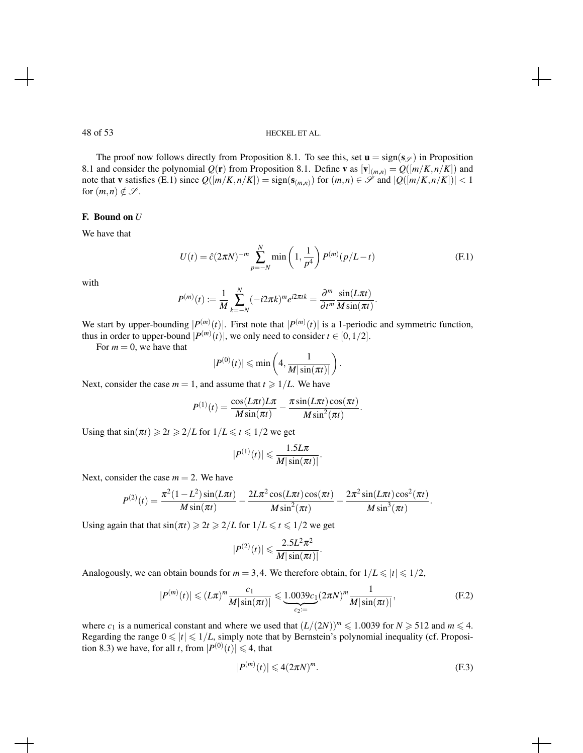The proof now follows directly from Proposition 8.1. To see this, set  $\mathbf{u} = \text{sign}(\mathbf{s}_{\mathscr{S}})$  in Proposition 8.1 and consider the polynomial  $Q(\mathbf{r})$  from Proposition 8.1. Define **v** as  $[\mathbf{v}]_{(m,n)} = Q([m/K,n/K])$  and note that **v** satisfies (E.1) since  $Q([m/K, n/K]) = \text{sign}(s_{(m,n)})$  for  $(m,n) \in \mathcal{S}$  and  $|Q([m/K, n/K])| < 1$ for  $(m, n) \notin \mathcal{S}$ .

# F. Bound on *U*

We have that

$$
U(t) = \hat{c}(2\pi N)^{-m} \sum_{p=-N}^{N} \min\left(1, \frac{1}{p^4}\right) P^{(m)}(p/L - t)
$$
 (F.1)

with

$$
P^{(m)}(t) \coloneqq \frac{1}{M} \sum_{k=-N}^{N} (-i2\pi k)^m e^{i2\pi tk} = \frac{\partial^m}{\partial t^m} \frac{\sin(L\pi t)}{M \sin(\pi t)}.
$$

We start by upper-bounding  $|P^{(m)}(t)|$ . First note that  $|P^{(m)}(t)|$  is a 1-periodic and symmetric function, thus in order to upper-bound  $|P^{(m)}(t)|$ , we only need to consider  $t \in [0, 1/2]$ .

For  $m = 0$ , we have that

$$
|P^{(0)}(t)| \leqslant \min\left(4, \frac{1}{M|\sin(\pi t)|}\right).
$$

Next, consider the case  $m = 1$ , and assume that  $t \geq 1/L$ . We have

$$
P^{(1)}(t) = \frac{\cos(L\pi t)L\pi}{M\sin(\pi t)} - \frac{\pi \sin(L\pi t)\cos(\pi t)}{M\sin^2(\pi t)}.
$$

Using that  $\sin(\pi t) \geq 2t \geq 2/L$  for  $1/L \leq t \leq 1/2$  we get

$$
|P^{(1)}(t)| \leqslant \frac{1.5L\pi}{M|\sin(\pi t)|}.
$$

Next, consider the case  $m = 2$ . We have

*P*

$$
P^{(2)}(t) = \frac{\pi^2(1-L^2)\sin(L\pi t)}{M\sin(\pi t)} - \frac{2L\pi^2\cos(L\pi t)\cos(\pi t)}{M\sin^2(\pi t)} + \frac{2\pi^2\sin(L\pi t)\cos^2(\pi t)}{M\sin^3(\pi t)}.
$$

Using again that that  $\sin(\pi t) \geq 2t \geq 2/L$  for  $1/L \leq t \leq 1/2$  we get

$$
|P^{(2)}(t)|\leqslant \frac{2.5L^2\pi^2}{M|\sin(\pi t)|}.
$$

Analogously, we can obtain bounds for  $m = 3, 4$ . We therefore obtain, for  $1/L \leq |t| \leq 1/2$ ,

$$
|P^{(m)}(t)| \leq (L\pi)^m \frac{c_1}{M|\sin(\pi t)|} \leq \underbrace{1.0039c_1(2\pi N)^m} \frac{1}{M|\sin(\pi t)|},
$$
 (F.2)

where  $c_1$  is a numerical constant and where we used that  $(L/(2N))^m \le 1.0039$  for  $N \ge 512$  and  $m \le 4$ . Regarding the range  $0 \leq |t| \leq 1/L$ , simply note that by Bernstein's polynomial inequality (cf. Proposition 8.3) we have, for all *t*, from  $|P^{(0)}(t)| \le 4$ , that

$$
|P^{(m)}(t)| \leqslant 4(2\pi N)^m. \tag{F.3}
$$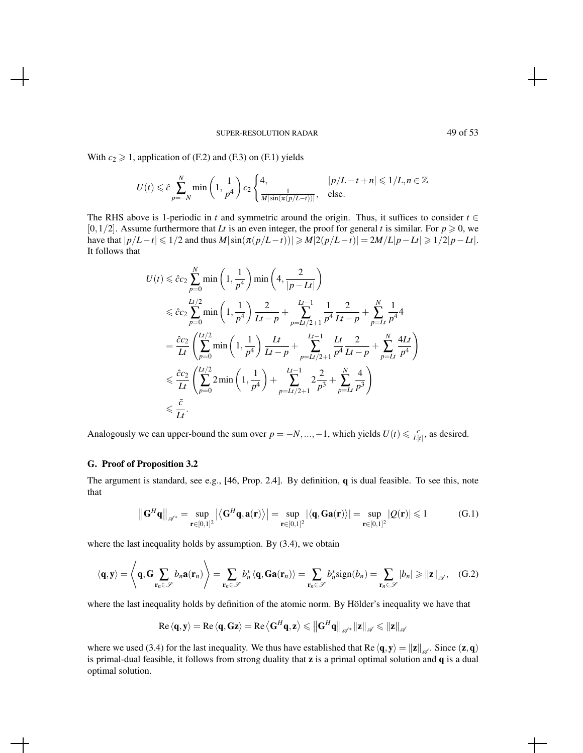## SUPER-RESOLUTION RADAR 49 of 53

With  $c_2 \geq 1$ , application of (F.2) and (F.3) on (F.1) yields

$$
U(t) \leq \hat{c} \sum_{p=-N}^{N} \min\left(1, \frac{1}{p^4}\right) c_2 \begin{cases} 4, & |p/L - t + n| \leq 1/L, n \in \mathbb{Z} \\ \frac{1}{M|\sin(\pi(p/L - t))|}, & \text{else.} \end{cases}
$$

The RHS above is 1-periodic in *t* and symmetric around the origin. Thus, it suffices to consider  $t \in$  $[0,1/2]$ . Assume furthermore that *Lt* is an even integer, the proof for general *t* is similar. For  $p \ge 0$ , we have that  $|p/L-t| \leq 1/2$  and thus  $M|\sin(\pi(p/L-t))| \geq M|2(p/L-t)| = 2M/L|p-Lt| \geq 1/2|p-Lt|$ . It follows that

$$
U(t) \leq \hat{c}c_2 \sum_{p=0}^{N} \min\left(1, \frac{1}{p^4}\right) \min\left(4, \frac{2}{|p-L|}\right)
$$
  
\n
$$
\leq \hat{c}c_2 \sum_{p=0}^{L/2} \min\left(1, \frac{1}{p^4}\right) \frac{2}{Lt - p} + \sum_{p=L/2+1}^{L-1} \frac{1}{p^4} \frac{2}{Lt - p} + \sum_{p=L}^{N} \frac{1}{p^4} 4
$$
  
\n
$$
= \frac{\hat{c}c_2}{Lt} \left(\sum_{p=0}^{L/2} \min\left(1, \frac{1}{p^4}\right) \frac{Lt}{Lt - p} + \sum_{p=L/2+1}^{L-1} \frac{Lt}{p^4} \frac{2}{Lt - p} + \sum_{p=L}^{N} \frac{4Lt}{p^4}\right)
$$
  
\n
$$
\leq \frac{\hat{c}c_2}{Lt} \left(\sum_{p=0}^{L/2} 2 \min\left(1, \frac{1}{p^4}\right) + \sum_{p=L/2+1}^{L-1} 2 \frac{2}{p^3} + \sum_{p=L}^{N} \frac{4}{p^3}\right)
$$
  
\n
$$
\leq \frac{\tilde{c}}{Lt}.
$$

Analogously we can upper-bound the sum over  $p = -N, ..., -1$ , which yields  $U(t) \leq \frac{c}{L|t|}$ , as desired.

# G. Proof of Proposition 3.2

The argument is standard, see e.g., [46, Prop. 2.4]. By definition, q is dual feasible. To see this, note that

$$
\left\| \mathbf{G}^H \mathbf{q} \right\|_{\mathscr{A}^*} = \sup_{\mathbf{r} \in [0,1]^2} \left| \left\langle \mathbf{G}^H \mathbf{q}, \mathbf{a}(\mathbf{r}) \right\rangle \right| = \sup_{\mathbf{r} \in [0,1]^2} \left| \left\langle \mathbf{q}, \mathbf{G} \mathbf{a}(\mathbf{r}) \right\rangle \right| = \sup_{\mathbf{r} \in [0,1]^2} |Q(\mathbf{r})| \leq 1 \tag{G.1}
$$

where the last inequality holds by assumption. By (3.4), we obtain

$$
\langle \mathbf{q}, \mathbf{y} \rangle = \left\langle \mathbf{q}, \mathbf{G} \sum_{\mathbf{r}_n \in \mathscr{S}} b_n \mathbf{a}(\mathbf{r}_n) \right\rangle = \sum_{\mathbf{r}_n \in \mathscr{S}} b_n^* \langle \mathbf{q}, \mathbf{G} \mathbf{a}(\mathbf{r}_n) \rangle = \sum_{\mathbf{r}_n \in \mathscr{S}} b_n^* \mathrm{sign}(b_n) = \sum_{\mathbf{r}_n \in \mathscr{S}} |b_n| \geq ||\mathbf{z}||_{\mathscr{A}}, \quad (G.2)
$$

where the last inequality holds by definition of the atomic norm. By Hölder's inequality we have that

$$
\mathrm{Re}\,\langle\mathbf{q},\mathbf{y}\rangle=\mathrm{Re}\,\langle\mathbf{q},\mathbf{Gz}\rangle=\mathrm{Re}\,\big\langle\mathbf{G}^H\mathbf{q},\mathbf{z}\big\rangle\leqslant\big\|\mathbf{G}^H\mathbf{q}\big\|_{\mathscr{A}^*}\|\mathbf{z}\|_{\mathscr{A}}\leqslant\|\mathbf{z}\|_{\mathscr{A}}
$$

where we used (3.4) for the last inequality. We thus have established that Re $\langle q, y \rangle = ||z||_{\mathscr{A}}$ . Since  $(z, q)$ is primal-dual feasible, it follows from strong duality that  $z$  is a primal optimal solution and  $q$  is a dual optimal solution.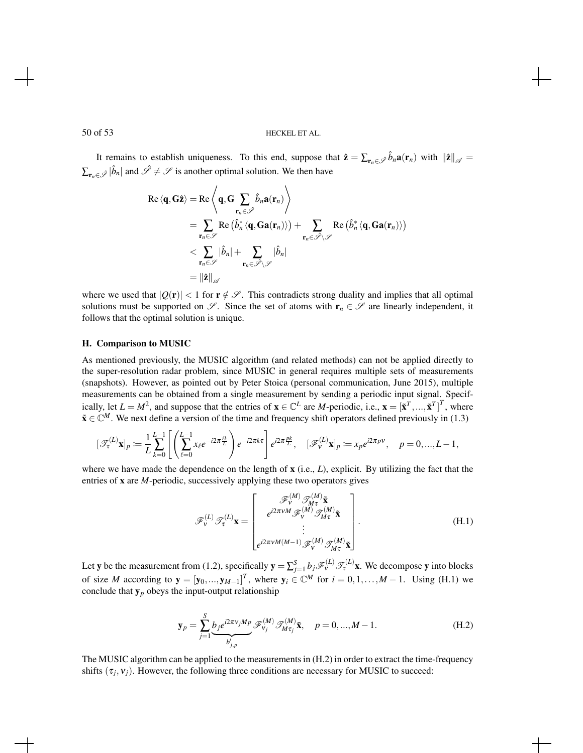It remains to establish uniqueness. To this end, suppose that  $\hat{\mathbf{z}} = \sum_{\mathbf{r}_n \in \mathcal{S}} \hat{b}_n \mathbf{a}(\mathbf{r}_n)$  with  $\|\hat{\mathbf{z}}\|_{\mathscr{A}} = \hat{b}_n$  $\sum_{\mathbf{r}_n \in \mathcal{S}} |\hat{b}_n|$  and  $\hat{\mathcal{S}} \neq \mathcal{S}$  is another optimal solution. We then have

$$
\begin{aligned} \text{Re}\,\langle\mathbf{q},\mathbf{G}\hat{\mathbf{z}}\rangle&=\text{Re}\,\Bigg\langle\mathbf{q},\mathbf{G}\sum_{\mathbf{r}_n\in\hat{\mathscr{S}}}\hat{b}_n\mathbf{a}(\mathbf{r}_n)\Bigg\rangle\\ &=\sum_{\mathbf{r}_n\in\mathscr{S}}\text{Re}\,\big(\hat{b}^*_n\langle\mathbf{q},\mathbf{G}\mathbf{a}(\mathbf{r}_n)\rangle\big)+\sum_{\mathbf{r}_n\in\hat{\mathscr{S}}\setminus\mathscr{S}}\text{Re}\,\big(\hat{b}^*_n\langle\mathbf{q},\mathbf{G}\mathbf{a}(\mathbf{r}_n)\rangle\big)\\ &<\sum_{\mathbf{r}_n\in\mathscr{S}}|\hat{b}_n|+\sum_{\mathbf{r}_n\in\hat{\mathscr{S}}\setminus\mathscr{S}}|\hat{b}_n|\\ &=\|\hat{\mathbf{z}}\|_{\mathscr{A}}\end{aligned}
$$

where we used that  $|Q(r)| < 1$  for  $r \notin \mathcal{S}$ . This contradicts strong duality and implies that all optimal solutions must be supported on  $\mathscr{S}$ . Since the set of atoms with  $\mathbf{r}_n \in \mathscr{S}$  are linearly independent, it follows that the optimal solution is unique.

# H. Comparison to MUSIC

As mentioned previously, the MUSIC algorithm (and related methods) can not be applied directly to the super-resolution radar problem, since MUSIC in general requires multiple sets of measurements (snapshots). However, as pointed out by Peter Stoica (personal communication, June 2015), multiple measurements can be obtained from a single measurement by sending a periodic input signal. Specifically, let  $L = M^2$ , and suppose that the entries of  $\mathbf{x} \in \mathbb{C}^L$  are *M*-periodic, i.e.,  $\mathbf{x} = [\tilde{\mathbf{x}}^T, ..., \tilde{\mathbf{x}}^T]^T$ , where  $\tilde{\mathbf{x}} \in \mathbb{C}^{M}$ . We next define a version of the time and frequency shift operators defined previously in (1.3)

$$
[\mathscr{T}_{\tau}^{(L)}\mathbf{x}]_{p} := \frac{1}{L} \sum_{k=0}^{L-1} \left[ \left( \sum_{\ell=0}^{L-1} x_{\ell} e^{-i2\pi \frac{\ell k}{L}} \right) e^{-i2\pi k \tau} \right] e^{i2\pi \frac{pk}{L}}, \quad [\mathscr{F}_{\nu}^{(L)}\mathbf{x}]_{p} := x_{p} e^{i2\pi p \nu}, \quad p = 0, ..., L-1,
$$

where we have made the dependence on the length of  $x$  (i.e.,  $L$ ), explicit. By utilizing the fact that the entries of x are *M*-periodic, successively applying these two operators gives

$$
\mathcal{F}_{\mathbf{v}}^{(L)} \mathcal{F}_{\mathbf{v}}^{(L)} \mathbf{x} = \begin{bmatrix} \mathcal{F}_{\mathbf{v}}^{(M)} \mathcal{F}_{M\tau}^{(M)} \tilde{\mathbf{x}} \\ e^{i2\pi vM} \mathcal{F}_{\mathbf{v}}^{(M)} \mathcal{F}_{M\tau}^{(M)} \tilde{\mathbf{x}} \\ \vdots \\ e^{i2\pi vM(M-1)} \mathcal{F}_{\mathbf{v}}^{(M)} \mathcal{F}_{M\tau}^{(M)} \tilde{\mathbf{x}} \end{bmatrix} .
$$
\n(H.1)

Let y be the measurement from (1.2), specifically  $y = \sum_{j=1}^{S} b_j \mathcal{F}_{v}^{(L)} \mathcal{F}_{v}^{(L)} \mathbf{x}$ . We decompose y into blocks of size *M* according to  $\mathbf{y} = [\mathbf{y}_0, ..., \mathbf{y}_{M-1}]^T$ , where  $\mathbf{y}_i \in \mathbb{C}^M$  for  $i = 0, 1, ..., M - 1$ . Using (H.1) we conclude that  $y_p$  obeys the input-output relationship

$$
\mathbf{y}_p = \sum_{j=1}^S \underbrace{b_j e^{i2\pi v_j M p}}_{b'_{j,p}} \mathcal{F}_{v_j}^{(M)} \mathcal{F}_{M\tau_j}^{(M)} \tilde{\mathbf{x}}, \quad p = 0, ..., M-1.
$$
 (H.2)

The MUSIC algorithm can be applied to the measurements in (H.2) in order to extract the time-frequency shifts  $(\tau_j, v_j)$ . However, the following three conditions are necessary for MUSIC to succeed: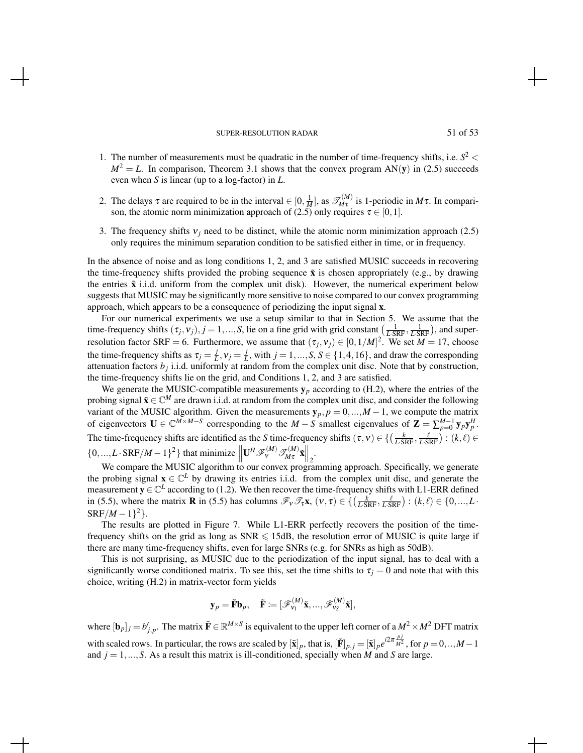#### SUPER-RESOLUTION RADAR 51 of 53

- 1. The number of measurements must be quadratic in the number of time-frequency shifts, i.e.  $S<sup>2</sup>$  $M^2 = L$ . In comparison, Theorem 3.1 shows that the convex program AN(y) in (2.5) succeeds even when *S* is linear (up to a log-factor) in *L*.
- 2. The delays  $\tau$  are required to be in the interval  $\in [0, \frac{1}{M}]$ , as  $\mathscr{T}_{M\tau}^{(M)}$  $\chi_{M\tau}^{(M)}$  is 1-periodic in *M*  $\tau$ . In comparison, the atomic norm minimization approach of (2.5) only requires  $\tau \in [0,1]$ .
- 3. The frequency shifts  $v_i$  need to be distinct, while the atomic norm minimization approach (2.5) only requires the minimum separation condition to be satisfied either in time, or in frequency.

In the absence of noise and as long conditions 1, 2, and 3 are satisfied MUSIC succeeds in recovering the time-frequency shifts provided the probing sequence  $\tilde{\mathbf{x}}$  is chosen appropriately (e.g., by drawing the entries  $\tilde{x}$  i.i.d. uniform from the complex unit disk). However, the numerical experiment below suggests that MUSIC may be significantly more sensitive to noise compared to our convex programming approach, which appears to be a consequence of periodizing the input signal x.

For our numerical experiments we use a setup similar to that in Section 5. We assume that the time-frequency shifts  $(\tau_j, v_j)$ ,  $j = 1, ..., S$ , lie on a fine grid with grid constant  $\left(\frac{1}{L\text{SRF}}, \frac{1}{L\text{SRF}}\right)$ , and superresolution factor SRF = 6. Furthermore, we assume that  $(\tau_j, v_j) \in [0, 1/M]^2$ . We set  $M = 17$ , choose the time-frequency shifts as  $\tau_j = \frac{j}{l}$  $\frac{j}{L}$ ,  $v_j = \frac{j}{L}$  $\frac{J}{L}$ , with *j* = 1, ..., *S*, *S* ∈ {1, 4, 16}, and draw the corresponding attenuation factors *b<sup>j</sup>* i.i.d. uniformly at random from the complex unit disc. Note that by construction, the time-frequency shifts lie on the grid, and Conditions 1, 2, and 3 are satisfied.

We generate the MUSIC-compatible measurements  $y_p$  according to (H.2), where the entries of the probing signal  $\tilde{\mathbf{x}} \in \mathbb{C}^M$  are drawn i.i.d. at random from the complex unit disc, and consider the following variant of the MUSIC algorithm. Given the measurements  $y_p$ ,  $p = 0, ..., M - 1$ , we compute the matrix of eigenvectors  $\mathbf{U} \in \mathbb{C}^{M \times M - S}$  corresponding to the  $M - S$  smallest eigenvalues of  $\mathbf{Z} = \sum_{p=0}^{M-1} \mathbf{y}_p \mathbf{y}_p^H$ . The time-frequency shifts are identified as the *S* time-frequency shifts  $(\tau, v) \in \left\{ \left( \frac{k}{L\text{SRF}}, \frac{\ell}{L\text{SRF}} \right) : (k, \ell) \in \mathbb{R}^d \right\}$  $\{0, ..., L \cdot \text{SRF}/M - 1\}^2\}$  that minimize  $\left\| \mathbf{U}^H \mathcal{F}_{\mathbf{V}}^{(M)} \mathcal{F}_{M\tau}^{(M)} \right\|$  $\left.\frac{M}{M\tau}\tilde{\mathbf{x}}\right\|_2.$ 

We compare the MUSIC algorithm to our convex programming approach. Specifically, we generate the probing signal  $\mathbf{x} \in \mathbb{C}^L$  by drawing its entries i.i.d. from the complex unit disc, and generate the measurement  $y \in \mathbb{C}^L$  according to (1.2). We then recover the time-frequency shifts with L1-ERR defined in (5.5), where the matrix **R** in (5.5) has columns  $\mathcal{F}_v \mathcal{F}_{\tau} \mathbf{x}$ ,  $(v, \tau) \in \left\{ \left( \frac{k}{L \cdot \text{SRF}}, \frac{\ell}{L \cdot \text{SRF}} \right) : (k, \ell) \in \{0, ..., L\} \right\}$  $SRF/M-1$ <sup>2</sup>.

The results are plotted in Figure 7. While L1-ERR perfectly recovers the position of the timefrequency shifts on the grid as long as  $SNR \le 15dB$ , the resolution error of MUSIC is quite large if there are many time-frequency shifts, even for large SNRs (e.g. for SNRs as high as 50dB).

This is not surprising, as MUSIC due to the periodization of the input signal, has to deal with a significantly worse conditioned matrix. To see this, set the time shifts to  $\tau_i = 0$  and note that with this choice, writing (H.2) in matrix-vector form yields

$$
\mathbf{y}_p = \tilde{\mathbf{F}} \mathbf{b}_p, \quad \tilde{\mathbf{F}} \coloneqq [\mathscr{F}_{\mathbf{v}_1}^{(M)} \tilde{\mathbf{x}}, ..., \mathscr{F}_{\mathbf{v}_S}^{(M)} \tilde{\mathbf{x}}],
$$

where  $[\mathbf{b}_p]_j = b'_{j,p}$ . The matrix  $\tilde{\mathbf{F}} \in \mathbb{R}^{M \times S}$  is equivalent to the upper left corner of a  $M^2 \times M^2$  DFT matrix with scaled rows. In particular, the rows are scaled by  $[\tilde{\mathbf{x}}]_p$ , that is,  $[\tilde{\mathbf{F}}]_{p,j} = [\tilde{\mathbf{x}}]_p e^{i2\pi \frac{p_j}{M^2}}$ , for  $p = 0, ..., M - 1$ and  $j = 1, \ldots, S$ . As a result this matrix is ill-conditioned, specially when *M* and *S* are large.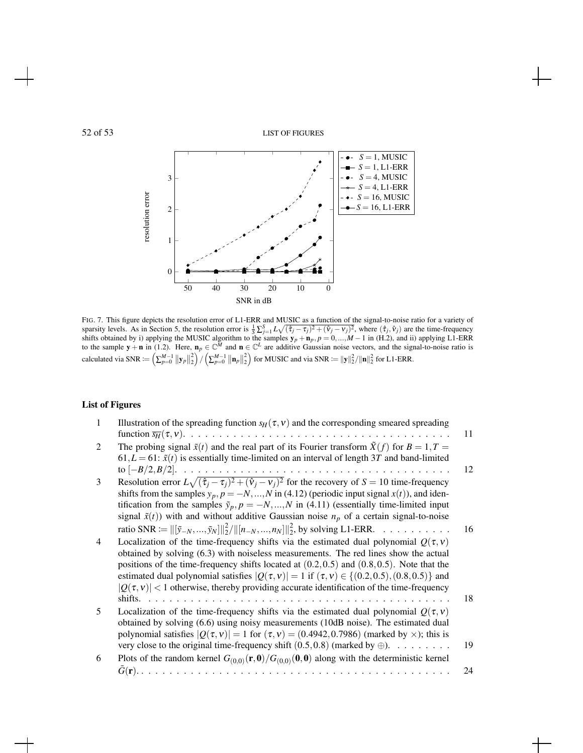52 of 53 LIST OF FIGURES



FIG. 7. This figure depicts the resolution error of L1-ERR and MUSIC as a function of the signal-to-noise ratio for a variety of sparsity levels. As in Section 5, the resolution error is  $\frac{1}{S}\sum_{j=1}^{S}L\sqrt{(\hat{\tau}_j - \tau_j)^2 +$ shifts obtained by i) applying the MUSIC algorithm to the samples  $y_p + n_p$ ,  $p = 0, ..., M - 1$  in (H.2), and ii) applying L1-ERR<br>to the sample  $y + n$  in (1.2). Here,  $n_p \in \mathbb{C}^M$  and  $n \in \mathbb{C}^L$  are additive Gaussian noise ve calculated via SNR  $:= \left(\sum_{p=0}^{M-1} ||\mathbf{y}_p||_2^2\right) / \left(\sum_{p=0}^{M-1} ||\mathbf{n}_p||_2^2\right)$  for MUSIC and via SNR  $:= ||\mathbf{y}||_2^2 / ||\mathbf{n}||_2^2$  for L1-ERR.

# List of Figures

| 1              | Illustration of the spreading function $s_H(\tau, v)$ and the corresponding smeared spreading                                      |    |
|----------------|------------------------------------------------------------------------------------------------------------------------------------|----|
|                |                                                                                                                                    | 11 |
| $\mathfrak{D}$ | The probing signal $\tilde{x}(t)$ and the real part of its Fourier transform $\tilde{X}(f)$ for $B = 1, T =$                       |    |
|                | $61, L = 61$ : $\tilde{x}(t)$ is essentially time-limited on an interval of length 3T and band-limited                             |    |
|                |                                                                                                                                    | 12 |
| 3              | Resolution error $L\sqrt{(\hat{\tau}_i - \tau_i)^2 + (\hat{v}_i - v_i)^2}$ for the recovery of $S = 10$ time-frequency             |    |
|                | shifts from the samples $y_p$ , $p = -N$ , , N in (4.12) (periodic input signal $x(t)$ ), and iden-                                |    |
|                | tification from the samples $\tilde{y}_p$ , $p = -N, , N$ in (4.11) (essentially time-limited input                                |    |
|                | signal $\tilde{x}(t)$ ) with and without additive Gaussian noise $n_p$ of a certain signal-to-noise                                |    |
|                | ratio SNR $:=   [\tilde{y}_{-N},,\tilde{y}_{N}  _{2}^{2}/  [n_{-N},,n_{N}  ]_{2}^{2}$ , by solving L1-ERR.                         | 16 |
| 4              | Localization of the time-frequency shifts via the estimated dual polynomial $Q(\tau, v)$                                           |    |
|                | obtained by solving (6.3) with noiseless measurements. The red lines show the actual                                               |    |
|                | positions of the time-frequency shifts located at $(0.2, 0.5)$ and $(0.8, 0.5)$ . Note that the                                    |    |
|                | estimated dual polynomial satisfies $ Q(\tau, v)  = 1$ if $(\tau, v) \in \{(0.2, 0.5), (0.8, 0.5)\}\$ and                          |    |
|                | $ Q(\tau, v)  < 1$ otherwise, thereby providing accurate identification of the time-frequency                                      |    |
|                |                                                                                                                                    | 18 |
| 5              | Localization of the time-frequency shifts via the estimated dual polynomial $Q(\tau, v)$                                           |    |
|                | obtained by solving (6.6) using noisy measurements (10dB noise). The estimated dual                                                |    |
|                | polynomial satisfies $ Q(\tau, v)  = 1$ for $(\tau, v) = (0.4942, 0.7986)$ (marked by $\times$ ); this is                          |    |
|                | very close to the original time-frequency shift $(0.5, 0.8)$ (marked by $\oplus$ ).                                                | 19 |
| 6              | Plots of the random kernel $G_{(0,0)}(\mathbf{r},\mathbf{0})/G_{(0,0)}(\mathbf{0},\mathbf{0})$ along with the deterministic kernel |    |
|                |                                                                                                                                    | 24 |